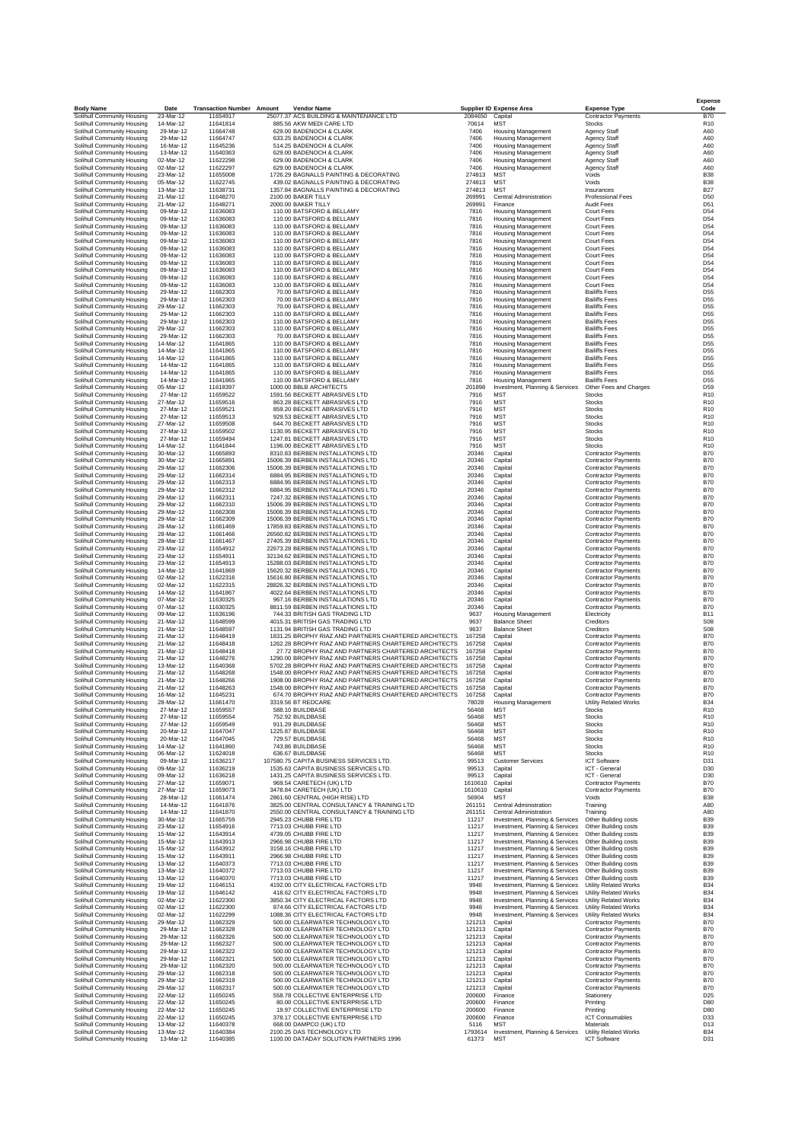| <b>Body Name</b>                                         | Date                   | <b>Transaction Number Amount</b> | <b>Vendor Name</b>                                                                                             |                    | Supplier ID Expense Area                                           | <b>Expense Type</b>                                      | Code                               |
|----------------------------------------------------------|------------------------|----------------------------------|----------------------------------------------------------------------------------------------------------------|--------------------|--------------------------------------------------------------------|----------------------------------------------------------|------------------------------------|
| Solihull Community Housing<br>Solihull Community Housing | 23-Mar-12<br>14-Mar-12 | 11654917<br>11641814             | 25077.37 ACS BUILDING & MAINTENANCE LTD<br>885.56 AKW MEDI CARE LTD                                            | 2084650<br>70614   | Capital<br><b>MST</b>                                              | Contractor Payments<br><b>Stocks</b>                     | <b>B70</b><br>R <sub>10</sub>      |
| Solihull Community Housing                               | 29-Mar-12              | 11664748                         | 629.00 BADENOCH & CLARK                                                                                        | 7406               | <b>Housing Management</b>                                          | <b>Agency Staff</b>                                      | A60                                |
| Solihull Community Housing                               | 29-Mar-12              | 11664747                         | 633.25 BADENOCH & CLARK                                                                                        | 7406               | <b>Housing Management</b>                                          | Agency Staff                                             | A60                                |
| Solihull Community Housing                               | 16-Mar-12              | 11645236                         | 514.25 BADENOCH & CLARK                                                                                        | 7406               | <b>Housing Management</b>                                          | Agency Staff                                             | A60                                |
| Solihull Community Housing                               | 13-Mar-12              | 11640363                         | 629.00 BADENOCH & CLARK                                                                                        | 7406               | <b>Housing Management</b>                                          | <b>Agency Staff</b>                                      | A60                                |
| Solihull Community Housing                               | 02-Mar-12              | 11622298                         | 629.00 BADENOCH & CLARK                                                                                        | 7406               | <b>Housing Management</b>                                          | Agency Staff                                             | A60                                |
| Solihull Community Housing<br>Solihull Community Housing | 02-Mar-12<br>23-Mar-12 | 11622297<br>11655008             | 629.00 BADENOCH & CLARK<br>1726.29 BAGNALLS PAINTING & DECORATING                                              | 7406<br>274813     | <b>Housing Management</b><br><b>MST</b>                            | Agency Staff<br>Voids                                    | A60<br><b>B38</b>                  |
| Solihull Community Housing                               | 05-Mar-12              | 11622745                         | 439.02 BAGNALLS PAINTING & DECORATING                                                                          | 274813             | <b>MST</b>                                                         | Voids                                                    | <b>B38</b>                         |
| Solihull Community Housing                               | 13-Mar-12              | 11638731                         | 1357.84 BAGNALLS PAINTING & DECORATING                                                                         | 274813             | <b>MST</b>                                                         | Insurances                                               | <b>B27</b>                         |
| Solihull Community Housing                               | 21-Mar-12              | 11648270                         | 2100.00 BAKER TILLY                                                                                            | 269991             | Central Administration                                             | <b>Professional Fees</b>                                 | D50                                |
| Solihull Community Housing                               | 21-Mar-12              | 11648271                         | 2000.00 BAKER TILLY                                                                                            | 269991             | Finance                                                            | <b>Audit Fees</b>                                        | D51                                |
| Solihull Community Housing<br>Solihull Community Housing | 09-Mar-12<br>09-Mar-12 | 11636083<br>11636083             | 110.00 BATSFORD & BELLAMY<br>110.00 BATSFORD & BELLAMY                                                         | 7816<br>7816       | <b>Housing Management</b><br><b>Housing Management</b>             | <b>Court Fees</b><br>Court Fees                          | D54<br>D54                         |
| Solihull Community Housing                               | 09-Mar-12              | 11636083                         | 110.00 BATSFORD & BELLAMY                                                                                      | 7816               | <b>Housing Management</b>                                          | <b>Court Fees</b>                                        | D54                                |
| Solihull Community Housing                               | 09-Mar-12              | 11636083                         | 110.00 BATSFORD & BELLAMY                                                                                      | 7816               | <b>Housing Management</b>                                          | <b>Court Fees</b>                                        | D54                                |
| Solihull Community Housing                               | 09-Mar-12              | 11636083                         | 110.00 BATSFORD & BELLAMY                                                                                      | 7816               | Housing Management                                                 | Court Fees                                               | D54                                |
| Solihull Community Housing                               | 09-Mar-12              | 11636083                         | 110.00 BATSFORD & BELLAMY                                                                                      | 7816               | <b>Housing Management</b>                                          | <b>Court Fees</b>                                        | D54                                |
| Solihull Community Housing                               | 09-Mar-12              | 11636083                         | 110.00 BATSFORD & BELLAMY                                                                                      | 7816               | <b>Housing Management</b>                                          | Court Fees                                               | D54                                |
| Solihull Community Housing                               | 09-Mar-12<br>09-Mar-12 | 11636083<br>11636083             | 110.00 BATSFORD & BELLAMY<br>110.00 BATSFORD & BELLAMY                                                         | 7816<br>7816       | <b>Housing Management</b><br><b>Housing Management</b>             | <b>Court Fees</b><br>Court Fees                          | D <sub>54</sub><br>D54             |
| Solihull Community Housing<br>Solihull Community Housing | 09-Mar-12              | 11636083                         | 110.00 BATSFORD & BELLAMY                                                                                      | 7816               | Housing Management                                                 | Court Fees                                               | D54                                |
| Solihull Community Housing                               | 09-Mar-12              | 11636083                         | 110.00 BATSFORD & BELLAMY                                                                                      | 7816               | <b>Housing Management</b>                                          | <b>Court Fees</b>                                        | D54                                |
| Solihull Community Housing                               | 29-Mar-12              | 11662303                         | 70.00 BATSFORD & BELLAMY                                                                                       | 7816               | <b>Housing Management</b>                                          | <b>Bailiffs Fees</b>                                     | D55                                |
| Solihull Community Housing                               | 29-Mar-12              | 11662303                         | 70.00 BATSFORD & BELLAMY                                                                                       | 7816               | <b>Housing Management</b>                                          | <b>Bailiffs Fees</b>                                     | D55                                |
| Solihull Community Housing                               | 29-Mar-12              | 11662303                         | 70.00 BATSFORD & BELLAMY                                                                                       | 7816               | <b>Housing Management</b>                                          | <b>Bailiffs Fees</b>                                     | D <sub>55</sub>                    |
| Solihull Community Housing                               | 29-Mar-12<br>29-Mar-12 | 11662303<br>11662303             | 110.00 BATSFORD & BELLAMY<br>110.00 BATSFORD & BELLAMY                                                         | 7816<br>7816       | Housing Management                                                 | <b>Bailiffs Fees</b><br><b>Bailiffs Fees</b>             | D55<br>D55                         |
| Solihull Community Housing<br>Solihull Community Housing | 29-Mar-12              | 11662303                         | 110.00 BATSFORD & BELLAMY                                                                                      | 7816               | <b>Housing Management</b><br><b>Housing Management</b>             | <b>Bailiffs Fees</b>                                     | D <sub>55</sub>                    |
| Solihull Community Housing                               | 29-Mar-12              | 11662303                         | 70.00 BATSFORD & BELLAMY                                                                                       | 7816               | <b>Housing Management</b>                                          | <b>Bailiffs Fees</b>                                     | D <sub>55</sub>                    |
| Solihull Community Housing                               | 14-Mar-12              | 11641865                         | 110.00 BATSFORD & BELLAMY                                                                                      | 7816               | <b>Housing Management</b>                                          | <b>Bailiffs Fees</b>                                     | D55                                |
| Solihull Community Housing                               | 14-Mar-12              | 11641865                         | 110.00 BATSFORD & BELLAMY                                                                                      | 7816               | <b>Housing Management</b>                                          | <b>Bailiffs Fees</b>                                     | D55                                |
| Solihull Community Housing                               | 14-Mar-12              | 11641865                         | 110.00 BATSFORD & BELLAMY                                                                                      | 7816               | Housing Management                                                 | <b>Bailiffs Fees</b>                                     | D55                                |
| Solihull Community Housing<br>Solihull Community Housing | 14-Mar-12<br>14-Mar-12 | 11641865<br>11641865             | 110.00 BATSFORD & BELLAMY<br>110.00 BATSFORD & BELLAMY                                                         | 7816<br>7816       | <b>Housing Management</b><br><b>Housing Management</b>             | <b>Bailiffs Fees</b><br><b>Bailiffs Fees</b>             | D55<br>D <sub>55</sub>             |
| Solihull Community Housing                               | 14-Mar-12              | 11641865                         | 110.00 BATSFORD & BELLAMY                                                                                      | 7816               | <b>Housing Management</b>                                          | <b>Bailiffs Fees</b>                                     | D <sub>55</sub>                    |
| Solihull Community Housing                               | 05-Mar-12              | 11618397                         | 1000.00 BBLB ARCHITECTS                                                                                        | 201898             | Investment, Planning & Services                                    | Other Fees and Charges                                   | D59                                |
| Solihull Community Housing                               | 27-Mar-12              | 11659522                         | 1591.56 BECKETT ABRASIVES LTD                                                                                  | 7916               | MST                                                                | <b>Stocks</b>                                            | R <sub>10</sub>                    |
| Solihull Community Housing                               | 27-Mar-12              | 11659516                         | 863.28 BECKETT ABRASIVES LTD                                                                                   | 7916               | <b>MST</b>                                                         | <b>Stocks</b>                                            | R <sub>10</sub>                    |
| Solihull Community Housing                               | 27-Mar-12              | 11659521                         | 859.20 BECKETT ABRASIVES LTD                                                                                   | 7916               | <b>MST</b>                                                         | Stocks                                                   | R <sub>10</sub>                    |
| Solihull Community Housing                               | 27-Mar-12<br>27-Mar-12 | 11659513<br>11659508             | 929.53 BECKETT ABRASIVES LTD<br>644.70 BECKETT ABRASIVES LTD                                                   | 7916<br>7916       | <b>MST</b><br><b>MST</b>                                           | <b>Stocks</b><br>Stocks                                  | R <sub>10</sub><br>R <sub>10</sub> |
| Solihull Community Housing<br>Solihull Community Housing | 27-Mar-12              | 11659502                         | 1130.95 BECKETT ABRASIVES LTD                                                                                  | 7916               | <b>MST</b>                                                         | <b>Stocks</b>                                            | R <sub>10</sub>                    |
| Solihull Community Housing                               | 27-Mar-12              | 11659494                         | 1247.81 BECKETT ABRASIVES LTD                                                                                  | 7916               | <b>MST</b>                                                         | Stocks                                                   | R <sub>10</sub>                    |
| Solihull Community Housing                               | 14-Mar-12              | 11641844                         | 1196.00 BECKETT ABRASIVES LTD                                                                                  | 7916               | <b>MST</b>                                                         | <b>Stocks</b>                                            | R <sub>10</sub>                    |
| Solihull Community Housing                               | 30-Mar-12              | 11665893                         | 8310.83 BERBEN INSTALLATIONS LTD                                                                               | 20346              | Capital                                                            | <b>Contractor Payments</b>                               | <b>B70</b>                         |
| Solihull Community Housing                               | 30-Mar-12              | 11665891                         | 15006.39 BERBEN INSTALLATIONS LTD                                                                              | 20346              | Capital                                                            | <b>Contractor Payments</b>                               | <b>B70</b>                         |
| Solihull Community Housing<br>Solihull Community Housing | 29-Mar-12              | 11662306                         | 15006.39 BERBEN INSTALLATIONS LTD<br>6884.95 BERBEN INSTALLATIONS LTD                                          | 20346              | Capital                                                            | <b>Contractor Payments</b>                               | <b>B70</b><br><b>B70</b>           |
| Solihull Community Housing                               | 29-Mar-12<br>29-Mar-12 | 11662314<br>11662313             | 6884.95 BERBEN INSTALLATIONS LTD                                                                               | 20346<br>20346     | Capital<br>Capital                                                 | <b>Contractor Payments</b><br><b>Contractor Payments</b> | <b>B70</b>                         |
| Solihull Community Housing                               | 29-Mar-12              | 11662312                         | 6884.95 BERBEN INSTALLATIONS LTD                                                                               | 20346              | Capital                                                            | <b>Contractor Payments</b>                               | <b>B70</b>                         |
| Solihull Community Housing                               | 29-Mar-12              | 11662311                         | 7247.32 BERBEN INSTALLATIONS LTD                                                                               | 20346              | Capital                                                            | <b>Contractor Payments</b>                               | <b>B70</b>                         |
| Solihull Community Housing                               | 29-Mar-12              | 11662310                         | 15006.39 BERBEN INSTALLATIONS LTD                                                                              | 20346              | Capital                                                            | <b>Contractor Payments</b>                               | <b>B70</b>                         |
| Solihull Community Housing                               | 29-Mar-12              | 11662308                         | 15006.39 BERBEN INSTALLATIONS LTD                                                                              | 20346              | Capital                                                            | <b>Contractor Payments</b>                               | <b>B70</b>                         |
| Solihull Community Housing                               | 29-Mar-12              | 11662309                         | 15006.39 BERBEN INSTALLATIONS LTD                                                                              | 20346              | Capital                                                            | <b>Contractor Payments</b>                               | <b>B70</b>                         |
| Solihull Community Housing                               | 28-Mar-12              | 11661469                         | 17859.83 BERBEN INSTALLATIONS LTD                                                                              | 20346              | Capital                                                            | <b>Contractor Payments</b>                               | <b>B70</b>                         |
| Solihull Community Housing<br>Solihull Community Housing | 28-Mar-12<br>28-Mar-12 | 11661466<br>11661467             | 26560.82 BERBEN INSTALLATIONS LTD<br>27405.39 BERBEN INSTALLATIONS LTD                                         | 20346<br>20346     | Capital<br>Capital                                                 | <b>Contractor Payments</b><br><b>Contractor Payments</b> | <b>B70</b><br><b>B70</b>           |
| Solihull Community Housing                               | 23-Mar-12              | 11654912                         | 22673.28 BERBEN INSTALLATIONS LTD                                                                              | 20346              | Capital                                                            | <b>Contractor Payments</b>                               | <b>B70</b>                         |
| Solihull Community Housing                               | 23-Mar-12              | 11654911                         | 32134.62 BERBEN INSTALLATIONS LTD                                                                              | 20346              | Capital                                                            | <b>Contractor Payments</b>                               | <b>B70</b>                         |
| Solihull Community Housing                               | 23-Mar-12              | 11654913                         | 15288.03 BERBEN INSTALLATIONS LTD                                                                              | 20346              | Capital                                                            | <b>Contractor Payments</b>                               | <b>B70</b>                         |
| Solihull Community Housing                               | 14-Mar-12              | 11641869                         | 15620.32 BERBEN INSTALLATIONS LTD                                                                              | 20346              | Capital                                                            | <b>Contractor Payments</b>                               | <b>B70</b>                         |
| Solihull Community Housing                               | 02-Mar-12<br>02-Mar-12 | 11622316                         | 15616.80 BERBEN INSTALLATIONS LTD                                                                              | 20346<br>20346     | Capital                                                            | <b>Contractor Payments</b>                               | <b>B70</b><br><b>B70</b>           |
| Solihull Community Housing<br>Solihull Community Housing | 14-Mar-12              | 11622315<br>11641867             | 28826.32 BERBEN INSTALLATIONS LTD<br>4022.64 BERBEN INSTALLATIONS LTD                                          | 20346              | Capital<br>Capital                                                 | <b>Contractor Payments</b><br><b>Contractor Payments</b> | <b>B70</b>                         |
| Solihull Community Housing                               | 07-Mar-12              | 11630325                         | 967.16 BERBEN INSTALLATIONS LTD                                                                                | 20346              | Capital                                                            | <b>Contractor Payments</b>                               | <b>B70</b>                         |
| Solihull Community Housing                               | 07-Mar-12              | 11630325                         | 8811.59 BERBEN INSTALLATIONS LTD                                                                               | 20346              | Capital                                                            | <b>Contractor Payments</b>                               | <b>B70</b>                         |
| Solihull Community Housing                               | 09-Mar-12              | 11636196                         | 744.33 BRITISH GAS TRADING LTD                                                                                 | 9637               | Housing Management                                                 | Electricity                                              | <b>B11</b>                         |
| Solihull Community Housing                               | 21-Mar-12              | 11648599                         | 4015.31 BRITISH GAS TRADING LTD                                                                                | 9637               | <b>Balance Sheet</b>                                               | Creditors                                                | S <sub>08</sub>                    |
| Solihull Community Housing                               | 21-Mar-12              | 11648597                         | 1131.94 BRITISH GAS TRADING LTD                                                                                | 9637               | <b>Balance Sheet</b>                                               | Creditors                                                | <b>S08</b>                         |
| Solihull Community Housing                               | 21-Mar-12              | 11648419                         | 1831.25 BROPHY RIAZ AND PARTNERS CHARTERED ARCHITECTS<br>1262.28 BROPHY RIAZ AND PARTNERS CHARTERED ARCHITECTS | 167258             | Capital                                                            | <b>Contractor Payments</b>                               | <b>B70</b>                         |
| Solihull Community Housing<br>Solihull Community Housing | 21-Mar-12<br>21-Mar-12 | 11648418<br>11648418             | 27.72 BROPHY RIAZ AND PARTNERS CHARTERED ARCHITECTS                                                            | 167258<br>167258   | Capital<br>Capital                                                 | <b>Contractor Payments</b><br><b>Contractor Payments</b> | <b>B70</b><br><b>B70</b>           |
| Solihull Community Housing                               | 21-Mar-12              | 11648276                         | 1290.00 BROPHY RIAZ AND PARTNERS CHARTERED ARCHITECTS                                                          | 167258             | Capital                                                            | <b>Contractor Payments</b>                               | <b>B70</b>                         |
| Solihull Community Housing                               | 13-Mar-12              | 11640368                         | 5702.28 BROPHY RIAZ AND PARTNERS CHARTERED ARCHITECTS                                                          | 167258             | Capital                                                            | <b>Contractor Payments</b>                               | <b>B70</b>                         |
| Solihull Community Housing                               | 21-Mar-12              | 11648268                         | 1548.00 BROPHY RIAZ AND PARTNERS CHARTERED ARCHITECTS                                                          | 167258             | Capital                                                            | <b>Contractor Payments</b>                               | <b>B70</b>                         |
| Solihull Community Housing                               | 21-Mar-12              | 11648266                         | 1908.00 BROPHY RIAZ AND PARTNERS CHARTERED ARCHITECTS                                                          | 167258             | Capital                                                            | <b>Contractor Payments</b>                               | <b>B70</b>                         |
| Solihull Community Housing<br>Solihull Community Housing | 21-Mar-12<br>16-Mar-12 | 11648263<br>11645231             | 1548.00 BROPHY RIAZ AND PARTNERS CHARTERED ARCHITECTS<br>674.70 BROPHY RIAZ AND PARTNERS CHARTERED ARCHITECTS  | 167258<br>167258   | Capital<br>Capital                                                 | <b>Contractor Payments</b><br><b>Contractor Payments</b> | <b>B70</b><br><b>B70</b>           |
| Solihull Community Housing                               | 28-Mar-12              | 11661470                         | 3319.56 BT REDCARE                                                                                             | 78028              | <b>Housing Management</b>                                          | <b>Utility Related Works</b>                             | <b>B34</b>                         |
| Solihull Community Housing                               | 27-Mar-12              | 11659557                         | 588.10 BUILDBASE                                                                                               | 56468              | <b>MST</b>                                                         | <b>Stocks</b>                                            | R <sub>10</sub>                    |
| Solihull Community Housing                               | 27-Mar-12              | 11659554                         | 752.92 BUILDBASE                                                                                               | 56468              | MS1                                                                | Stocks                                                   | R <sub>10</sub>                    |
| Solihull Community Housing                               | 27-Mar-12              | 11659549                         | 911.29 BUILDBASE                                                                                               | 56468              | <b>MST</b>                                                         | Stocks                                                   | R <sub>10</sub>                    |
| Solihull Community Housing                               | 20-Mar-12              | 11647047                         | 1225.87 BUILDBASE                                                                                              | 56468              | <b>MST</b>                                                         | Stocks                                                   | R <sub>10</sub>                    |
| Solihull Community Housing<br>Solihull Community Housing | 20-Mar-12<br>14-Mar-12 | 11647045<br>11641860             | 729.57 BUILDBASE<br>743.86 BUILDBASE                                                                           | 56468<br>56468     | <b>MST</b><br><b>MST</b>                                           | Stocks<br><b>Stocks</b>                                  | R <sub>10</sub><br>R <sub>10</sub> |
| Solihull Community Housing                               | 06-Mar-12              | 11624018                         | 636.67 BUILDBASE                                                                                               | 56468              | <b>MST</b>                                                         | <b>Stocks</b>                                            | R <sub>10</sub>                    |
| Solihull Community Housing                               | 09-Mar-12              | 11636217                         | 107580.75 CAPITA BUSINESS SERVICES LTD.                                                                        | 99513              | <b>Customer Services</b>                                           | <b>ICT Software</b>                                      | D31                                |
| Solihull Community Housing                               | 09-Mar-12              | 11636219                         | 1535.63 CAPITA BUSINESS SERVICES LTD.                                                                          | 99513              | Capital                                                            | ICT - General                                            | D30                                |
| Solihull Community Housing                               | 09-Mar-12              | 11636218                         | 1431.25 CAPITA BUSINESS SERVICES LTD.                                                                          | 99513              | Capital                                                            | ICT - General                                            | D30                                |
| Solihull Community Housing<br>Solihull Community Housing | 27-Mar-12<br>27-Mar-12 | 11659071<br>11659073             | 969.54 CARETECH (UK) LTD<br>3478.84 CARETECH (UK) LTD                                                          | 1610610<br>1610610 | Capital<br>Capital                                                 | <b>Contractor Payments</b><br><b>Contractor Payments</b> | <b>B70</b><br><b>B70</b>           |
| Solihull Community Housing                               | 28-Mar-12              | 11661474                         | 2861.60 CENTRAL (HIGH RISE) LTD                                                                                | 56904              | <b>MST</b>                                                         | Voids                                                    | <b>B38</b>                         |
| Solihull Community Housing                               | 14-Mar-12              | 11641876                         | 3825.00 CENTRAL CONSULTANCY & TRAINING LTD                                                                     | 261151             | Central Administration                                             | Training                                                 | A80                                |
| Solihull Community Housing                               | 14-Mar-12              | 11641870                         | 2550.00 CENTRAL CONSULTANCY & TRAINING LTD                                                                     | 261151             | Central Administration                                             | Training                                                 | A80                                |
| Solihull Community Housing                               | 30-Mar-12              | 11665759                         | 2945.23 CHUBB FIRE LTD                                                                                         | 11217              | Investment, Planning & Services                                    | Other Building costs                                     | <b>B39</b>                         |
| Solihull Community Housing                               | 23-Mar-12<br>15-Mar-12 | 11654916<br>11643914             | 7713.03 CHUBB FIRE LTD<br>4739.05 CHUBB FIRE LTD                                                               | 11217<br>11217     | Investment, Planning & Services                                    | Other Building costs                                     | <b>B39</b><br><b>B39</b>           |
| Solihull Community Housing<br>Solihull Community Housing | 15-Mar-12              | 11643913                         | 2966.98 CHUBB FIRE LTD                                                                                         | 11217              | Investment, Planning & Services<br>Investment, Planning & Services | Other Building costs<br>Other Building costs             | <b>B39</b>                         |
| Solihull Community Housing                               | 15-Mar-12              | 11643912                         | 3158.16 CHUBB FIRE LTD                                                                                         | 11217              | Investment, Planning & Services                                    | Other Building costs                                     | <b>B39</b>                         |
| Solihull Community Housing                               | 15-Mar-12              | 11643911                         | 2966.98 CHUBB FIRE LTD                                                                                         | 11217              | Investment, Planning & Services                                    | Other Building costs                                     | <b>B39</b>                         |
| Solihull Community Housing                               | 13-Mar-12              | 11640373                         | 7713.03 CHUBB FIRE LTD                                                                                         | 11217              | Investment, Planning & Services                                    | Other Building costs                                     | <b>B39</b>                         |
| Solihull Community Housing                               | 13-Mar-12              | 11640372                         | 7713.03 CHUBB FIRE LTD                                                                                         | 11217              | Investment, Planning & Services                                    | Other Building costs                                     | <b>B39</b>                         |
| Solihull Community Housing                               | 13-Mar-12              | 11640370                         | 7713.03 CHUBB FIRE LTD                                                                                         | 11217              | Investment, Planning & Services                                    | Other Building costs                                     | <b>B39</b>                         |
| Solihull Community Housing<br>Solihull Community Housing | 19-Mar-12<br>19-Mar-12 | 11646151<br>11646142             | 4192.00 CITY ELECTRICAL FACTORS LTD<br>418.62 CITY ELECTRICAL FACTORS LTD                                      | 9948<br>9948       | Investment, Planning & Services<br>Investment, Planning & Services | <b>Utility Related Works</b><br>Utility Related Works    | <b>B34</b><br><b>B34</b>           |
| Solihull Community Housing                               | 02-Mar-12              | 11622300                         | 3850.34 CITY ELECTRICAL FACTORS LTD                                                                            | 9948               | Investment, Planning & Services                                    | Utility Related Works                                    | <b>B34</b>                         |
| Solihull Community Housing                               | 02-Mar-12              | 11622300                         | 874.66 CITY ELECTRICAL FACTORS LTD                                                                             | 9948               | Investment, Planning & Services                                    | Utility Related Works                                    | <b>B34</b>                         |
| Solihull Community Housing                               | 02-Mar-12              | 11622299                         | 1088.36 CITY ELECTRICAL FACTORS LTD                                                                            | 9948               | Investment, Planning & Services                                    | <b>Utility Related Works</b>                             | <b>B34</b>                         |
| Solihull Community Housing                               | 29-Mar-12              | 11662329                         | 500.00 CLEARWATER TECHNOLOGY LTD                                                                               | 121213             | Capital                                                            | <b>Contractor Payments</b>                               | <b>B70</b>                         |
| Solihull Community Housing                               | 29-Mar-12              | 11662328                         | 500.00 CLEARWATER TECHNOLOGY LTD                                                                               | 121213             | Capital                                                            | <b>Contractor Payments</b>                               | <b>B70</b>                         |
| Solihull Community Housing                               | 29-Mar-12              | 11662326                         | 500.00 CLEARWATER TECHNOLOGY LTD                                                                               | 121213             | Capital                                                            | <b>Contractor Payments</b>                               | <b>B70</b>                         |
| Solihull Community Housing<br>Solihull Community Housing | 29-Mar-12<br>29-Mar-12 | 11662327<br>11662322             | 500.00 CLEARWATER TECHNOLOGY LTD<br>500.00 CLEARWATER TECHNOLOGY LTD                                           | 121213<br>121213   | Capital<br>Capital                                                 | <b>Contractor Payments</b><br><b>Contractor Payments</b> | <b>B70</b><br><b>B70</b>           |
| Solihull Community Housing                               | 29-Mar-12              | 11662321                         | 500.00 CLEARWATER TECHNOLOGY LTD                                                                               | 121213             | Capital                                                            | <b>Contractor Payments</b>                               | <b>B70</b>                         |
| Solihull Community Housing                               | 29-Mar-12              | 11662320                         | 500.00 CLEARWATER TECHNOLOGY LTD                                                                               | 121213             | Capital                                                            | <b>Contractor Payments</b>                               | <b>B70</b>                         |
| Solihull Community Housing                               | 29-Mar-12              | 11662318                         | 500.00 CLEARWATER TECHNOLOGY LTD                                                                               | 121213             | Capital                                                            | <b>Contractor Payments</b>                               | <b>B70</b>                         |
| Solihull Community Housing                               | 29-Mar-12              | 11662319                         | 500.00 CLEARWATER TECHNOLOGY LTD                                                                               | 121213             | Capital                                                            | <b>Contractor Payments</b>                               | <b>B70</b>                         |
| Solihull Community Housing                               | 29-Mar-12              | 11662317                         | 500.00 CLEARWATER TECHNOLOGY LTD                                                                               | 121213             | Capital                                                            | <b>Contractor Payments</b>                               | <b>B70</b>                         |
| Solihull Community Housing<br>Solihull Community Housing | 22-Mar-12<br>22-Mar-12 | 11650245<br>11650245             | 558.78 COLLECTIVE ENTERPRISE LTD<br>80.00 COLLECTIVE ENTERPRISE LTD                                            | 200600<br>200600   | Finance<br>Finance                                                 | Stationery<br>Printing                                   | D <sub>25</sub><br>D80             |
| Solihull Community Housing                               | 22-Mar-12              | 11650245                         | 19.97 COLLECTIVE ENTERPRISE LTD                                                                                | 200600             | Finance                                                            | Printing                                                 | D80                                |
| Solihull Community Housing                               | 22-Mar-12              | 11650245                         | 378.17 COLLECTIVE ENTERPRISE LTD                                                                               | 200600             | Finance                                                            | <b>ICT Consumables</b>                                   | D33                                |
| Solihull Community Housing                               | 13-Mar-12              | 11640378                         | 668.00 DAMPCO (UK) LTD                                                                                         | 5116               | <b>MST</b>                                                         | Materials                                                | D13                                |
| Solihull Community Housing                               | 13-Mar-12              | 11640384                         | 2100.25 DAS TECHNOLOGY LTD                                                                                     | 1793614            | Investment, Planning & Services                                    | <b>Utility Related Works</b>                             | <b>B34</b>                         |
| Solihull Community Housing                               | 13-Mar-12              | 11640385                         | 1100.00 DATADAY SOLUTION PARTNERS 1996                                                                         | 61373              | <b>MST</b>                                                         | <b>ICT Software</b>                                      | D31                                |

**Expense**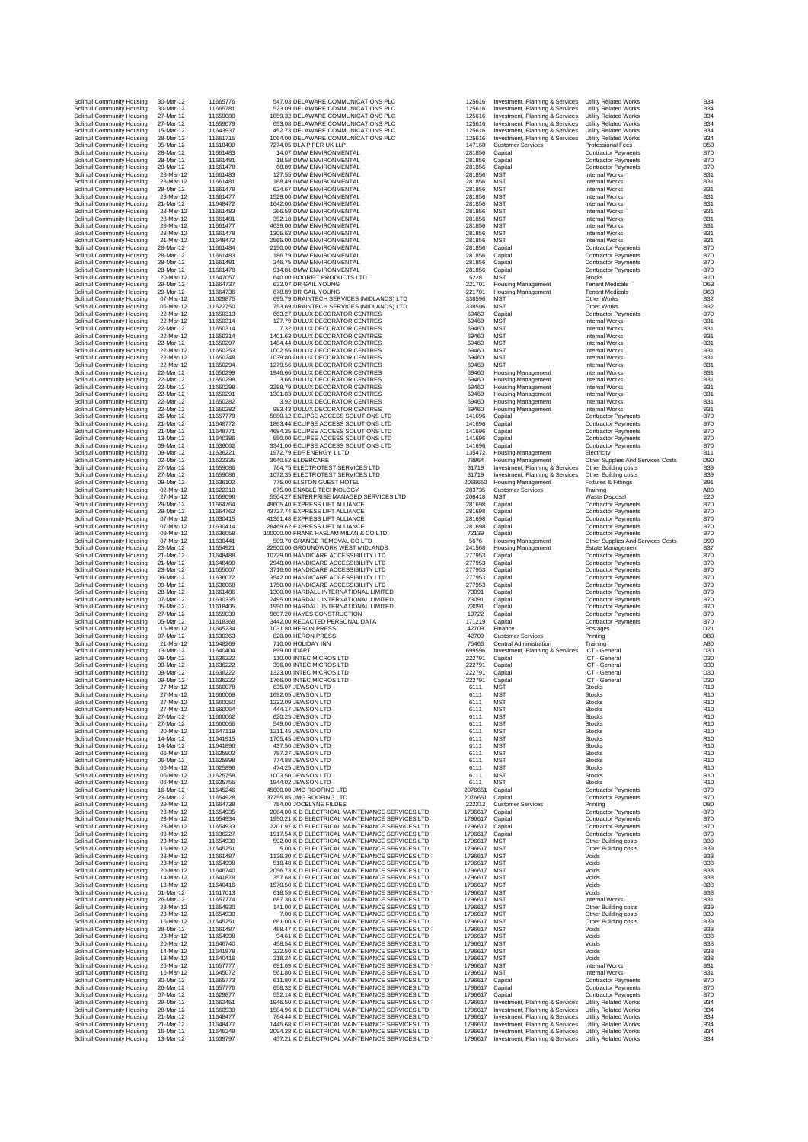| Solihull Community Housing<br>Solihull Community Housing | 30-Mar-12<br>30-Mar-12 | 116<br>116 |
|----------------------------------------------------------|------------------------|------------|
| Solihull Community Housing                               | 27-Mar-12              | 116        |
| Solihull Community Housing                               | 27-Mar-12              | 116        |
| Solihull Community Housing<br>Solihull Community Housing | 15-Mar-12<br>28-Mar-12 | 116<br>116 |
| Solihull Community Housing                               | 05-Mar-12              | 116        |
| Solihull Community Housing                               | 28-Mar-12              | 116        |
| Solihull Community Housing                               | 28-Mar-12              | 116        |
| Solihull Community Housing<br>Solihull Community Housing | 28-Mar-12<br>28-Mar-12 | 116<br>116 |
| Solihull Community Housing                               | 28-Mar-12              | 116        |
| Solihull Community Housing                               | 28-Mar-12              | 116        |
| Solihull Community Housing<br>Solihull Community Housing | 28-Mar-12<br>21-Mar-12 | 116<br>116 |
| Solihull Community Housing                               | 28-Mar-12              | 116        |
| Solihull Community Housing                               | 28-Mar-12              | 116        |
| Solihull Community Housing                               | 28-Mar-12              | 116<br>116 |
| Solihull Community Housing<br>Solihull Community Housing | 28-Mar-12<br>21-Mar-12 | 116        |
| Solihull Community Housing                               | 28-Mar-12              | 116        |
| Solihull Community Housing                               | 28-Mar-12              | 116        |
| Solihull Community Housing<br>Solihull Community Housing | 28-Mar-12<br>28-Mar-12 | 116<br>116 |
| Solihull Community Housing                               | 20-Mar-12              | 116        |
| Solihull Community Housing                               | 29-Mar-12              | 116        |
| Solihull Community Housing<br>Solihull Community Housing | 29-Mar-12<br>07-Mar-12 | 116<br>116 |
| Solihull Community Housing                               | 05-Mar-12              | 116        |
| Solihull Community Housing                               | 22-Mar-12              | 116        |
| Solihull Community Housing                               | 22-Mar-12              | 116<br>116 |
| Solihull Community Housing<br>Solihull Community Housing | 22-Mar-12<br>22-Mar-12 | 116        |
| Solihull Community Housing                               | 22-Mar-12              | 116        |
| Solihull Community Housing                               | 22-Mar-12              | 116        |
| Solihull Community Housing<br>Solihull Community Housing | 22-Mar-12<br>22-Mar-12 | 116<br>116 |
| Solihull Community Housing                               | 22-Mar-12              | 116        |
| Solihull Community Housing                               | 22-Mar-12              | 116        |
| Solihull Community Housing<br>Solihull Community Housing | 22-Mar-12<br>22-Mar-12 | 116<br>116 |
| Solihull Community Housing                               | 22-Mar-12              | 116        |
| Solihull Community Housing                               | 22-Mar-12              | 116        |
| Solihull Community Housing                               | 26-Mar-12              | 116        |
| Solihull Community Housing<br>Solihull Community Housing | 21-Mar-12<br>21-Mar-12 | 116<br>116 |
| Solihull Community Housing                               | 13-Mar-12              | 116        |
| Solihull Community Housing                               | 09-Mar-12              | 116        |
| Solihull Community Housing<br>Solihull Community Housing | 09-Mar-12<br>02-Mar-12 | 116<br>116 |
| Solihull Community Housing                               | 27-Mar-12              | 116        |
| Solihull Community Housing                               | 27-Mar-12              | 116        |
| Solihull Community Housing                               | 09-Mar-12<br>02-Mar-12 | 116<br>116 |
| Solihull Community Housing<br>Solihull Community Housing | 27-Mar-12              | 116        |
| Solihull Community Housing                               | 29-Mar-12              | 116        |
| Solihull Community Housing                               | 29-Mar-12              | 116        |
| Solihull Community Housing<br>Solihull Community Housing | 07-Mar-12<br>07-Mar-12 | 116<br>116 |
| Solihull Community Housing                               | 09-Mar-12              | 116        |
| Solihull Community Housing                               | 07-Mar-12              | 116        |
| Solihull Community Housing<br>Solihull Community Housing | 23-Mar-12<br>21-Mar-12 | 116<br>116 |
| Solihull Community Housing                               | 21-Mar-12              | 116        |
| Solihull Community Housing                               | 23-Mar-12              | 116        |
| Solihull Community Housing<br>Solihull Community Housing | 09-Mar-12<br>09-Mar-12 | 116<br>116 |
| Solihull Community Housing                               | 28-Mar-12              | 116        |
| Solihull Community Housing                               | 07-Mar-12              | 116        |
| Solihull Community Housing<br>Solihull Community Housing | 05-Mar-12<br>27-Mar-12 | 116<br>116 |
| Solihull Community Housing                               | 05-Mar-12              | 116        |
| Solihull Community Housing                               | 16-Mar-12              | 116        |
| Solihull Community Housing                               | 07-Mar-12              | 116        |
| Solihull Community Housing<br>Solihull Community Housing | 21-Mar-12<br>13-Mar-12 | 116<br>116 |
| Solihull Community Housing                               | 09-Mar-12              | 116        |
| Solihull Community Housing                               | 09-Mar-12              | 116        |
| Solihull Community Housing<br>Solihull Community Housing | 09-Mar-12<br>09-Mar-12 | 116<br>116 |
| Solihull Community Housing                               | 27-Mar-12              | 116        |
| Solihull Community Housing                               | 27-Mar-12              | 116        |
| Solihull Community Housing<br>Solihull Community Housing | 27-Mar-12<br>27-Mar-12 | 116<br>116 |
| Solihull Community Housing                               | 27-Mar-12              | 116        |
| Solihull Community Housing                               | 27-Mar-12              | 116        |
| Solihull Community Housing                               | 20-Mar-12              | 116        |
| Solihull Community Housing<br>Solihull Community Housing | 14-Mar-12<br>14-Mar-12 | 116<br>116 |
| Solihull Community Housing                               | 06-Mar-12              | 116        |
| Solihull Community Housing                               | 06-Mar-12              | 116        |
| Solihull Community Housing<br>Solihull Community Housing | 06-Mar-12<br>06-Mar-12 | 116<br>116 |
| Solihull Community Housing                               | 06-Mar-12              | 116        |
| Solihull Community Housing                               | 16-Mar-12              | 116        |
| Solihull Community Housing<br>Solihull Community Housing | 23-Mar-12<br>29-Mar-12 | 116<br>116 |
| Solihull Community Housing                               | 23-Mar-12              | 116        |
| Solihull Community Housing                               | 23-Mar-12              | 116        |
| Solihull Community Housing<br>Solihull Community Housing | 23-Mar-12<br>09-Mar-12 | 116<br>116 |
| Solihull Community Housing                               | 23-Mar-12              | 116        |
| Solihull Community Housing                               | 16-Mar-12              | 116        |
| Solihull Community Housing<br>Solihull Community Housing | 28-Mar-12<br>23-Mar-12 | 116<br>116 |
| Solihull Community Housing                               | 20-Mar-12              | 116        |
| Solihull Community Housing                               | 14-Mar-12              | 116        |
| Solihull Community Housing                               | 13-Mar-12<br>01-Mar-12 | 116        |
| Solihull Community Housing<br>Solihull Community Housing | 26-Mar-12              | 116<br>116 |
| Solihull Community Housing                               | 23-Mar-12              | 116        |
| Solihull Community Housing                               | 23-Mar-12              | 116        |
| Solihull Community Housing<br>Solihull Community Housing | 16-Mar-12<br>28-Mar-12 | 116<br>116 |
| Solihull Community Housing                               | 23-Mar-12              | 116        |
| Solihull Community Housing                               | 20-Mar-12              | 116        |
| Solihull Community Housing<br>Solihull Community Housing | 14-Mar-12<br>13-Mar-12 | 116<br>116 |
| Solihull Community Housing                               | 26-Mar-12              | 116        |
| Solihull Community Housing                               | 16-Mar-12              | 116<br>116 |
| Solihull Community Housing<br>Solihull Community Housing | 30-Mar-12<br>26-Mar-12 | 116        |
| Solihull Community Housing                               | 07-Mar-12              | 116        |
| Solihull Community Housing                               | 29-Mar-12              | 116        |
| Solihull Community Housing<br>Solihull Community Housing | 28-Mar-12<br>21-Mar-12 | 116<br>116 |
| Solihull Community Housing                               | 21-Mar-12              | 116        |
| Solihull Community Housing                               | 16-Mar-12              | 116        |
| Solihull Community Housing                               | 13-Mar-12              | 116        |

|              | 547.03 DELAWARE COMMUNICATIONS PLC                                                         |
|--------------|--------------------------------------------------------------------------------------------|
|              | 523.09 DELAWARE COMMUNICATIONS PLC                                                         |
|              | 1859.32 DELAWARE COMMUNICATIONS PLC                                                        |
|              | 653.08 DELAWARE COMMUNICATIONS PLC                                                         |
|              | 452.73 DELAWARE COMMUNICATIONS PLC<br>1064.00 DELAWARE COMMUNICATIONS PLC                  |
|              | 7274.05 DLA PIPER UK LLP                                                                   |
|              | 14.07 DMW ENVIRONMENTAL                                                                    |
|              | 18.58 DMW ENVIRONMENTAL                                                                    |
|              | 68.89 DMW ENVIRONMENTAL                                                                    |
|              | 127.55 DMW ENVIRONMENTAL<br>168.49 DMW ENVIRONMENTAL                                       |
|              | 624.67 DMW ENVIRONMENTAL                                                                   |
|              | 1529.00 DMW ENVIRONMENTAL                                                                  |
|              | 1642.00 DMW ENVIRONMENTAL                                                                  |
|              | 266.59 DMW ENVIRONMENTAL                                                                   |
|              | 352.18 DMW ENVIRONMENTAL                                                                   |
|              | 4639.00 DMW ENVIRONMENTAL<br>1305.63 DMW ENVIRONMENTAL                                     |
|              | 2565.00 DMW ENVIRONMENTAL                                                                  |
|              | 2150.00 DMW ENVIRONMENTAL                                                                  |
|              | 186.79 DMW ENVIRONMENTAL                                                                   |
|              | 246.75 DMW ENVIRONMENTAL                                                                   |
|              | 914.81 DMW ENVIRONMENTAL<br>640.00 DOORFIT PRODUCTS LTD                                    |
|              |                                                                                            |
|              | 632.07 DR GAIL YOUNG<br>678.89 DR GAIL YOUNG                                               |
|              | 695.79 DRAINTECH SERVICES (MIDLANDS) LTD                                                   |
|              | 753.69 DRAINTECH SERVICES (MIDLANDS) LTD                                                   |
|              | 663.27 DULUX DECORATOR CENTRES                                                             |
|              | 127.79 DULUX DECORATOR CENTRES<br>7.32 DULUX DECORATOR CENTRES                             |
|              | 1401.63 DULUX DECORATOR CENTRES                                                            |
|              | 1484.44 DULUX DECORATOR CENTRES                                                            |
|              | 1002.55 DULUX DECORATOR CENTRES                                                            |
|              | 1039.80 DULUX DECORATOR CENTRES                                                            |
|              | 1279.56 DULUX DECORATOR CENTRES                                                            |
|              | 1946.66 DULUX DECORATOR CENTRES                                                            |
|              | 3.66 DULUX DECORATOR CENTRES<br>3288.79 DULUX DECORATOR CENTRES                            |
|              | 1301.83 DULUX DECORATOR CENTRES                                                            |
|              | 3.92 DULUX DECORATOR CENTRES                                                               |
|              | 983.43 DULUX DECORATOR CENTRES                                                             |
|              | 5880.12 ECLIPSE ACCESS SOLUTIONS LTD                                                       |
|              | 1863.44 ECLIPSE ACCESS SOLUTIONS LTD<br>4684.25 ECLIPSE ACCESS SOLUTIONS LTD               |
|              | 550.00 ECLIPSE ACCESS SOLUTIONS LTD                                                        |
|              | 3341.00 ECLIPSE ACCESS SOLUTIONS LTD                                                       |
|              | 1972.79 EDF ENERGY 1 LTD                                                                   |
|              | 3640.52 ELDERCARE                                                                          |
|              | 764.75 ELECTROTEST SERVICES LTD                                                            |
|              | 1072.35 ELECTROTEST SERVICES LTD<br>775.00 ELSTON GUEST HOTEL                              |
|              | 675.00 ENABLE TECHNOLOGY                                                                   |
|              | 5504.27 ENTERPRISE MANAGED SERVICES LTD                                                    |
|              | 49605.40 EXPRESS LIFT ALLIANCE<br>43727.74 EXPRESS LIFT ALLIANCE                           |
|              |                                                                                            |
|              | 41361.48 EXPRESS LIFT ALLIANCE                                                             |
|              | 28469.62 EXPRESS LIFT ALLIANCE                                                             |
|              | 00000.00 FRANK HASLAM MILAN & CO LTD<br>509.70 GRANGE REMOVAL CO LTD                       |
|              | 22500.00 GROUNDWORK WEST MIDLANDS                                                          |
|              | 10729.00 HANDICARE ACCESSIBILITY LTD                                                       |
|              | 2948.00 HANDICARE ACCESSIBILITY LTD                                                        |
|              | 3716.00 HANDICARE ACCESSIBILITY LTD<br>3542.00 HANDICARE ACCESSIBILITY LTD                 |
|              | 1750.00 HANDICARE ACCESSIBILITY LTD                                                        |
|              | 1300.00 HARDALL INTERNATIONAL LIMITED                                                      |
|              | 2495.00 HARDALL INTERNATIONAL LIMITED                                                      |
|              | 1950.00 HARDALL INTERNATIONAL LIMITED                                                      |
|              | 9607.20 HAYES CONSTRUCTION                                                                 |
|              |                                                                                            |
|              | 3442.00 REDACTED PERSONAL DATA                                                             |
|              | 1031.80 HERON PRESS                                                                        |
|              | 820.00 HERON PRESS                                                                         |
| 899.00 IDAPT | 710.00 HOLIDAY INN                                                                         |
|              | 110.00 INTEC MICROS LTD                                                                    |
|              | 396.00 INTEC MICROS LTD                                                                    |
|              | 1323.00 INTEC MICROS LTD                                                                   |
|              | 1766.00 INTEC MICROS LTD                                                                   |
|              |                                                                                            |
|              | 635.07 JEWSON LTD<br>1692.05 JEWSON LTD<br>1232.09 JEWSON LTD                              |
|              | 444.17 JEWSON LTD                                                                          |
|              | 620.25 JEWSON LTD                                                                          |
|              | 549.00 JEWSON LTD                                                                          |
|              | 1211.45 JEWSON LTD<br>1705.45 JEWSON LTD                                                   |
|              | 437.50 JEWSON LTD                                                                          |
|              | 787.27 JEWSON LTD                                                                          |
|              | 774.88 JEWSON LTD                                                                          |
|              | 474.25 JEWSON LTD                                                                          |
|              | 1003.50 JEWSON LTD<br>1944.02 JEWSON LTD                                                   |
|              | 45600.00 JMG ROOFING LTD                                                                   |
|              | 37755.85 JMG ROOFING LTD                                                                   |
|              | 754.00 JOCELYNE FILDES                                                                     |
|              | 2064.00 K D ELECTRICAL MAINTENANCE SERVICES                                                |
|              | 1950.21 K D ELECTRICAL MAINTENANCE SERVICES                                                |
|              | 2201.97 K D ELECTRICAL MAINTENANCE SERVICES<br>1917.54 K D ELECTRICAL MAINTENANCE SERVICES |
|              | 592.00 K D ELECTRICAL MAINTENANCE SERVICES                                                 |
|              | 5.00 K D ELECTRICAL MAINTENANCE SERVICES                                                   |
|              | 1136.30 K D ELECTRICAL MAINTENANCE SERVICES                                                |
|              | 518.48 K D ELECTRICAL MAINTENANCE SERVICES                                                 |
|              | 2056.73 K D ELECTRICAL MAINTENANCE SERVICES<br>357.68 K D ELECTRICAL MAINTENANCE SERVICES  |
|              | 1570.50 K D ELECTRICAL MAINTENANCE SERVICES                                                |
|              | 618.59 K D ELECTRICAL MAINTENANCE SERVICES                                                 |
|              | 687.30 K D ELECTRICAL MAINTENANCE SERVICES                                                 |
|              | 141.00 K D ELECTRICAL MAINTENANCE SERVICES                                                 |
|              | 7.00 K D ELECTRICAL MAINTENANCE SERVICES<br>661.00 K D ELECTRICAL MAINTENANCE SERVICES     |
|              | 488.47 K D ELECTRICAL MAINTENANCE SERVICES                                                 |
|              | 94.61 K D ELECTRICAL MAINTENANCE SERVICES                                                  |
|              | 458.54 K D ELECTRICAL MAINTENANCE SERVICES                                                 |
|              | 222.50 K D ELECTRICAL MAINTENANCE SERVICES                                                 |
|              | 218.24 K D ELECTRICAL MAINTENANCE SERVICES<br>691.69 K D ELECTRICAL MAINTENANCE SERVICES   |
|              | 561.80 K D ELECTRICAL MAINTENANCE SERVICES                                                 |
|              | 611.80 K D ELECTRICAL MAINTENANCE SERVICES                                                 |
|              | 658.32 K D ELECTRICAL MAINTENANCE SERVICES                                                 |
|              | 552.14 K D ELECTRICAL MAINTENANCE SERVICES                                                 |
|              | 1946.50 K D ELECTRICAL MAINTENANCE SERVICES                                                |
|              | 1584.96 K D ELECTRICAL MAINTENANCE SERVICES<br>764.44 K D ELECTRICAL MAINTENANCE SERVICES  |
|              | 1445.68 K D ELECTRICAL MAINTENANCE SERVICES                                                |
|              | 2094.28 K D ELECTRICAL MAINTENANCE SERVICES<br>457.21 K D ELECTRICAL MAINTENANCE SERVICES  |

| Solihull Community Housing<br>Solihull Community Housing | 30-Mar-12<br>30-Mar-12 | 11665776<br>11665781 | 547.03 DELAWARE COMMUNICATIONS PLC<br>523.09 DELAWARE COMMUNICATIONS PLC                           | 125616<br>125616       | Investment, Planning & Services<br>Investment, Planning & Services         | Utility Related Works<br><b>Utility Related Works</b>         | B <sub>34</sub><br>B34            |
|----------------------------------------------------------|------------------------|----------------------|----------------------------------------------------------------------------------------------------|------------------------|----------------------------------------------------------------------------|---------------------------------------------------------------|-----------------------------------|
| Solihull Community Housing                               | 27-Mar-12              | 11659080             | 1859.32 DELAWARE COMMUNICATIONS PLC                                                                | 125616                 | Investment, Planning & Services                                            | Utility Related Works                                         | B <sub>3</sub>                    |
| Solihull Community Housing                               | 27-Mar-12              | 11659079             | 653.08 DELAWARE COMMUNICATIONS PLC                                                                 | 125616                 | Investment, Planning & Services                                            | Utility Related Works                                         | B <sub>3</sub>                    |
| Solihull Community Housing<br>Solihull Community Housing | 15-Mar-12<br>28-Mar-12 | 11643937<br>11661715 | 452.73 DELAWARE COMMUNICATIONS PLC<br>1064.00 DELAWARE COMMUNICATIONS PLC                          | 125616<br>125616       | Investment, Planning & Services<br>Investment, Planning & Services         | <b>Utility Related Works</b><br><b>Utility Related Works</b>  | B <sub>3</sub><br>B <sub>34</sub> |
| Solihull Community Housing                               | 05-Mar-12              | 11618400             | 7274.05 DLA PIPER UK LLP                                                                           | 147168                 | <b>Customer Services</b>                                                   | Professional Fees                                             | D <sub>5</sub>                    |
| Solihull Community Housing                               | 28-Mar-12              | 11661483             | 14.07 DMW ENVIRONMENTAL                                                                            | 281856                 | Capital                                                                    | <b>Contractor Payments</b>                                    | <b>B70</b>                        |
| Solihull Community Housing                               | 28-Mar-12              | 11661481             | 18.58 DMW ENVIRONMENTAL                                                                            | 281856                 | Capital                                                                    | <b>Contractor Payments</b>                                    | <b>B70</b>                        |
| Solihull Community Housing<br>Solihull Community Housing | 28-Mar-12<br>28-Mar-12 | 11661478<br>11661483 | 68.89 DMW ENVIRONMENTAL<br>127.55 DMW ENVIRONMENTAL                                                | 281856<br>281856       | Capital<br><b>MST</b>                                                      | <b>Contractor Payments</b><br>Internal Works                  | <b>B70</b><br>B <sub>3</sub>      |
| Solihull Community Housing                               | 28-Mar-12              | 11661481             | 168.49 DMW ENVIRONMENTAL                                                                           | 281856                 | <b>MST</b>                                                                 | <b>Internal Works</b>                                         | B <sub>3</sub>                    |
| Solihull Community Housing                               | 28-Mar-12              | 11661478             | 624.67 DMW ENVIRONMENTAL                                                                           | 281856                 | <b>MST</b>                                                                 | <b>Internal Works</b>                                         | B <sub>3</sub>                    |
| Solihull Community Housing<br>Solihull Community Housing | 28-Mar-12<br>21-Mar-12 | 11661477<br>11648472 | 1529.00 DMW ENVIRONMENTAL<br>1642.00 DMW ENVIRONMENTAL                                             | 281856<br>281856       | <b>MST</b><br><b>MST</b>                                                   | <b>Internal Works</b><br><b>Internal Works</b>                | B <sub>3</sub><br>B <sub>3</sub>  |
| Solihull Community Housing                               | 28-Mar-12              | 11661483             | 266.59 DMW ENVIRONMENTAL                                                                           | 281856                 | <b>MST</b>                                                                 | Internal Works                                                | B <sub>3</sub>                    |
| Solihull Community Housing                               | 28-Mar-12              | 11661481             | 352.18 DMW ENVIRONMENTAL                                                                           | 281856                 | <b>MST</b>                                                                 | <b>Internal Works</b>                                         | B <sub>3</sub>                    |
| Solihull Community Housing                               | 28-Mar-12              | 11661477             | 4639.00 DMW ENVIRONMENTAL                                                                          | 281856                 | <b>MST</b>                                                                 | <b>Internal Works</b>                                         | B <sub>3</sub>                    |
| Solihull Community Housing<br>Solihull Community Housing | 28-Mar-12<br>21-Mar-12 | 11661478<br>11648472 | 1305.63 DMW ENVIRONMENTAL<br>2565.00 DMW ENVIRONMENTAL                                             | 281856<br>281856       | <b>MST</b><br><b>MST</b>                                                   | <b>Internal Works</b><br><b>Internal Works</b>                | B <sub>3</sub><br>B <sub>3</sub>  |
| Solihull Community Housing                               | 28-Mar-12              | 11661484             | 2150.00 DMW ENVIRONMENTAL                                                                          | 281856                 | Capital                                                                    | <b>Contractor Payments</b>                                    | <b>B70</b>                        |
| Solihull Community Housing                               | 28-Mar-12              | 11661483             | 186.79 DMW ENVIRONMENTAL                                                                           | 281856                 | Capital                                                                    | <b>Contractor Payments</b>                                    | <b>B70</b>                        |
| Solihull Community Housing                               | 28-Mar-12              | 11661481             | 246.75 DMW ENVIRONMENTAL                                                                           | 281856                 | Capital                                                                    | <b>Contractor Payments</b>                                    | <b>B70</b>                        |
| Solihull Community Housing<br>Solihull Community Housing | 28-Mar-12<br>20-Mar-12 | 11661478<br>11647057 | 914.81 DMW ENVIRONMENTAL<br>640.00 DOORFIT PRODUCTS LTD                                            | 281856<br>5228         | Capital<br><b>MST</b>                                                      | <b>Contractor Payments</b><br><b>Stocks</b>                   | <b>B70</b><br>R <sub>1</sub>      |
| Solihull Community Housing                               | 29-Mar-12              | 11664737             | 632.07 DR GAIL YOUNG                                                                               | 221701                 | Housing Management                                                         | <b>Tenant Medicals</b>                                        | D <sub>6</sub>                    |
| Solihull Community Housing                               | 29-Mar-12              | 11664736             | 678.89 DR GAIL YOUNG                                                                               | 221701                 | Housing Management                                                         | <b>Tenant Medicals</b>                                        | D <sub>6</sub>                    |
| Solihull Community Housing                               | 07-Mar-12              | 11629875             | 695.79 DRAINTECH SERVICES (MIDLANDS) LTD                                                           | 338596                 | <b>MST</b><br><b>MST</b>                                                   | Other Works                                                   | <b>B32</b><br><b>B32</b>          |
| Solihull Community Housing<br>Solihull Community Housing | 05-Mar-12<br>22-Mar-12 | 11622750<br>11650313 | 753.69 DRAINTECH SERVICES (MIDLANDS) LTD<br>663.27 DULUX DECORATOR CENTRES                         | 338596<br>69460        | Capital                                                                    | Other Works<br><b>Contractor Payments</b>                     | <b>B70</b>                        |
| Solihull Community Housing                               | 22-Mar-12              | 11650314             | 127.79 DULUX DECORATOR CENTRES                                                                     | 69460                  | MST                                                                        | Internal Works                                                | B <sub>3</sub>                    |
| Solihull Community Housing                               | 22-Mar-12              | 11650314             | 7.32 DULUX DECORATOR CENTRES                                                                       | 69460                  | <b>MST</b>                                                                 | <b>Internal Works</b>                                         | B <sub>3</sub>                    |
| Solihull Community Housing<br>Solihull Community Housing | 22-Mar-12<br>22-Mar-12 | 11650314<br>11650297 | 1401.63 DULUX DECORATOR CENTRES<br>1484.44 DULUX DECORATOR CENTRES                                 | 69460<br>69460         | <b>MST</b><br><b>MST</b>                                                   | <b>Internal Works</b><br><b>Internal Works</b>                | B <sub>3</sub><br>B <sub>3</sub>  |
| Solihull Community Housing                               | 22-Mar-12              | 11650253             | 1002.55 DULUX DECORATOR CENTRES                                                                    | 69460                  | <b>MST</b>                                                                 | <b>Internal Works</b>                                         | B <sub>3</sub>                    |
| Solihull Community Housing                               | 22-Mar-12              | 11650248             | 1039.80 DULUX DECORATOR CENTRES                                                                    | 69460                  | <b>MST</b>                                                                 | Internal Works                                                | B <sub>3</sub>                    |
| Solihull Community Housing                               | 22-Mar-12<br>22-Mar-12 | 11650294             | 1279.56 DULUX DECORATOR CENTRES                                                                    | 69460<br>69460         | <b>MST</b>                                                                 | <b>Internal Works</b><br><b>Internal Works</b>                | B <sub>3</sub><br>B <sub>3</sub>  |
| Solihull Community Housing<br>Solihull Community Housing | 22-Mar-12              | 11650299<br>11650298 | 1946.66 DULUX DECORATOR CENTRES<br>3.66 DULUX DECORATOR CENTRES                                    | 69460                  | <b>Housing Management</b><br><b>Housing Management</b>                     | <b>Internal Works</b>                                         | B <sub>3</sub>                    |
| Solihull Community Housing                               | 22-Mar-12              | 11650298             | 3288.79 DULUX DECORATOR CENTRES                                                                    | 69460                  | Housing Management                                                         | <b>Internal Works</b>                                         | B <sub>3</sub>                    |
| Solihull Community Housing                               | 22-Mar-12              | 11650291             | 1301.83 DULUX DECORATOR CENTRES                                                                    | 69460                  | Housing Management                                                         | Internal Works                                                | B <sub>3</sub>                    |
| Solihull Community Housing<br>Solihull Community Housing | 22-Mar-12<br>22-Mar-12 | 11650282<br>11650282 | 3.92 DULUX DECORATOR CENTRES<br>983.43 DULUX DECORATOR CENTRES                                     | 69460<br>69460         | <b>Housing Management</b><br><b>Housing Management</b>                     | <b>Internal Works</b><br><b>Internal Works</b>                | B <sub>3</sub><br>B <sub>3</sub>  |
| Solihull Community Housing                               | 26-Mar-12              | 11657779             | 5880.12 ECLIPSE ACCESS SOLUTIONS LTD                                                               | 141696                 | Capital                                                                    | <b>Contractor Payments</b>                                    | <b>B70</b>                        |
| Solihull Community Housing                               | 21-Mar-12              | 11648772             | 1863.44 ECLIPSE ACCESS SOLUTIONS LTD                                                               | 141696                 | Capital                                                                    | <b>Contractor Payments</b>                                    | <b>B70</b>                        |
| Solihull Community Housing                               | 21-Mar-12              | 11648771             | 4684.25 ECLIPSE ACCESS SOLUTIONS LTD                                                               | 141696                 | Capital                                                                    | <b>Contractor Payments</b>                                    | B70                               |
| Solihull Community Housing<br>Solihull Community Housing | 13-Mar-12<br>09-Mar-12 | 11640386<br>11636062 | 550.00 ECLIPSE ACCESS SOLUTIONS LTD<br>3341.00 ECLIPSE ACCESS SOLUTIONS LTD                        | 141696<br>141696       | Capital<br>Capital                                                         | <b>Contractor Payments</b><br><b>Contractor Payments</b>      | <b>B70</b><br><b>B70</b>          |
| Solihull Community Housing                               | 09-Mar-12              | 11636221             | 1972.79 EDF ENERGY 1 LTD                                                                           | 135472                 | Housing Management                                                         | Electricity                                                   | B11                               |
| Solihull Community Housing                               | 02-Mar-12              | 11622335             | 3640.52 ELDERCARE                                                                                  | 78964                  | <b>Housing Management</b>                                                  | Other Supplies And Services Costs                             | D <sub>9</sub>                    |
| Solihull Community Housing                               | 27-Mar-12              | 11659086             | 764.75 ELECTROTEST SERVICES LTD                                                                    | 31719                  | Investment, Planning & Services                                            | Other Building costs                                          | <b>B39</b>                        |
| Solihull Community Housing<br>Solihull Community Housing | 27-Mar-12<br>09-Mar-12 | 11659086<br>11636102 | 1072.35 FLECTROTEST SERVICES LTD<br>775.00 ELSTON GUEST HOTEL                                      | 31719<br>2066650       | Investment, Planning & Services<br><b>Housing Management</b>               | Other Building costs<br>Fixtures & Fittings                   | B39<br>B <sub>9</sub>             |
| Solihull Community Housing                               | 02-Mar-12              | 11622310             | 675.00 ENABLE TECHNOLOGY                                                                           | 283735                 | <b>Customer Services</b>                                                   | Training                                                      | A80                               |
| Solihull Community Housing                               | 27-Mar-12              | 11659096             | 5504.27 ENTERPRISE MANAGED SERVICES LTD                                                            | 206418                 | <b>MST</b>                                                                 | <b>Waste Disposal</b>                                         | E20                               |
| Solihull Community Housing                               | 29-Mar-12<br>29-Mar-12 | 11664764<br>11664762 | 49605.40 EXPRESS LIFT ALLIANCE                                                                     | 281698<br>281698       | Capital                                                                    | <b>Contractor Payments</b>                                    | B70<br><b>B70</b>                 |
| Solihull Community Housing<br>Solihull Community Housing | 07-Mar-12              | 11630415             | 43727.74 EXPRESS LIFT ALLIANCE<br>41361.48 EXPRESS LIFT ALLIANCE                                   | 281698                 | Capital<br>Capital                                                         | <b>Contractor Payments</b><br><b>Contractor Payments</b>      | <b>B70</b>                        |
| Solihull Community Housing                               | 07-Mar-12              | 11630414             | 28469.62 EXPRESS LIFT ALLIANCE                                                                     | 281698                 | Capital                                                                    | <b>Contractor Payments</b>                                    | <b>B70</b>                        |
| Solihull Community Housing                               | 09-Mar-12              | 11636058             | 100000.00 FRANK HASLAM MILAN & CO LTD                                                              | 72139                  | Capital                                                                    | <b>Contractor Payments</b>                                    | <b>B70</b>                        |
| Solihull Community Housing<br>Solihull Community Housing | 07-Mar-12<br>23-Mar-12 | 11630441<br>11654921 | 509.70 GRANGE REMOVAL CO LTD<br>22500.00 GROUNDWORK WEST MIDLANDS                                  | 5676<br>241568         | <b>Housing Management</b><br><b>Housing Management</b>                     | Other Supplies And Services Costs<br><b>Estate Management</b> | D <sub>90</sub><br><b>B37</b>     |
| Solihull Community Housing                               | 21-Mar-12              | 11648488             | 10729.00 HANDICARE ACCESSIBILITY LTD                                                               | 277953                 | Capital                                                                    | <b>Contractor Payments</b>                                    | <b>B70</b>                        |
| Solihull Community Housing                               | 21-Mar-12              | 11648489             | 2948.00 HANDICARE ACCESSIBILITY LTD                                                                | 277953                 | Capital                                                                    | <b>Contractor Payments</b>                                    | <b>B70</b>                        |
| Solihull Community Housing                               | 23-Mar-12              | 11655007             | 3716.00 HANDICARE ACCESSIBILITY LTD                                                                | 277953                 | Capital                                                                    | <b>Contractor Payments</b>                                    | <b>B70</b>                        |
| Solihull Community Housing<br>Solihull Community Housing | 09-Mar-12<br>09-Mar-12 | 11636072<br>11636068 | 3542.00 HANDICARE ACCESSIBILITY LTD<br>1750.00 HANDICARE ACCESSIBILITY LTD                         | 277953<br>277953       | Capital<br>Capital                                                         | <b>Contractor Payments</b><br><b>Contractor Payments</b>      | B70<br>B70                        |
| Solihull Community Housing                               | 28-Mar-12              | 11661486             | 1300.00 HARDALL INTERNATIONAL LIMITED                                                              | 73091                  | Capital                                                                    | <b>Contractor Payments</b>                                    | <b>B70</b>                        |
| Solihull Community Housing                               | 07-Mar-12              | 11630335             | 2495.00 HARDALL INTERNATIONAL LIMITED                                                              | 73091                  | Capital                                                                    | <b>Contractor Payments</b>                                    | <b>B70</b>                        |
| Solihull Community Housing<br>Solihull Community Housing | 05-Mar-12<br>27-Mar-12 | 11618405<br>11659039 | 1950.00 HARDALL INTERNATIONAL LIMITED<br>9607.20 HAYES CONSTRUCTION                                | 73091<br>10722         | Capital<br>Capital                                                         | <b>Contractor Payments</b><br><b>Contractor Payments</b>      | <b>B70</b><br><b>B70</b>          |
| Solihull Community Housing                               | 05-Mar-12              | 11618368             | 3442.00 REDACTED PERSONAL DATA                                                                     | 171219                 | Capital                                                                    | Contractor Payments                                           | <b>B70</b>                        |
| Solihull Community Housing                               | 16-Mar-12              | 11645234             | 1031.80 HERON PRESS                                                                                | 42709                  | Finance                                                                    | Postages                                                      | D <sub>2</sub>                    |
| Solihull Community Housing                               | 07-Mar-12              | 11630363             | 820.00 HERON PRESS                                                                                 | 42709                  | <b>Customer Services</b>                                                   | Printing                                                      | D80                               |
| Solihull Community Housing<br>Solihull Community Housing | 21-Mar-12<br>13-Mar-12 | 11648269<br>11640404 | 710.00 HOLIDAY INN<br>899.00 IDAPT                                                                 | 75466<br>699596        | <b>Central Administration</b><br>Investment, Planning & Services           | Training<br>ICT - General                                     | A80<br>D <sub>3</sub>             |
| Solihull Community Housing                               | 09-Mar-12              | 11636222             | 110.00 INTEC MICROS LTD                                                                            | 222791                 | Capital                                                                    | ICT - General                                                 | D30                               |
| Solihull Community Housing                               | 09-Mar-12              | 11636222             | 396.00 INTEC MICROS LTD                                                                            | 222791                 | Capital                                                                    | ICT - General                                                 | D30                               |
| Solihull Community Housing<br>Solihull Community Housing | 09-Mar-12<br>09-Mar-12 | 11636222<br>11636222 | 1323.00 INTEC MICROS LTD<br>1766.00 INTEC MICROS LTD                                               | 222791<br>222791       | Capital<br>Capital                                                         | ICT - General<br>ICT - General                                | D30<br>D30                        |
| Solihull Community Housing                               | 27-Mar-12              | 11660078             | 635.07 JEWSON LTD                                                                                  | 6111                   | <b>MST</b>                                                                 | Stocks                                                        | R <sub>1</sub>                    |
| Solihull Community Housing                               | 27-Mar-12              | 11660069             | 1692.05 JEWSON LTD                                                                                 | 6111                   | <b>MST</b>                                                                 | <b>Stocks</b>                                                 | R <sub>1</sub>                    |
| Solihull Community Housing                               | 27-Mar-12              | 11660050             | 1232.09 JEWSON LTD                                                                                 | 6111                   | <b>MST</b>                                                                 | Stocks                                                        | R <sub>1</sub>                    |
| Solihull Community Housing<br>Solihull Community Housing | 27-Mar-12<br>27-Mar-12 | 11660064<br>11660062 | 444.17 JEWSON LTD<br>620.25 JEWSON LTD                                                             | 6111<br>6111           | <b>MST</b><br><b>MST</b>                                                   | Stocks<br><b>Stocks</b>                                       | R <sub>1</sub><br>R <sub>1</sub>  |
| Solihull Community Housing                               | 27-Mar-12              | 11660066             | 549.00 JEWSON LTD                                                                                  | 6111                   | <b>MST</b>                                                                 | Stocks                                                        | R <sub>1</sub>                    |
| Solihull Community Housing                               | 20-Mar-12              | 11647119             | 1211.45 JEWSON LTD                                                                                 | 6111                   | <b>MST</b>                                                                 | <b>Stocks</b>                                                 | R <sub>1</sub>                    |
| Solihull Community Housing<br>Solihull Community Housing | 14-Mar-12<br>14-Mar-12 | 11641915<br>11641896 | 1705.45 JEWSON LTD<br>437.50 JEWSON LTD                                                            | 6111<br>6111           | <b>MST</b><br><b>MST</b>                                                   | Stocks<br><b>Stocks</b>                                       | R <sub>1</sub><br>R <sub>1</sub>  |
| Solihull Community Housing                               | 06-Mar-12              | 11625902             | 787.27 JEWSON LTD                                                                                  | 6111                   | <b>MST</b>                                                                 | <b>Stocks</b>                                                 | R <sub>1</sub>                    |
| Solihull Community Housing                               | 06-Mar-12              | 11625898             | 774.88 JEWSON LTD                                                                                  | 6111                   | <b>MST</b>                                                                 | Stocks                                                        | R <sub>1</sub>                    |
| Solihull Community Housing<br>Solihull Community Housing | 06-Mar-12<br>06-Mar-12 | 11625896<br>11625758 | 474.25 JEWSON LTD<br>1003.50 JEWSON LTD                                                            | 6111<br>6111           | <b>MST</b><br><b>MST</b>                                                   | Stocks<br>Stocks                                              | R <sub>1</sub><br>R <sub>1</sub>  |
| Solihull Community Housing                               | 06-Mar-12              | 11625755             |                                                                                                    |                        |                                                                            | <b>Stocks</b>                                                 | R <sub>1</sub>                    |
|                                                          |                        |                      |                                                                                                    |                        | <b>MST</b>                                                                 |                                                               | <b>B70</b>                        |
| Solihull Community Housing                               | 16-Mar-12              | 11645246             | 1944.02 JEWSON LTD<br>45600.00 JMG ROOFING LTD                                                     | 6111<br>2076651        | Capital                                                                    | <b>Contractor Payments</b>                                    |                                   |
| Solihull Community Housing                               | 23-Mar-12              | 11654928             | 37755.85 JMG ROOFING LTD                                                                           | 2076651                | Capital                                                                    | <b>Contractor Payments</b>                                    | B70                               |
| Solihull Community Housing                               | 29-Mar-12              | 11664738             | 754.00 JOCEL YNF FILDES                                                                            | 222213                 | <b>Customer Services</b>                                                   | Printing                                                      | D80                               |
| Solihull Community Housing<br>Solihull Community Housing | 23-Mar-12<br>23-Mar-12 | 11654935<br>11654934 | 2064.00 K D ELECTRICAL MAINTENANCE SERVICES LTD<br>1950.21 K D ELECTRICAL MAINTENANCE SERVICES LTD | 1796617<br>1796617     | Capital<br>Capital                                                         | <b>Contractor Payments</b><br><b>Contractor Payments</b>      | <b>B70</b><br>B70                 |
| Solihull Community Housing                               | 23-Mar-12              | 11654933             | 2201.97 K D ELECTRICAL MAINTENANCE SERVICES LTD                                                    | 1796617                | Capital                                                                    | <b>Contractor Payments</b>                                    | <b>B70</b>                        |
| Solihull Community Housing                               | 09-Mar-12              | 11636227             | 1917.54 K D ELECTRICAL MAINTENANCE SERVICES LTD                                                    | 1796617                | Capital                                                                    | <b>Contractor Payments</b>                                    | B70                               |
| Solihull Community Housing                               | 23-Mar-12              | 11654930             | 592.00 K D ELECTRICAL MAINTENANCE SERVICES LTD                                                     | 1796617                | MST                                                                        | Other Building costs                                          | <b>B39</b><br><b>B39</b>          |
| Solihull Community Housing<br>Solihull Community Housing | 16-Mar-12<br>28-Mar-12 | 11645251<br>11661487 | 5.00 K D ELECTRICAL MAINTENANCE SERVICES LTD<br>1136.30 K D ELECTRICAL MAINTENANCE SERVICES LTD    | 1796617<br>1796617     | <b>MST</b><br><b>MST</b>                                                   | Other Building costs<br>Voids                                 | <b>B38</b>                        |
| Solihull Community Housing                               | 23-Mar-12              | 11654998             | 518.48 K D ELECTRICAL MAINTENANCE SERVICES LTD                                                     | 1796617                | <b>MST</b>                                                                 | Voids                                                         | <b>B38</b>                        |
| Solihull Community Housing                               | 20-Mar-12              | 11646740             | 2056.73 K D ELECTRICAL MAINTENANCE SERVICES LTD                                                    | 1796617                | MST                                                                        | Voids                                                         | <b>B38</b>                        |
| Solihull Community Housing<br>Solihull Community Housing | 14-Mar-12<br>13-Mar-12 | 11641878<br>11640416 | 357.68 K D ELECTRICAL MAINTENANCE SERVICES LTD<br>1570.50 K D ELECTRICAL MAINTENANCE SERVICES LTD  | 1796617<br>1796617     | <b>MST</b><br><b>MST</b>                                                   | Voids<br>Voids                                                | <b>B38</b><br><b>B38</b>          |
| Solihull Community Housing                               | 01-Mar-12              | 11617013             | 618.59 K D ELECTRICAL MAINTENANCE SERVICES LTD                                                     | 1796617                | <b>MST</b>                                                                 | Voids                                                         | <b>B38</b>                        |
| Solihull Community Housing                               | 26-Mar-12              | 11657774             | 687.30 K D ELECTRICAL MAINTENANCE SERVICES LTD                                                     | 1796617                | <b>MST</b>                                                                 | <b>Internal Works</b>                                         | B <sub>3</sub>                    |
| Solihull Community Housing                               | 23-Mar-12              | 11654930<br>11654930 | 141.00 K D ELECTRICAL MAINTENANCE SERVICES LTD                                                     | 1796617 MST<br>1796617 | MST                                                                        | Other Building costs                                          | <b>B39</b><br><b>B39</b>          |
| Solihull Community Housing<br>Solihull Community Housing | 23-Mar-12<br>16-Mar-12 | 11645251             | 7.00 K D ELECTRICAL MAINTENANCE SERVICES LTD<br>661.00 K D ELECTRICAL MAINTENANCE SERVICES LTD     | 1796617                | <b>MST</b>                                                                 | Other Building costs<br>Other Building costs                  | <b>B39</b>                        |
| Solihull Community Housing                               | 28-Mar-12              | 11661487             | 488.47 K D ELECTRICAL MAINTENANCE SERVICES LTD                                                     | 1796617                | <b>MST</b>                                                                 | Voids                                                         | <b>B38</b>                        |
| Solihull Community Housing                               | 23-Mar-12              | 11654998             | 94.61 K D ELECTRICAL MAINTENANCE SERVICES LTD                                                      | 1796617                | <b>MST</b>                                                                 | Voids                                                         | <b>B38</b>                        |
| Solihull Community Housing<br>Solihull Community Housing | 20-Mar-12<br>14-Mar-12 | 11646740<br>11641878 | 458.54 K D ELECTRICAL MAINTENANCE SERVICES LTD<br>222.50 K D ELECTRICAL MAINTENANCE SERVICES LTD   | 1796617 MST<br>1796617 | MST                                                                        | Voids<br>Voids                                                | <b>B38</b><br><b>B38</b>          |
| Solihull Community Housing                               | 13-Mar-12              | 11640416             | 218.24 K D ELECTRICAL MAINTENANCE SERVICES LTD                                                     | 1796617                | <b>MST</b>                                                                 | Voids                                                         | <b>B38</b>                        |
| Solihull Community Housing                               | 26-Mar-12              | 11657777             | 691.69 K D ELECTRICAL MAINTENANCE SERVICES LTD                                                     | 1796617                | <b>MST</b>                                                                 | Internal Works                                                | B <sub>3</sub>                    |
| Solihull Community Housing                               | 16-Mar-12              | 11645072             | 561.80 K D ELECTRICAL MAINTENANCE SERVICES LTD                                                     | 1796617                | <b>MST</b>                                                                 | <b>Internal Works</b>                                         | B <sub>3</sub>                    |
| Solihull Community Housing<br>Solihull Community Housing | 30-Mar-12<br>26-Mar-12 | 11665773<br>11657776 | 611.80 K D ELECTRICAL MAINTENANCE SERVICES LTD<br>658.32 K D ELECTRICAL MAINTENANCE SERVICES LTD   | 1796617<br>1796617     | Capital<br>Capital                                                         | <b>Contractor Payments</b><br><b>Contractor Payments</b>      | B70<br><b>B70</b>                 |
| Solihull Community Housing                               | 07-Mar-12              | 11629877             | 552.14 K D ELECTRICAL MAINTENANCE SERVICES LTD                                                     | 1796617                | Capital                                                                    | <b>Contractor Payments</b>                                    | <b>B70</b>                        |
| Solihull Community Housing                               | 29-Mar-12              | 11662451             | 1946.50 K D ELECTRICAL MAINTENANCE SERVICES LTD                                                    | 1796617                | Investment, Planning & Services                                            | <b>Utility Related Works</b>                                  | B <sub>34</sub>                   |
| Solihull Community Housing                               | 28-Mar-12<br>21-Mar-12 | 11660530<br>11648477 | 1584.96 K D ELECTRICAL MAINTENANCE SERVICES LTD                                                    | 1796617<br>1796617     | Investment, Planning & Services<br>Investment, Planning & Services         | <b>Utility Related Works</b><br><b>Utility Related Works</b>  | B <sub>3</sub><br>B <sub>34</sub> |
| Solihull Community Housing<br>Solihull Community Housing | 21-Mar-12              | 11648477             | 764.44 K D ELECTRICAL MAINTENANCE SERVICES LTD<br>1445.68 K D ELECTRICAL MAINTENANCE SERVICES LTD  | 1796617                | Investment, Planning & Services                                            | <b>Utility Related Works</b>                                  | B <sub>34</sub>                   |
| Solihull Community Housing<br>Solihull Community Housing | 16-Mar-12<br>13-Mar-12 | 11645249<br>11639797 | 2094.28 K D ELECTRICAL MAINTENANCE SERVICES LTD<br>457.21 K D ELECTRICAL MAINTENANCE SERVICES LTD  | 1796617                | Investment, Planning & Services<br>1796617 Investment, Planning & Services | <b>Utility Related Works</b><br><b>Utility Related Works</b>  | B <sub>3</sub><br>B <sub>34</sub> |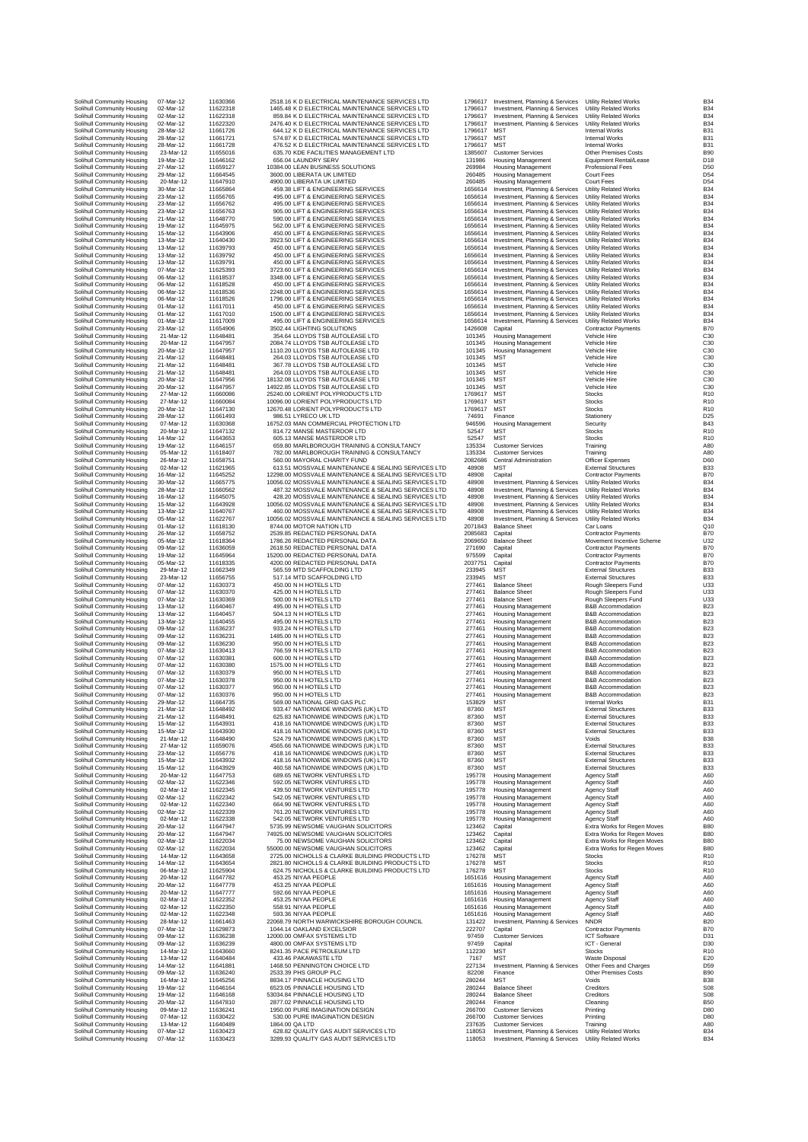| Solihull Community Housing<br>Solihull Community Housing<br>02-Mar-12<br>Solihull Community Housing<br>02-Mar-12<br>Solihull Community Housing<br>02-Mar-12<br>Solihull Community Housing<br>116<br>28-Mar-12<br>Solihull Community Housing<br>116<br>28-Mar-12<br>Solihull Community Housing<br>28-Mar-12<br>Solihull Community Housing<br>23-Mar-12<br>Solihull Community Housing<br>19-Mar-12<br>Solihull Community Housing<br>116<br>27-Mar-12<br>Solihull Community Housing<br>29-Mar-12<br>116<br>Solihull Community Housing<br>20-Mar-12<br>Solihull Community Housing<br>30-Mar-12<br>Solihull Community Housing<br>23-Mar-12<br>Solihull Community Housing<br>23-Mar-12<br>Solihull Community Housing<br>116<br>23-Mar-12<br>Solihull Community Housing<br>116<br>21-Mar-12<br>Solihull Community Housing<br>19-Mar-12<br>Solihull Community Housing<br>15-Mar-12<br>Solihull Community Housing<br>13-Mar-12<br>Solihull Community Housing<br>13-Mar-12<br>Solihull Community Housing<br>13-Mar-12<br>116<br>116<br>Solihull Community Housing<br>13-Mar-12<br>Solihull Community Housing<br>07-Mar-12<br>Solihull Community Housing<br>06-Mar-12<br>Solihull Community Housing<br>06-Mar-12<br>Solihull Community Housing<br>116<br>06-Mar-12<br>116<br>Solihull Community Housing<br>06-Mar-12<br>Solihull Community Housing<br>01-Mar-12<br>Solihull Community Housing<br>01-Mar-12<br>Solihull Community Housing<br>01-Mar-12<br>Solihull Community Housing<br>23-Mar-12<br>116<br>Solihull Community Housing<br>21-Mar-12<br>Solihull Community Housing<br>20-Mar-12<br>Solihull Community Housing<br>20-Mar-12<br>Solihull Community Housing<br>21-Mar-12<br>Solihull Community Housing<br>21-Mar-12<br>116<br>Solihull Community Housing<br>21-Mar-12<br>Solihull Community Housing<br>20-Mar-12<br>116<br>Solihull Community Housing<br>20-Mar-12<br>Solihull Community Housing<br>27-Mar-12<br>Solihull Community Housing<br>27-Mar-12<br>Solihull Community Housing<br>20-Mar-12<br>Solihull Community Housing<br>28-Mar-12<br>Solihull Community Housing<br>07-Mar-12<br>Solihull Community Housing<br>20-Mar-12<br>Solihull Community Housing<br>14-Mar-12<br>Solihull Community Housing<br>19-Mar-12<br>Solihull Community Housing<br>116<br>05-Mar-12<br>Solihull Community Housing<br>116<br>26-Mar-12<br>Solihull Community Housing<br>02-Mar-12<br>Solihull Community Housing<br>16-Mar-12<br>Solihull Community Housing<br>30-Mar-12<br>Solihull Community Housing<br>116<br>28-Mar-12<br>Solihull Community Housing<br>116<br>16-Mar-12<br>Solihull Community Housing<br>15-Mar-12<br>Solihull Community Housing<br>13-Mar-12<br>05-Mar-12<br>Solihull Community Housing<br>Solihull Community Housing<br>01-Mar-12<br>116<br>Solihull Community Housing<br>26-Mar-12<br>116<br>Solihull Community Housing<br>116<br>05-Mar-12<br>Solihull Community Housing<br>09-Mar-12<br>Solihull Community Housing<br>19-Mar-12<br>Solihull Community Housing<br>05-Mar-12<br>Solihull Community Housing<br>116<br>29-Mar-12<br>Solihull Community Housing<br>23-Mar-12<br>116<br>Solihull Community Housing<br>07-Mar-12<br>Solihull Community Housing<br>07-Mar-12<br>Solihull Community Housing<br>07-Mar-12<br>Solihull Community Housing<br>13-Mar-12<br>Solihull Community Housing<br>116<br>13-Mar-12<br>Solihull Community Housing<br>13-Mar-12<br>Solihull Community Housing<br>09-Mar-12<br>Solihull Community Housing<br>09-Mar-12<br>Solihull Community Housing<br>09-Mar-12<br>Solihull Community Housing<br>116<br>07-Mar-12<br>Solihull Community Housing<br>07-Mar-12<br>07-Mar-12<br>Solihull Community Housing<br>Solihull Community Housing<br>07-Mar-12<br>Solihull Community Housing<br>07-Mar-12<br>Solihull Community Housing<br>116<br>07-Mar-12<br>Solihull Community Housing<br>07-Mar-12<br>116<br>29-Mar-12<br>Solihull Community Housing<br>Solihull Community Housing<br>21-Mar-12<br>Solihull Community Housing<br>21-Mar-12<br>Solihull Community Housing<br>15-Mar-12<br>116<br>Solihull Community Housing<br>116<br>15-Mar-12<br>Solihull Community Housing<br>21-Mar-12<br>Solihull Community Housing<br>27-Mar-12<br>Solihull Community Housing<br>23-Mar-12<br>Solihull Community Housing<br>15-Mar-12<br>Solihull Community Housing<br>15-Mar-12<br>Solihull Community Housing<br>20-Mar-12<br>Solihull Community Housing<br>02-Mar-12<br>Solihull Community Housing<br>02-Mar-12<br>Solihull Community Housing<br>02-Mar-12<br>116<br>Solihull Community Housing<br>02-Mar-12<br>Solihull Community Housing<br>02-Mar-12<br>Solihull Community Housing<br>02-Mar-12<br>Solihull Community Housing<br>20-Mar-12<br>Solihull Community Housing<br>20-Mar-12<br>116<br>Solihull Community Housing<br>02-Mar-12<br>Solihull Community Housing<br>02-Mar-12<br>Solihull Community Housing<br>14-Mar-12<br>Solihull Community Housing<br>14-Mar-12<br>Solihull Community Housing<br>116<br>06-Mar-12<br>Solihull Community Housing<br>20-Mar-12<br>Solihull Community Housing<br>20-Mar-12<br>Solihull Community Housing<br>20-Mar-12<br>Solihull Community Housing<br>02-Mar-12<br>Solihull Community Housing<br>02-Mar-12<br>Solihull Community Housing<br>02-Mar-12<br>Solihull Community Housing<br>28-Mar-12<br>Solihull Community Housing<br>07-Mar-12<br>Solihull Community Housing<br>09-Mar-12<br>Solihull Community Housing<br>116<br>09-Mar-12<br>Solihull Community Housing<br>14-Mar-12<br>Solihull Community Housing<br>13-Mar-12<br>Solihull Community Housing<br>14-Mar-12<br>Solihull Community Housing<br>09-Mar-12<br>Solihull Community Housing<br>16-Mar-12<br>116<br>Solihull Community Housing<br>19-Mar-12<br>Solihull Community Housing<br>19-Mar-12<br>Solihull Community Housing<br>20-Mar-12<br>Solihull Community Housing<br>09-Mar-12<br>Solihull Community Housing<br>07-Mar-12<br>Solihull Community Housing<br>13-Mar-12<br>Solihull Community Housing<br>07-Mar-12<br>Solihull Community Housing<br>07-Mar-12 |  |           |            |
|---------------------------------------------------------------------------------------------------------------------------------------------------------------------------------------------------------------------------------------------------------------------------------------------------------------------------------------------------------------------------------------------------------------------------------------------------------------------------------------------------------------------------------------------------------------------------------------------------------------------------------------------------------------------------------------------------------------------------------------------------------------------------------------------------------------------------------------------------------------------------------------------------------------------------------------------------------------------------------------------------------------------------------------------------------------------------------------------------------------------------------------------------------------------------------------------------------------------------------------------------------------------------------------------------------------------------------------------------------------------------------------------------------------------------------------------------------------------------------------------------------------------------------------------------------------------------------------------------------------------------------------------------------------------------------------------------------------------------------------------------------------------------------------------------------------------------------------------------------------------------------------------------------------------------------------------------------------------------------------------------------------------------------------------------------------------------------------------------------------------------------------------------------------------------------------------------------------------------------------------------------------------------------------------------------------------------------------------------------------------------------------------------------------------------------------------------------------------------------------------------------------------------------------------------------------------------------------------------------------------------------------------------------------------------------------------------------------------------------------------------------------------------------------------------------------------------------------------------------------------------------------------------------------------------------------------------------------------------------------------------------------------------------------------------------------------------------------------------------------------------------------------------------------------------------------------------------------------------------------------------------------------------------------------------------------------------------------------------------------------------------------------------------------------------------------------------------------------------------------------------------------------------------------------------------------------------------------------------------------------------------------------------------------------------------------------------------------------------------------------------------------------------------------------------------------------------------------------------------------------------------------------------------------------------------------------------------------------------------------------------------------------------------------------------------------------------------------------------------------------------------------------------------------------------------------------------------------------------------------------------------------------------------------------------------------------------------------------------------------------------------------------------------------------------------------------------------------------------------------------------------------------------------------------------------------------------------------------------------------------------------------------------------------------------------------------------------------------------------------------------------------------------------------------------------------------------------------------------------------------------------------------------------------------------------------------------------------------------------------------------------------------------------------------------------------------------------------------------------------------------------------------------------------------------------------------------------------------------------------------------------------------------------------------------------------------------------------------------------------------------------------------------------------------------------------------------------------------------------------------------------------------------------------------------------------------------------------------------------------------------------------------------------------------------------------------------------------------------------------------------------------------------------------------------------------------------------------------------------------------------------------------------------------------------------------------------------------------------------------------------|--|-----------|------------|
|                                                                                                                                                                                                                                                                                                                                                                                                                                                                                                                                                                                                                                                                                                                                                                                                                                                                                                                                                                                                                                                                                                                                                                                                                                                                                                                                                                                                                                                                                                                                                                                                                                                                                                                                                                                                                                                                                                                                                                                                                                                                                                                                                                                                                                                                                                                                                                                                                                                                                                                                                                                                                                                                                                                                                                                                                                                                                                                                                                                                                                                                                                                                                                                                                                                                                                                                                                                                                                                                                                                                                                                                                                                                                                                                                                                                                                                                                                                                                                                                                                                                                                                                                                                                                                                                                                                                                                                                                                                                                                                                                                                                                                                                                                                                                                                                                                                                                                                                                                                                                                                                                                                                                                                                                                                                                                                                                                                                                                                                                                                                                                                                                                                                                                                                                                                                                                                                                                                                                                                                   |  | 07-Mar-12 | 116<br>116 |
|                                                                                                                                                                                                                                                                                                                                                                                                                                                                                                                                                                                                                                                                                                                                                                                                                                                                                                                                                                                                                                                                                                                                                                                                                                                                                                                                                                                                                                                                                                                                                                                                                                                                                                                                                                                                                                                                                                                                                                                                                                                                                                                                                                                                                                                                                                                                                                                                                                                                                                                                                                                                                                                                                                                                                                                                                                                                                                                                                                                                                                                                                                                                                                                                                                                                                                                                                                                                                                                                                                                                                                                                                                                                                                                                                                                                                                                                                                                                                                                                                                                                                                                                                                                                                                                                                                                                                                                                                                                                                                                                                                                                                                                                                                                                                                                                                                                                                                                                                                                                                                                                                                                                                                                                                                                                                                                                                                                                                                                                                                                                                                                                                                                                                                                                                                                                                                                                                                                                                                                                   |  |           | 116        |
|                                                                                                                                                                                                                                                                                                                                                                                                                                                                                                                                                                                                                                                                                                                                                                                                                                                                                                                                                                                                                                                                                                                                                                                                                                                                                                                                                                                                                                                                                                                                                                                                                                                                                                                                                                                                                                                                                                                                                                                                                                                                                                                                                                                                                                                                                                                                                                                                                                                                                                                                                                                                                                                                                                                                                                                                                                                                                                                                                                                                                                                                                                                                                                                                                                                                                                                                                                                                                                                                                                                                                                                                                                                                                                                                                                                                                                                                                                                                                                                                                                                                                                                                                                                                                                                                                                                                                                                                                                                                                                                                                                                                                                                                                                                                                                                                                                                                                                                                                                                                                                                                                                                                                                                                                                                                                                                                                                                                                                                                                                                                                                                                                                                                                                                                                                                                                                                                                                                                                                                                   |  |           | 116        |
|                                                                                                                                                                                                                                                                                                                                                                                                                                                                                                                                                                                                                                                                                                                                                                                                                                                                                                                                                                                                                                                                                                                                                                                                                                                                                                                                                                                                                                                                                                                                                                                                                                                                                                                                                                                                                                                                                                                                                                                                                                                                                                                                                                                                                                                                                                                                                                                                                                                                                                                                                                                                                                                                                                                                                                                                                                                                                                                                                                                                                                                                                                                                                                                                                                                                                                                                                                                                                                                                                                                                                                                                                                                                                                                                                                                                                                                                                                                                                                                                                                                                                                                                                                                                                                                                                                                                                                                                                                                                                                                                                                                                                                                                                                                                                                                                                                                                                                                                                                                                                                                                                                                                                                                                                                                                                                                                                                                                                                                                                                                                                                                                                                                                                                                                                                                                                                                                                                                                                                                                   |  |           |            |
|                                                                                                                                                                                                                                                                                                                                                                                                                                                                                                                                                                                                                                                                                                                                                                                                                                                                                                                                                                                                                                                                                                                                                                                                                                                                                                                                                                                                                                                                                                                                                                                                                                                                                                                                                                                                                                                                                                                                                                                                                                                                                                                                                                                                                                                                                                                                                                                                                                                                                                                                                                                                                                                                                                                                                                                                                                                                                                                                                                                                                                                                                                                                                                                                                                                                                                                                                                                                                                                                                                                                                                                                                                                                                                                                                                                                                                                                                                                                                                                                                                                                                                                                                                                                                                                                                                                                                                                                                                                                                                                                                                                                                                                                                                                                                                                                                                                                                                                                                                                                                                                                                                                                                                                                                                                                                                                                                                                                                                                                                                                                                                                                                                                                                                                                                                                                                                                                                                                                                                                                   |  |           | 116        |
|                                                                                                                                                                                                                                                                                                                                                                                                                                                                                                                                                                                                                                                                                                                                                                                                                                                                                                                                                                                                                                                                                                                                                                                                                                                                                                                                                                                                                                                                                                                                                                                                                                                                                                                                                                                                                                                                                                                                                                                                                                                                                                                                                                                                                                                                                                                                                                                                                                                                                                                                                                                                                                                                                                                                                                                                                                                                                                                                                                                                                                                                                                                                                                                                                                                                                                                                                                                                                                                                                                                                                                                                                                                                                                                                                                                                                                                                                                                                                                                                                                                                                                                                                                                                                                                                                                                                                                                                                                                                                                                                                                                                                                                                                                                                                                                                                                                                                                                                                                                                                                                                                                                                                                                                                                                                                                                                                                                                                                                                                                                                                                                                                                                                                                                                                                                                                                                                                                                                                                                                   |  |           | 116        |
|                                                                                                                                                                                                                                                                                                                                                                                                                                                                                                                                                                                                                                                                                                                                                                                                                                                                                                                                                                                                                                                                                                                                                                                                                                                                                                                                                                                                                                                                                                                                                                                                                                                                                                                                                                                                                                                                                                                                                                                                                                                                                                                                                                                                                                                                                                                                                                                                                                                                                                                                                                                                                                                                                                                                                                                                                                                                                                                                                                                                                                                                                                                                                                                                                                                                                                                                                                                                                                                                                                                                                                                                                                                                                                                                                                                                                                                                                                                                                                                                                                                                                                                                                                                                                                                                                                                                                                                                                                                                                                                                                                                                                                                                                                                                                                                                                                                                                                                                                                                                                                                                                                                                                                                                                                                                                                                                                                                                                                                                                                                                                                                                                                                                                                                                                                                                                                                                                                                                                                                                   |  |           | 116        |
|                                                                                                                                                                                                                                                                                                                                                                                                                                                                                                                                                                                                                                                                                                                                                                                                                                                                                                                                                                                                                                                                                                                                                                                                                                                                                                                                                                                                                                                                                                                                                                                                                                                                                                                                                                                                                                                                                                                                                                                                                                                                                                                                                                                                                                                                                                                                                                                                                                                                                                                                                                                                                                                                                                                                                                                                                                                                                                                                                                                                                                                                                                                                                                                                                                                                                                                                                                                                                                                                                                                                                                                                                                                                                                                                                                                                                                                                                                                                                                                                                                                                                                                                                                                                                                                                                                                                                                                                                                                                                                                                                                                                                                                                                                                                                                                                                                                                                                                                                                                                                                                                                                                                                                                                                                                                                                                                                                                                                                                                                                                                                                                                                                                                                                                                                                                                                                                                                                                                                                                                   |  |           |            |
|                                                                                                                                                                                                                                                                                                                                                                                                                                                                                                                                                                                                                                                                                                                                                                                                                                                                                                                                                                                                                                                                                                                                                                                                                                                                                                                                                                                                                                                                                                                                                                                                                                                                                                                                                                                                                                                                                                                                                                                                                                                                                                                                                                                                                                                                                                                                                                                                                                                                                                                                                                                                                                                                                                                                                                                                                                                                                                                                                                                                                                                                                                                                                                                                                                                                                                                                                                                                                                                                                                                                                                                                                                                                                                                                                                                                                                                                                                                                                                                                                                                                                                                                                                                                                                                                                                                                                                                                                                                                                                                                                                                                                                                                                                                                                                                                                                                                                                                                                                                                                                                                                                                                                                                                                                                                                                                                                                                                                                                                                                                                                                                                                                                                                                                                                                                                                                                                                                                                                                                                   |  |           | 116        |
|                                                                                                                                                                                                                                                                                                                                                                                                                                                                                                                                                                                                                                                                                                                                                                                                                                                                                                                                                                                                                                                                                                                                                                                                                                                                                                                                                                                                                                                                                                                                                                                                                                                                                                                                                                                                                                                                                                                                                                                                                                                                                                                                                                                                                                                                                                                                                                                                                                                                                                                                                                                                                                                                                                                                                                                                                                                                                                                                                                                                                                                                                                                                                                                                                                                                                                                                                                                                                                                                                                                                                                                                                                                                                                                                                                                                                                                                                                                                                                                                                                                                                                                                                                                                                                                                                                                                                                                                                                                                                                                                                                                                                                                                                                                                                                                                                                                                                                                                                                                                                                                                                                                                                                                                                                                                                                                                                                                                                                                                                                                                                                                                                                                                                                                                                                                                                                                                                                                                                                                                   |  |           | 116        |
|                                                                                                                                                                                                                                                                                                                                                                                                                                                                                                                                                                                                                                                                                                                                                                                                                                                                                                                                                                                                                                                                                                                                                                                                                                                                                                                                                                                                                                                                                                                                                                                                                                                                                                                                                                                                                                                                                                                                                                                                                                                                                                                                                                                                                                                                                                                                                                                                                                                                                                                                                                                                                                                                                                                                                                                                                                                                                                                                                                                                                                                                                                                                                                                                                                                                                                                                                                                                                                                                                                                                                                                                                                                                                                                                                                                                                                                                                                                                                                                                                                                                                                                                                                                                                                                                                                                                                                                                                                                                                                                                                                                                                                                                                                                                                                                                                                                                                                                                                                                                                                                                                                                                                                                                                                                                                                                                                                                                                                                                                                                                                                                                                                                                                                                                                                                                                                                                                                                                                                                                   |  |           | 116        |
|                                                                                                                                                                                                                                                                                                                                                                                                                                                                                                                                                                                                                                                                                                                                                                                                                                                                                                                                                                                                                                                                                                                                                                                                                                                                                                                                                                                                                                                                                                                                                                                                                                                                                                                                                                                                                                                                                                                                                                                                                                                                                                                                                                                                                                                                                                                                                                                                                                                                                                                                                                                                                                                                                                                                                                                                                                                                                                                                                                                                                                                                                                                                                                                                                                                                                                                                                                                                                                                                                                                                                                                                                                                                                                                                                                                                                                                                                                                                                                                                                                                                                                                                                                                                                                                                                                                                                                                                                                                                                                                                                                                                                                                                                                                                                                                                                                                                                                                                                                                                                                                                                                                                                                                                                                                                                                                                                                                                                                                                                                                                                                                                                                                                                                                                                                                                                                                                                                                                                                                                   |  |           | 116        |
|                                                                                                                                                                                                                                                                                                                                                                                                                                                                                                                                                                                                                                                                                                                                                                                                                                                                                                                                                                                                                                                                                                                                                                                                                                                                                                                                                                                                                                                                                                                                                                                                                                                                                                                                                                                                                                                                                                                                                                                                                                                                                                                                                                                                                                                                                                                                                                                                                                                                                                                                                                                                                                                                                                                                                                                                                                                                                                                                                                                                                                                                                                                                                                                                                                                                                                                                                                                                                                                                                                                                                                                                                                                                                                                                                                                                                                                                                                                                                                                                                                                                                                                                                                                                                                                                                                                                                                                                                                                                                                                                                                                                                                                                                                                                                                                                                                                                                                                                                                                                                                                                                                                                                                                                                                                                                                                                                                                                                                                                                                                                                                                                                                                                                                                                                                                                                                                                                                                                                                                                   |  |           |            |
|                                                                                                                                                                                                                                                                                                                                                                                                                                                                                                                                                                                                                                                                                                                                                                                                                                                                                                                                                                                                                                                                                                                                                                                                                                                                                                                                                                                                                                                                                                                                                                                                                                                                                                                                                                                                                                                                                                                                                                                                                                                                                                                                                                                                                                                                                                                                                                                                                                                                                                                                                                                                                                                                                                                                                                                                                                                                                                                                                                                                                                                                                                                                                                                                                                                                                                                                                                                                                                                                                                                                                                                                                                                                                                                                                                                                                                                                                                                                                                                                                                                                                                                                                                                                                                                                                                                                                                                                                                                                                                                                                                                                                                                                                                                                                                                                                                                                                                                                                                                                                                                                                                                                                                                                                                                                                                                                                                                                                                                                                                                                                                                                                                                                                                                                                                                                                                                                                                                                                                                                   |  |           | 116        |
|                                                                                                                                                                                                                                                                                                                                                                                                                                                                                                                                                                                                                                                                                                                                                                                                                                                                                                                                                                                                                                                                                                                                                                                                                                                                                                                                                                                                                                                                                                                                                                                                                                                                                                                                                                                                                                                                                                                                                                                                                                                                                                                                                                                                                                                                                                                                                                                                                                                                                                                                                                                                                                                                                                                                                                                                                                                                                                                                                                                                                                                                                                                                                                                                                                                                                                                                                                                                                                                                                                                                                                                                                                                                                                                                                                                                                                                                                                                                                                                                                                                                                                                                                                                                                                                                                                                                                                                                                                                                                                                                                                                                                                                                                                                                                                                                                                                                                                                                                                                                                                                                                                                                                                                                                                                                                                                                                                                                                                                                                                                                                                                                                                                                                                                                                                                                                                                                                                                                                                                                   |  |           | 116        |
|                                                                                                                                                                                                                                                                                                                                                                                                                                                                                                                                                                                                                                                                                                                                                                                                                                                                                                                                                                                                                                                                                                                                                                                                                                                                                                                                                                                                                                                                                                                                                                                                                                                                                                                                                                                                                                                                                                                                                                                                                                                                                                                                                                                                                                                                                                                                                                                                                                                                                                                                                                                                                                                                                                                                                                                                                                                                                                                                                                                                                                                                                                                                                                                                                                                                                                                                                                                                                                                                                                                                                                                                                                                                                                                                                                                                                                                                                                                                                                                                                                                                                                                                                                                                                                                                                                                                                                                                                                                                                                                                                                                                                                                                                                                                                                                                                                                                                                                                                                                                                                                                                                                                                                                                                                                                                                                                                                                                                                                                                                                                                                                                                                                                                                                                                                                                                                                                                                                                                                                                   |  |           | 116        |
|                                                                                                                                                                                                                                                                                                                                                                                                                                                                                                                                                                                                                                                                                                                                                                                                                                                                                                                                                                                                                                                                                                                                                                                                                                                                                                                                                                                                                                                                                                                                                                                                                                                                                                                                                                                                                                                                                                                                                                                                                                                                                                                                                                                                                                                                                                                                                                                                                                                                                                                                                                                                                                                                                                                                                                                                                                                                                                                                                                                                                                                                                                                                                                                                                                                                                                                                                                                                                                                                                                                                                                                                                                                                                                                                                                                                                                                                                                                                                                                                                                                                                                                                                                                                                                                                                                                                                                                                                                                                                                                                                                                                                                                                                                                                                                                                                                                                                                                                                                                                                                                                                                                                                                                                                                                                                                                                                                                                                                                                                                                                                                                                                                                                                                                                                                                                                                                                                                                                                                                                   |  |           | 116        |
|                                                                                                                                                                                                                                                                                                                                                                                                                                                                                                                                                                                                                                                                                                                                                                                                                                                                                                                                                                                                                                                                                                                                                                                                                                                                                                                                                                                                                                                                                                                                                                                                                                                                                                                                                                                                                                                                                                                                                                                                                                                                                                                                                                                                                                                                                                                                                                                                                                                                                                                                                                                                                                                                                                                                                                                                                                                                                                                                                                                                                                                                                                                                                                                                                                                                                                                                                                                                                                                                                                                                                                                                                                                                                                                                                                                                                                                                                                                                                                                                                                                                                                                                                                                                                                                                                                                                                                                                                                                                                                                                                                                                                                                                                                                                                                                                                                                                                                                                                                                                                                                                                                                                                                                                                                                                                                                                                                                                                                                                                                                                                                                                                                                                                                                                                                                                                                                                                                                                                                                                   |  |           |            |
|                                                                                                                                                                                                                                                                                                                                                                                                                                                                                                                                                                                                                                                                                                                                                                                                                                                                                                                                                                                                                                                                                                                                                                                                                                                                                                                                                                                                                                                                                                                                                                                                                                                                                                                                                                                                                                                                                                                                                                                                                                                                                                                                                                                                                                                                                                                                                                                                                                                                                                                                                                                                                                                                                                                                                                                                                                                                                                                                                                                                                                                                                                                                                                                                                                                                                                                                                                                                                                                                                                                                                                                                                                                                                                                                                                                                                                                                                                                                                                                                                                                                                                                                                                                                                                                                                                                                                                                                                                                                                                                                                                                                                                                                                                                                                                                                                                                                                                                                                                                                                                                                                                                                                                                                                                                                                                                                                                                                                                                                                                                                                                                                                                                                                                                                                                                                                                                                                                                                                                                                   |  |           | 116        |
|                                                                                                                                                                                                                                                                                                                                                                                                                                                                                                                                                                                                                                                                                                                                                                                                                                                                                                                                                                                                                                                                                                                                                                                                                                                                                                                                                                                                                                                                                                                                                                                                                                                                                                                                                                                                                                                                                                                                                                                                                                                                                                                                                                                                                                                                                                                                                                                                                                                                                                                                                                                                                                                                                                                                                                                                                                                                                                                                                                                                                                                                                                                                                                                                                                                                                                                                                                                                                                                                                                                                                                                                                                                                                                                                                                                                                                                                                                                                                                                                                                                                                                                                                                                                                                                                                                                                                                                                                                                                                                                                                                                                                                                                                                                                                                                                                                                                                                                                                                                                                                                                                                                                                                                                                                                                                                                                                                                                                                                                                                                                                                                                                                                                                                                                                                                                                                                                                                                                                                                                   |  |           | 116        |
|                                                                                                                                                                                                                                                                                                                                                                                                                                                                                                                                                                                                                                                                                                                                                                                                                                                                                                                                                                                                                                                                                                                                                                                                                                                                                                                                                                                                                                                                                                                                                                                                                                                                                                                                                                                                                                                                                                                                                                                                                                                                                                                                                                                                                                                                                                                                                                                                                                                                                                                                                                                                                                                                                                                                                                                                                                                                                                                                                                                                                                                                                                                                                                                                                                                                                                                                                                                                                                                                                                                                                                                                                                                                                                                                                                                                                                                                                                                                                                                                                                                                                                                                                                                                                                                                                                                                                                                                                                                                                                                                                                                                                                                                                                                                                                                                                                                                                                                                                                                                                                                                                                                                                                                                                                                                                                                                                                                                                                                                                                                                                                                                                                                                                                                                                                                                                                                                                                                                                                                                   |  |           | 116        |
|                                                                                                                                                                                                                                                                                                                                                                                                                                                                                                                                                                                                                                                                                                                                                                                                                                                                                                                                                                                                                                                                                                                                                                                                                                                                                                                                                                                                                                                                                                                                                                                                                                                                                                                                                                                                                                                                                                                                                                                                                                                                                                                                                                                                                                                                                                                                                                                                                                                                                                                                                                                                                                                                                                                                                                                                                                                                                                                                                                                                                                                                                                                                                                                                                                                                                                                                                                                                                                                                                                                                                                                                                                                                                                                                                                                                                                                                                                                                                                                                                                                                                                                                                                                                                                                                                                                                                                                                                                                                                                                                                                                                                                                                                                                                                                                                                                                                                                                                                                                                                                                                                                                                                                                                                                                                                                                                                                                                                                                                                                                                                                                                                                                                                                                                                                                                                                                                                                                                                                                                   |  |           |            |
|                                                                                                                                                                                                                                                                                                                                                                                                                                                                                                                                                                                                                                                                                                                                                                                                                                                                                                                                                                                                                                                                                                                                                                                                                                                                                                                                                                                                                                                                                                                                                                                                                                                                                                                                                                                                                                                                                                                                                                                                                                                                                                                                                                                                                                                                                                                                                                                                                                                                                                                                                                                                                                                                                                                                                                                                                                                                                                                                                                                                                                                                                                                                                                                                                                                                                                                                                                                                                                                                                                                                                                                                                                                                                                                                                                                                                                                                                                                                                                                                                                                                                                                                                                                                                                                                                                                                                                                                                                                                                                                                                                                                                                                                                                                                                                                                                                                                                                                                                                                                                                                                                                                                                                                                                                                                                                                                                                                                                                                                                                                                                                                                                                                                                                                                                                                                                                                                                                                                                                                                   |  |           | 116        |
|                                                                                                                                                                                                                                                                                                                                                                                                                                                                                                                                                                                                                                                                                                                                                                                                                                                                                                                                                                                                                                                                                                                                                                                                                                                                                                                                                                                                                                                                                                                                                                                                                                                                                                                                                                                                                                                                                                                                                                                                                                                                                                                                                                                                                                                                                                                                                                                                                                                                                                                                                                                                                                                                                                                                                                                                                                                                                                                                                                                                                                                                                                                                                                                                                                                                                                                                                                                                                                                                                                                                                                                                                                                                                                                                                                                                                                                                                                                                                                                                                                                                                                                                                                                                                                                                                                                                                                                                                                                                                                                                                                                                                                                                                                                                                                                                                                                                                                                                                                                                                                                                                                                                                                                                                                                                                                                                                                                                                                                                                                                                                                                                                                                                                                                                                                                                                                                                                                                                                                                                   |  |           | 116        |
|                                                                                                                                                                                                                                                                                                                                                                                                                                                                                                                                                                                                                                                                                                                                                                                                                                                                                                                                                                                                                                                                                                                                                                                                                                                                                                                                                                                                                                                                                                                                                                                                                                                                                                                                                                                                                                                                                                                                                                                                                                                                                                                                                                                                                                                                                                                                                                                                                                                                                                                                                                                                                                                                                                                                                                                                                                                                                                                                                                                                                                                                                                                                                                                                                                                                                                                                                                                                                                                                                                                                                                                                                                                                                                                                                                                                                                                                                                                                                                                                                                                                                                                                                                                                                                                                                                                                                                                                                                                                                                                                                                                                                                                                                                                                                                                                                                                                                                                                                                                                                                                                                                                                                                                                                                                                                                                                                                                                                                                                                                                                                                                                                                                                                                                                                                                                                                                                                                                                                                                                   |  |           | 116        |
|                                                                                                                                                                                                                                                                                                                                                                                                                                                                                                                                                                                                                                                                                                                                                                                                                                                                                                                                                                                                                                                                                                                                                                                                                                                                                                                                                                                                                                                                                                                                                                                                                                                                                                                                                                                                                                                                                                                                                                                                                                                                                                                                                                                                                                                                                                                                                                                                                                                                                                                                                                                                                                                                                                                                                                                                                                                                                                                                                                                                                                                                                                                                                                                                                                                                                                                                                                                                                                                                                                                                                                                                                                                                                                                                                                                                                                                                                                                                                                                                                                                                                                                                                                                                                                                                                                                                                                                                                                                                                                                                                                                                                                                                                                                                                                                                                                                                                                                                                                                                                                                                                                                                                                                                                                                                                                                                                                                                                                                                                                                                                                                                                                                                                                                                                                                                                                                                                                                                                                                                   |  |           | 116        |
|                                                                                                                                                                                                                                                                                                                                                                                                                                                                                                                                                                                                                                                                                                                                                                                                                                                                                                                                                                                                                                                                                                                                                                                                                                                                                                                                                                                                                                                                                                                                                                                                                                                                                                                                                                                                                                                                                                                                                                                                                                                                                                                                                                                                                                                                                                                                                                                                                                                                                                                                                                                                                                                                                                                                                                                                                                                                                                                                                                                                                                                                                                                                                                                                                                                                                                                                                                                                                                                                                                                                                                                                                                                                                                                                                                                                                                                                                                                                                                                                                                                                                                                                                                                                                                                                                                                                                                                                                                                                                                                                                                                                                                                                                                                                                                                                                                                                                                                                                                                                                                                                                                                                                                                                                                                                                                                                                                                                                                                                                                                                                                                                                                                                                                                                                                                                                                                                                                                                                                                                   |  |           | 116        |
|                                                                                                                                                                                                                                                                                                                                                                                                                                                                                                                                                                                                                                                                                                                                                                                                                                                                                                                                                                                                                                                                                                                                                                                                                                                                                                                                                                                                                                                                                                                                                                                                                                                                                                                                                                                                                                                                                                                                                                                                                                                                                                                                                                                                                                                                                                                                                                                                                                                                                                                                                                                                                                                                                                                                                                                                                                                                                                                                                                                                                                                                                                                                                                                                                                                                                                                                                                                                                                                                                                                                                                                                                                                                                                                                                                                                                                                                                                                                                                                                                                                                                                                                                                                                                                                                                                                                                                                                                                                                                                                                                                                                                                                                                                                                                                                                                                                                                                                                                                                                                                                                                                                                                                                                                                                                                                                                                                                                                                                                                                                                                                                                                                                                                                                                                                                                                                                                                                                                                                                                   |  |           | 116        |
|                                                                                                                                                                                                                                                                                                                                                                                                                                                                                                                                                                                                                                                                                                                                                                                                                                                                                                                                                                                                                                                                                                                                                                                                                                                                                                                                                                                                                                                                                                                                                                                                                                                                                                                                                                                                                                                                                                                                                                                                                                                                                                                                                                                                                                                                                                                                                                                                                                                                                                                                                                                                                                                                                                                                                                                                                                                                                                                                                                                                                                                                                                                                                                                                                                                                                                                                                                                                                                                                                                                                                                                                                                                                                                                                                                                                                                                                                                                                                                                                                                                                                                                                                                                                                                                                                                                                                                                                                                                                                                                                                                                                                                                                                                                                                                                                                                                                                                                                                                                                                                                                                                                                                                                                                                                                                                                                                                                                                                                                                                                                                                                                                                                                                                                                                                                                                                                                                                                                                                                                   |  |           | 116        |
|                                                                                                                                                                                                                                                                                                                                                                                                                                                                                                                                                                                                                                                                                                                                                                                                                                                                                                                                                                                                                                                                                                                                                                                                                                                                                                                                                                                                                                                                                                                                                                                                                                                                                                                                                                                                                                                                                                                                                                                                                                                                                                                                                                                                                                                                                                                                                                                                                                                                                                                                                                                                                                                                                                                                                                                                                                                                                                                                                                                                                                                                                                                                                                                                                                                                                                                                                                                                                                                                                                                                                                                                                                                                                                                                                                                                                                                                                                                                                                                                                                                                                                                                                                                                                                                                                                                                                                                                                                                                                                                                                                                                                                                                                                                                                                                                                                                                                                                                                                                                                                                                                                                                                                                                                                                                                                                                                                                                                                                                                                                                                                                                                                                                                                                                                                                                                                                                                                                                                                                                   |  |           | 116        |
|                                                                                                                                                                                                                                                                                                                                                                                                                                                                                                                                                                                                                                                                                                                                                                                                                                                                                                                                                                                                                                                                                                                                                                                                                                                                                                                                                                                                                                                                                                                                                                                                                                                                                                                                                                                                                                                                                                                                                                                                                                                                                                                                                                                                                                                                                                                                                                                                                                                                                                                                                                                                                                                                                                                                                                                                                                                                                                                                                                                                                                                                                                                                                                                                                                                                                                                                                                                                                                                                                                                                                                                                                                                                                                                                                                                                                                                                                                                                                                                                                                                                                                                                                                                                                                                                                                                                                                                                                                                                                                                                                                                                                                                                                                                                                                                                                                                                                                                                                                                                                                                                                                                                                                                                                                                                                                                                                                                                                                                                                                                                                                                                                                                                                                                                                                                                                                                                                                                                                                                                   |  |           |            |
|                                                                                                                                                                                                                                                                                                                                                                                                                                                                                                                                                                                                                                                                                                                                                                                                                                                                                                                                                                                                                                                                                                                                                                                                                                                                                                                                                                                                                                                                                                                                                                                                                                                                                                                                                                                                                                                                                                                                                                                                                                                                                                                                                                                                                                                                                                                                                                                                                                                                                                                                                                                                                                                                                                                                                                                                                                                                                                                                                                                                                                                                                                                                                                                                                                                                                                                                                                                                                                                                                                                                                                                                                                                                                                                                                                                                                                                                                                                                                                                                                                                                                                                                                                                                                                                                                                                                                                                                                                                                                                                                                                                                                                                                                                                                                                                                                                                                                                                                                                                                                                                                                                                                                                                                                                                                                                                                                                                                                                                                                                                                                                                                                                                                                                                                                                                                                                                                                                                                                                                                   |  |           | 116        |
|                                                                                                                                                                                                                                                                                                                                                                                                                                                                                                                                                                                                                                                                                                                                                                                                                                                                                                                                                                                                                                                                                                                                                                                                                                                                                                                                                                                                                                                                                                                                                                                                                                                                                                                                                                                                                                                                                                                                                                                                                                                                                                                                                                                                                                                                                                                                                                                                                                                                                                                                                                                                                                                                                                                                                                                                                                                                                                                                                                                                                                                                                                                                                                                                                                                                                                                                                                                                                                                                                                                                                                                                                                                                                                                                                                                                                                                                                                                                                                                                                                                                                                                                                                                                                                                                                                                                                                                                                                                                                                                                                                                                                                                                                                                                                                                                                                                                                                                                                                                                                                                                                                                                                                                                                                                                                                                                                                                                                                                                                                                                                                                                                                                                                                                                                                                                                                                                                                                                                                                                   |  |           | 116        |
|                                                                                                                                                                                                                                                                                                                                                                                                                                                                                                                                                                                                                                                                                                                                                                                                                                                                                                                                                                                                                                                                                                                                                                                                                                                                                                                                                                                                                                                                                                                                                                                                                                                                                                                                                                                                                                                                                                                                                                                                                                                                                                                                                                                                                                                                                                                                                                                                                                                                                                                                                                                                                                                                                                                                                                                                                                                                                                                                                                                                                                                                                                                                                                                                                                                                                                                                                                                                                                                                                                                                                                                                                                                                                                                                                                                                                                                                                                                                                                                                                                                                                                                                                                                                                                                                                                                                                                                                                                                                                                                                                                                                                                                                                                                                                                                                                                                                                                                                                                                                                                                                                                                                                                                                                                                                                                                                                                                                                                                                                                                                                                                                                                                                                                                                                                                                                                                                                                                                                                                                   |  |           | 116        |
|                                                                                                                                                                                                                                                                                                                                                                                                                                                                                                                                                                                                                                                                                                                                                                                                                                                                                                                                                                                                                                                                                                                                                                                                                                                                                                                                                                                                                                                                                                                                                                                                                                                                                                                                                                                                                                                                                                                                                                                                                                                                                                                                                                                                                                                                                                                                                                                                                                                                                                                                                                                                                                                                                                                                                                                                                                                                                                                                                                                                                                                                                                                                                                                                                                                                                                                                                                                                                                                                                                                                                                                                                                                                                                                                                                                                                                                                                                                                                                                                                                                                                                                                                                                                                                                                                                                                                                                                                                                                                                                                                                                                                                                                                                                                                                                                                                                                                                                                                                                                                                                                                                                                                                                                                                                                                                                                                                                                                                                                                                                                                                                                                                                                                                                                                                                                                                                                                                                                                                                                   |  |           | 116<br>116 |
|                                                                                                                                                                                                                                                                                                                                                                                                                                                                                                                                                                                                                                                                                                                                                                                                                                                                                                                                                                                                                                                                                                                                                                                                                                                                                                                                                                                                                                                                                                                                                                                                                                                                                                                                                                                                                                                                                                                                                                                                                                                                                                                                                                                                                                                                                                                                                                                                                                                                                                                                                                                                                                                                                                                                                                                                                                                                                                                                                                                                                                                                                                                                                                                                                                                                                                                                                                                                                                                                                                                                                                                                                                                                                                                                                                                                                                                                                                                                                                                                                                                                                                                                                                                                                                                                                                                                                                                                                                                                                                                                                                                                                                                                                                                                                                                                                                                                                                                                                                                                                                                                                                                                                                                                                                                                                                                                                                                                                                                                                                                                                                                                                                                                                                                                                                                                                                                                                                                                                                                                   |  |           | 116        |
|                                                                                                                                                                                                                                                                                                                                                                                                                                                                                                                                                                                                                                                                                                                                                                                                                                                                                                                                                                                                                                                                                                                                                                                                                                                                                                                                                                                                                                                                                                                                                                                                                                                                                                                                                                                                                                                                                                                                                                                                                                                                                                                                                                                                                                                                                                                                                                                                                                                                                                                                                                                                                                                                                                                                                                                                                                                                                                                                                                                                                                                                                                                                                                                                                                                                                                                                                                                                                                                                                                                                                                                                                                                                                                                                                                                                                                                                                                                                                                                                                                                                                                                                                                                                                                                                                                                                                                                                                                                                                                                                                                                                                                                                                                                                                                                                                                                                                                                                                                                                                                                                                                                                                                                                                                                                                                                                                                                                                                                                                                                                                                                                                                                                                                                                                                                                                                                                                                                                                                                                   |  |           | 116        |
|                                                                                                                                                                                                                                                                                                                                                                                                                                                                                                                                                                                                                                                                                                                                                                                                                                                                                                                                                                                                                                                                                                                                                                                                                                                                                                                                                                                                                                                                                                                                                                                                                                                                                                                                                                                                                                                                                                                                                                                                                                                                                                                                                                                                                                                                                                                                                                                                                                                                                                                                                                                                                                                                                                                                                                                                                                                                                                                                                                                                                                                                                                                                                                                                                                                                                                                                                                                                                                                                                                                                                                                                                                                                                                                                                                                                                                                                                                                                                                                                                                                                                                                                                                                                                                                                                                                                                                                                                                                                                                                                                                                                                                                                                                                                                                                                                                                                                                                                                                                                                                                                                                                                                                                                                                                                                                                                                                                                                                                                                                                                                                                                                                                                                                                                                                                                                                                                                                                                                                                                   |  |           | 116        |
|                                                                                                                                                                                                                                                                                                                                                                                                                                                                                                                                                                                                                                                                                                                                                                                                                                                                                                                                                                                                                                                                                                                                                                                                                                                                                                                                                                                                                                                                                                                                                                                                                                                                                                                                                                                                                                                                                                                                                                                                                                                                                                                                                                                                                                                                                                                                                                                                                                                                                                                                                                                                                                                                                                                                                                                                                                                                                                                                                                                                                                                                                                                                                                                                                                                                                                                                                                                                                                                                                                                                                                                                                                                                                                                                                                                                                                                                                                                                                                                                                                                                                                                                                                                                                                                                                                                                                                                                                                                                                                                                                                                                                                                                                                                                                                                                                                                                                                                                                                                                                                                                                                                                                                                                                                                                                                                                                                                                                                                                                                                                                                                                                                                                                                                                                                                                                                                                                                                                                                                                   |  |           | 116        |
|                                                                                                                                                                                                                                                                                                                                                                                                                                                                                                                                                                                                                                                                                                                                                                                                                                                                                                                                                                                                                                                                                                                                                                                                                                                                                                                                                                                                                                                                                                                                                                                                                                                                                                                                                                                                                                                                                                                                                                                                                                                                                                                                                                                                                                                                                                                                                                                                                                                                                                                                                                                                                                                                                                                                                                                                                                                                                                                                                                                                                                                                                                                                                                                                                                                                                                                                                                                                                                                                                                                                                                                                                                                                                                                                                                                                                                                                                                                                                                                                                                                                                                                                                                                                                                                                                                                                                                                                                                                                                                                                                                                                                                                                                                                                                                                                                                                                                                                                                                                                                                                                                                                                                                                                                                                                                                                                                                                                                                                                                                                                                                                                                                                                                                                                                                                                                                                                                                                                                                                                   |  |           |            |
|                                                                                                                                                                                                                                                                                                                                                                                                                                                                                                                                                                                                                                                                                                                                                                                                                                                                                                                                                                                                                                                                                                                                                                                                                                                                                                                                                                                                                                                                                                                                                                                                                                                                                                                                                                                                                                                                                                                                                                                                                                                                                                                                                                                                                                                                                                                                                                                                                                                                                                                                                                                                                                                                                                                                                                                                                                                                                                                                                                                                                                                                                                                                                                                                                                                                                                                                                                                                                                                                                                                                                                                                                                                                                                                                                                                                                                                                                                                                                                                                                                                                                                                                                                                                                                                                                                                                                                                                                                                                                                                                                                                                                                                                                                                                                                                                                                                                                                                                                                                                                                                                                                                                                                                                                                                                                                                                                                                                                                                                                                                                                                                                                                                                                                                                                                                                                                                                                                                                                                                                   |  |           | 116        |
|                                                                                                                                                                                                                                                                                                                                                                                                                                                                                                                                                                                                                                                                                                                                                                                                                                                                                                                                                                                                                                                                                                                                                                                                                                                                                                                                                                                                                                                                                                                                                                                                                                                                                                                                                                                                                                                                                                                                                                                                                                                                                                                                                                                                                                                                                                                                                                                                                                                                                                                                                                                                                                                                                                                                                                                                                                                                                                                                                                                                                                                                                                                                                                                                                                                                                                                                                                                                                                                                                                                                                                                                                                                                                                                                                                                                                                                                                                                                                                                                                                                                                                                                                                                                                                                                                                                                                                                                                                                                                                                                                                                                                                                                                                                                                                                                                                                                                                                                                                                                                                                                                                                                                                                                                                                                                                                                                                                                                                                                                                                                                                                                                                                                                                                                                                                                                                                                                                                                                                                                   |  |           | 116        |
|                                                                                                                                                                                                                                                                                                                                                                                                                                                                                                                                                                                                                                                                                                                                                                                                                                                                                                                                                                                                                                                                                                                                                                                                                                                                                                                                                                                                                                                                                                                                                                                                                                                                                                                                                                                                                                                                                                                                                                                                                                                                                                                                                                                                                                                                                                                                                                                                                                                                                                                                                                                                                                                                                                                                                                                                                                                                                                                                                                                                                                                                                                                                                                                                                                                                                                                                                                                                                                                                                                                                                                                                                                                                                                                                                                                                                                                                                                                                                                                                                                                                                                                                                                                                                                                                                                                                                                                                                                                                                                                                                                                                                                                                                                                                                                                                                                                                                                                                                                                                                                                                                                                                                                                                                                                                                                                                                                                                                                                                                                                                                                                                                                                                                                                                                                                                                                                                                                                                                                                                   |  |           | 116        |
|                                                                                                                                                                                                                                                                                                                                                                                                                                                                                                                                                                                                                                                                                                                                                                                                                                                                                                                                                                                                                                                                                                                                                                                                                                                                                                                                                                                                                                                                                                                                                                                                                                                                                                                                                                                                                                                                                                                                                                                                                                                                                                                                                                                                                                                                                                                                                                                                                                                                                                                                                                                                                                                                                                                                                                                                                                                                                                                                                                                                                                                                                                                                                                                                                                                                                                                                                                                                                                                                                                                                                                                                                                                                                                                                                                                                                                                                                                                                                                                                                                                                                                                                                                                                                                                                                                                                                                                                                                                                                                                                                                                                                                                                                                                                                                                                                                                                                                                                                                                                                                                                                                                                                                                                                                                                                                                                                                                                                                                                                                                                                                                                                                                                                                                                                                                                                                                                                                                                                                                                   |  |           |            |
|                                                                                                                                                                                                                                                                                                                                                                                                                                                                                                                                                                                                                                                                                                                                                                                                                                                                                                                                                                                                                                                                                                                                                                                                                                                                                                                                                                                                                                                                                                                                                                                                                                                                                                                                                                                                                                                                                                                                                                                                                                                                                                                                                                                                                                                                                                                                                                                                                                                                                                                                                                                                                                                                                                                                                                                                                                                                                                                                                                                                                                                                                                                                                                                                                                                                                                                                                                                                                                                                                                                                                                                                                                                                                                                                                                                                                                                                                                                                                                                                                                                                                                                                                                                                                                                                                                                                                                                                                                                                                                                                                                                                                                                                                                                                                                                                                                                                                                                                                                                                                                                                                                                                                                                                                                                                                                                                                                                                                                                                                                                                                                                                                                                                                                                                                                                                                                                                                                                                                                                                   |  |           | 116        |
|                                                                                                                                                                                                                                                                                                                                                                                                                                                                                                                                                                                                                                                                                                                                                                                                                                                                                                                                                                                                                                                                                                                                                                                                                                                                                                                                                                                                                                                                                                                                                                                                                                                                                                                                                                                                                                                                                                                                                                                                                                                                                                                                                                                                                                                                                                                                                                                                                                                                                                                                                                                                                                                                                                                                                                                                                                                                                                                                                                                                                                                                                                                                                                                                                                                                                                                                                                                                                                                                                                                                                                                                                                                                                                                                                                                                                                                                                                                                                                                                                                                                                                                                                                                                                                                                                                                                                                                                                                                                                                                                                                                                                                                                                                                                                                                                                                                                                                                                                                                                                                                                                                                                                                                                                                                                                                                                                                                                                                                                                                                                                                                                                                                                                                                                                                                                                                                                                                                                                                                                   |  |           | 116        |
|                                                                                                                                                                                                                                                                                                                                                                                                                                                                                                                                                                                                                                                                                                                                                                                                                                                                                                                                                                                                                                                                                                                                                                                                                                                                                                                                                                                                                                                                                                                                                                                                                                                                                                                                                                                                                                                                                                                                                                                                                                                                                                                                                                                                                                                                                                                                                                                                                                                                                                                                                                                                                                                                                                                                                                                                                                                                                                                                                                                                                                                                                                                                                                                                                                                                                                                                                                                                                                                                                                                                                                                                                                                                                                                                                                                                                                                                                                                                                                                                                                                                                                                                                                                                                                                                                                                                                                                                                                                                                                                                                                                                                                                                                                                                                                                                                                                                                                                                                                                                                                                                                                                                                                                                                                                                                                                                                                                                                                                                                                                                                                                                                                                                                                                                                                                                                                                                                                                                                                                                   |  |           | 116        |
|                                                                                                                                                                                                                                                                                                                                                                                                                                                                                                                                                                                                                                                                                                                                                                                                                                                                                                                                                                                                                                                                                                                                                                                                                                                                                                                                                                                                                                                                                                                                                                                                                                                                                                                                                                                                                                                                                                                                                                                                                                                                                                                                                                                                                                                                                                                                                                                                                                                                                                                                                                                                                                                                                                                                                                                                                                                                                                                                                                                                                                                                                                                                                                                                                                                                                                                                                                                                                                                                                                                                                                                                                                                                                                                                                                                                                                                                                                                                                                                                                                                                                                                                                                                                                                                                                                                                                                                                                                                                                                                                                                                                                                                                                                                                                                                                                                                                                                                                                                                                                                                                                                                                                                                                                                                                                                                                                                                                                                                                                                                                                                                                                                                                                                                                                                                                                                                                                                                                                                                                   |  |           |            |
|                                                                                                                                                                                                                                                                                                                                                                                                                                                                                                                                                                                                                                                                                                                                                                                                                                                                                                                                                                                                                                                                                                                                                                                                                                                                                                                                                                                                                                                                                                                                                                                                                                                                                                                                                                                                                                                                                                                                                                                                                                                                                                                                                                                                                                                                                                                                                                                                                                                                                                                                                                                                                                                                                                                                                                                                                                                                                                                                                                                                                                                                                                                                                                                                                                                                                                                                                                                                                                                                                                                                                                                                                                                                                                                                                                                                                                                                                                                                                                                                                                                                                                                                                                                                                                                                                                                                                                                                                                                                                                                                                                                                                                                                                                                                                                                                                                                                                                                                                                                                                                                                                                                                                                                                                                                                                                                                                                                                                                                                                                                                                                                                                                                                                                                                                                                                                                                                                                                                                                                                   |  |           |            |
|                                                                                                                                                                                                                                                                                                                                                                                                                                                                                                                                                                                                                                                                                                                                                                                                                                                                                                                                                                                                                                                                                                                                                                                                                                                                                                                                                                                                                                                                                                                                                                                                                                                                                                                                                                                                                                                                                                                                                                                                                                                                                                                                                                                                                                                                                                                                                                                                                                                                                                                                                                                                                                                                                                                                                                                                                                                                                                                                                                                                                                                                                                                                                                                                                                                                                                                                                                                                                                                                                                                                                                                                                                                                                                                                                                                                                                                                                                                                                                                                                                                                                                                                                                                                                                                                                                                                                                                                                                                                                                                                                                                                                                                                                                                                                                                                                                                                                                                                                                                                                                                                                                                                                                                                                                                                                                                                                                                                                                                                                                                                                                                                                                                                                                                                                                                                                                                                                                                                                                                                   |  |           | 116        |
|                                                                                                                                                                                                                                                                                                                                                                                                                                                                                                                                                                                                                                                                                                                                                                                                                                                                                                                                                                                                                                                                                                                                                                                                                                                                                                                                                                                                                                                                                                                                                                                                                                                                                                                                                                                                                                                                                                                                                                                                                                                                                                                                                                                                                                                                                                                                                                                                                                                                                                                                                                                                                                                                                                                                                                                                                                                                                                                                                                                                                                                                                                                                                                                                                                                                                                                                                                                                                                                                                                                                                                                                                                                                                                                                                                                                                                                                                                                                                                                                                                                                                                                                                                                                                                                                                                                                                                                                                                                                                                                                                                                                                                                                                                                                                                                                                                                                                                                                                                                                                                                                                                                                                                                                                                                                                                                                                                                                                                                                                                                                                                                                                                                                                                                                                                                                                                                                                                                                                                                                   |  |           | 116        |
|                                                                                                                                                                                                                                                                                                                                                                                                                                                                                                                                                                                                                                                                                                                                                                                                                                                                                                                                                                                                                                                                                                                                                                                                                                                                                                                                                                                                                                                                                                                                                                                                                                                                                                                                                                                                                                                                                                                                                                                                                                                                                                                                                                                                                                                                                                                                                                                                                                                                                                                                                                                                                                                                                                                                                                                                                                                                                                                                                                                                                                                                                                                                                                                                                                                                                                                                                                                                                                                                                                                                                                                                                                                                                                                                                                                                                                                                                                                                                                                                                                                                                                                                                                                                                                                                                                                                                                                                                                                                                                                                                                                                                                                                                                                                                                                                                                                                                                                                                                                                                                                                                                                                                                                                                                                                                                                                                                                                                                                                                                                                                                                                                                                                                                                                                                                                                                                                                                                                                                                                   |  |           | 116        |
|                                                                                                                                                                                                                                                                                                                                                                                                                                                                                                                                                                                                                                                                                                                                                                                                                                                                                                                                                                                                                                                                                                                                                                                                                                                                                                                                                                                                                                                                                                                                                                                                                                                                                                                                                                                                                                                                                                                                                                                                                                                                                                                                                                                                                                                                                                                                                                                                                                                                                                                                                                                                                                                                                                                                                                                                                                                                                                                                                                                                                                                                                                                                                                                                                                                                                                                                                                                                                                                                                                                                                                                                                                                                                                                                                                                                                                                                                                                                                                                                                                                                                                                                                                                                                                                                                                                                                                                                                                                                                                                                                                                                                                                                                                                                                                                                                                                                                                                                                                                                                                                                                                                                                                                                                                                                                                                                                                                                                                                                                                                                                                                                                                                                                                                                                                                                                                                                                                                                                                                                   |  |           |            |
|                                                                                                                                                                                                                                                                                                                                                                                                                                                                                                                                                                                                                                                                                                                                                                                                                                                                                                                                                                                                                                                                                                                                                                                                                                                                                                                                                                                                                                                                                                                                                                                                                                                                                                                                                                                                                                                                                                                                                                                                                                                                                                                                                                                                                                                                                                                                                                                                                                                                                                                                                                                                                                                                                                                                                                                                                                                                                                                                                                                                                                                                                                                                                                                                                                                                                                                                                                                                                                                                                                                                                                                                                                                                                                                                                                                                                                                                                                                                                                                                                                                                                                                                                                                                                                                                                                                                                                                                                                                                                                                                                                                                                                                                                                                                                                                                                                                                                                                                                                                                                                                                                                                                                                                                                                                                                                                                                                                                                                                                                                                                                                                                                                                                                                                                                                                                                                                                                                                                                                                                   |  |           | 116        |
|                                                                                                                                                                                                                                                                                                                                                                                                                                                                                                                                                                                                                                                                                                                                                                                                                                                                                                                                                                                                                                                                                                                                                                                                                                                                                                                                                                                                                                                                                                                                                                                                                                                                                                                                                                                                                                                                                                                                                                                                                                                                                                                                                                                                                                                                                                                                                                                                                                                                                                                                                                                                                                                                                                                                                                                                                                                                                                                                                                                                                                                                                                                                                                                                                                                                                                                                                                                                                                                                                                                                                                                                                                                                                                                                                                                                                                                                                                                                                                                                                                                                                                                                                                                                                                                                                                                                                                                                                                                                                                                                                                                                                                                                                                                                                                                                                                                                                                                                                                                                                                                                                                                                                                                                                                                                                                                                                                                                                                                                                                                                                                                                                                                                                                                                                                                                                                                                                                                                                                                                   |  |           | 116        |
|                                                                                                                                                                                                                                                                                                                                                                                                                                                                                                                                                                                                                                                                                                                                                                                                                                                                                                                                                                                                                                                                                                                                                                                                                                                                                                                                                                                                                                                                                                                                                                                                                                                                                                                                                                                                                                                                                                                                                                                                                                                                                                                                                                                                                                                                                                                                                                                                                                                                                                                                                                                                                                                                                                                                                                                                                                                                                                                                                                                                                                                                                                                                                                                                                                                                                                                                                                                                                                                                                                                                                                                                                                                                                                                                                                                                                                                                                                                                                                                                                                                                                                                                                                                                                                                                                                                                                                                                                                                                                                                                                                                                                                                                                                                                                                                                                                                                                                                                                                                                                                                                                                                                                                                                                                                                                                                                                                                                                                                                                                                                                                                                                                                                                                                                                                                                                                                                                                                                                                                                   |  |           | 116        |
|                                                                                                                                                                                                                                                                                                                                                                                                                                                                                                                                                                                                                                                                                                                                                                                                                                                                                                                                                                                                                                                                                                                                                                                                                                                                                                                                                                                                                                                                                                                                                                                                                                                                                                                                                                                                                                                                                                                                                                                                                                                                                                                                                                                                                                                                                                                                                                                                                                                                                                                                                                                                                                                                                                                                                                                                                                                                                                                                                                                                                                                                                                                                                                                                                                                                                                                                                                                                                                                                                                                                                                                                                                                                                                                                                                                                                                                                                                                                                                                                                                                                                                                                                                                                                                                                                                                                                                                                                                                                                                                                                                                                                                                                                                                                                                                                                                                                                                                                                                                                                                                                                                                                                                                                                                                                                                                                                                                                                                                                                                                                                                                                                                                                                                                                                                                                                                                                                                                                                                                                   |  |           | 116        |
|                                                                                                                                                                                                                                                                                                                                                                                                                                                                                                                                                                                                                                                                                                                                                                                                                                                                                                                                                                                                                                                                                                                                                                                                                                                                                                                                                                                                                                                                                                                                                                                                                                                                                                                                                                                                                                                                                                                                                                                                                                                                                                                                                                                                                                                                                                                                                                                                                                                                                                                                                                                                                                                                                                                                                                                                                                                                                                                                                                                                                                                                                                                                                                                                                                                                                                                                                                                                                                                                                                                                                                                                                                                                                                                                                                                                                                                                                                                                                                                                                                                                                                                                                                                                                                                                                                                                                                                                                                                                                                                                                                                                                                                                                                                                                                                                                                                                                                                                                                                                                                                                                                                                                                                                                                                                                                                                                                                                                                                                                                                                                                                                                                                                                                                                                                                                                                                                                                                                                                                                   |  |           | 116        |
|                                                                                                                                                                                                                                                                                                                                                                                                                                                                                                                                                                                                                                                                                                                                                                                                                                                                                                                                                                                                                                                                                                                                                                                                                                                                                                                                                                                                                                                                                                                                                                                                                                                                                                                                                                                                                                                                                                                                                                                                                                                                                                                                                                                                                                                                                                                                                                                                                                                                                                                                                                                                                                                                                                                                                                                                                                                                                                                                                                                                                                                                                                                                                                                                                                                                                                                                                                                                                                                                                                                                                                                                                                                                                                                                                                                                                                                                                                                                                                                                                                                                                                                                                                                                                                                                                                                                                                                                                                                                                                                                                                                                                                                                                                                                                                                                                                                                                                                                                                                                                                                                                                                                                                                                                                                                                                                                                                                                                                                                                                                                                                                                                                                                                                                                                                                                                                                                                                                                                                                                   |  |           | 116        |
|                                                                                                                                                                                                                                                                                                                                                                                                                                                                                                                                                                                                                                                                                                                                                                                                                                                                                                                                                                                                                                                                                                                                                                                                                                                                                                                                                                                                                                                                                                                                                                                                                                                                                                                                                                                                                                                                                                                                                                                                                                                                                                                                                                                                                                                                                                                                                                                                                                                                                                                                                                                                                                                                                                                                                                                                                                                                                                                                                                                                                                                                                                                                                                                                                                                                                                                                                                                                                                                                                                                                                                                                                                                                                                                                                                                                                                                                                                                                                                                                                                                                                                                                                                                                                                                                                                                                                                                                                                                                                                                                                                                                                                                                                                                                                                                                                                                                                                                                                                                                                                                                                                                                                                                                                                                                                                                                                                                                                                                                                                                                                                                                                                                                                                                                                                                                                                                                                                                                                                                                   |  |           | 116        |
|                                                                                                                                                                                                                                                                                                                                                                                                                                                                                                                                                                                                                                                                                                                                                                                                                                                                                                                                                                                                                                                                                                                                                                                                                                                                                                                                                                                                                                                                                                                                                                                                                                                                                                                                                                                                                                                                                                                                                                                                                                                                                                                                                                                                                                                                                                                                                                                                                                                                                                                                                                                                                                                                                                                                                                                                                                                                                                                                                                                                                                                                                                                                                                                                                                                                                                                                                                                                                                                                                                                                                                                                                                                                                                                                                                                                                                                                                                                                                                                                                                                                                                                                                                                                                                                                                                                                                                                                                                                                                                                                                                                                                                                                                                                                                                                                                                                                                                                                                                                                                                                                                                                                                                                                                                                                                                                                                                                                                                                                                                                                                                                                                                                                                                                                                                                                                                                                                                                                                                                                   |  |           | 116        |
|                                                                                                                                                                                                                                                                                                                                                                                                                                                                                                                                                                                                                                                                                                                                                                                                                                                                                                                                                                                                                                                                                                                                                                                                                                                                                                                                                                                                                                                                                                                                                                                                                                                                                                                                                                                                                                                                                                                                                                                                                                                                                                                                                                                                                                                                                                                                                                                                                                                                                                                                                                                                                                                                                                                                                                                                                                                                                                                                                                                                                                                                                                                                                                                                                                                                                                                                                                                                                                                                                                                                                                                                                                                                                                                                                                                                                                                                                                                                                                                                                                                                                                                                                                                                                                                                                                                                                                                                                                                                                                                                                                                                                                                                                                                                                                                                                                                                                                                                                                                                                                                                                                                                                                                                                                                                                                                                                                                                                                                                                                                                                                                                                                                                                                                                                                                                                                                                                                                                                                                                   |  |           | 116        |
|                                                                                                                                                                                                                                                                                                                                                                                                                                                                                                                                                                                                                                                                                                                                                                                                                                                                                                                                                                                                                                                                                                                                                                                                                                                                                                                                                                                                                                                                                                                                                                                                                                                                                                                                                                                                                                                                                                                                                                                                                                                                                                                                                                                                                                                                                                                                                                                                                                                                                                                                                                                                                                                                                                                                                                                                                                                                                                                                                                                                                                                                                                                                                                                                                                                                                                                                                                                                                                                                                                                                                                                                                                                                                                                                                                                                                                                                                                                                                                                                                                                                                                                                                                                                                                                                                                                                                                                                                                                                                                                                                                                                                                                                                                                                                                                                                                                                                                                                                                                                                                                                                                                                                                                                                                                                                                                                                                                                                                                                                                                                                                                                                                                                                                                                                                                                                                                                                                                                                                                                   |  |           | 116        |
|                                                                                                                                                                                                                                                                                                                                                                                                                                                                                                                                                                                                                                                                                                                                                                                                                                                                                                                                                                                                                                                                                                                                                                                                                                                                                                                                                                                                                                                                                                                                                                                                                                                                                                                                                                                                                                                                                                                                                                                                                                                                                                                                                                                                                                                                                                                                                                                                                                                                                                                                                                                                                                                                                                                                                                                                                                                                                                                                                                                                                                                                                                                                                                                                                                                                                                                                                                                                                                                                                                                                                                                                                                                                                                                                                                                                                                                                                                                                                                                                                                                                                                                                                                                                                                                                                                                                                                                                                                                                                                                                                                                                                                                                                                                                                                                                                                                                                                                                                                                                                                                                                                                                                                                                                                                                                                                                                                                                                                                                                                                                                                                                                                                                                                                                                                                                                                                                                                                                                                                                   |  |           | 116        |
|                                                                                                                                                                                                                                                                                                                                                                                                                                                                                                                                                                                                                                                                                                                                                                                                                                                                                                                                                                                                                                                                                                                                                                                                                                                                                                                                                                                                                                                                                                                                                                                                                                                                                                                                                                                                                                                                                                                                                                                                                                                                                                                                                                                                                                                                                                                                                                                                                                                                                                                                                                                                                                                                                                                                                                                                                                                                                                                                                                                                                                                                                                                                                                                                                                                                                                                                                                                                                                                                                                                                                                                                                                                                                                                                                                                                                                                                                                                                                                                                                                                                                                                                                                                                                                                                                                                                                                                                                                                                                                                                                                                                                                                                                                                                                                                                                                                                                                                                                                                                                                                                                                                                                                                                                                                                                                                                                                                                                                                                                                                                                                                                                                                                                                                                                                                                                                                                                                                                                                                                   |  |           | 116        |
|                                                                                                                                                                                                                                                                                                                                                                                                                                                                                                                                                                                                                                                                                                                                                                                                                                                                                                                                                                                                                                                                                                                                                                                                                                                                                                                                                                                                                                                                                                                                                                                                                                                                                                                                                                                                                                                                                                                                                                                                                                                                                                                                                                                                                                                                                                                                                                                                                                                                                                                                                                                                                                                                                                                                                                                                                                                                                                                                                                                                                                                                                                                                                                                                                                                                                                                                                                                                                                                                                                                                                                                                                                                                                                                                                                                                                                                                                                                                                                                                                                                                                                                                                                                                                                                                                                                                                                                                                                                                                                                                                                                                                                                                                                                                                                                                                                                                                                                                                                                                                                                                                                                                                                                                                                                                                                                                                                                                                                                                                                                                                                                                                                                                                                                                                                                                                                                                                                                                                                                                   |  |           |            |
|                                                                                                                                                                                                                                                                                                                                                                                                                                                                                                                                                                                                                                                                                                                                                                                                                                                                                                                                                                                                                                                                                                                                                                                                                                                                                                                                                                                                                                                                                                                                                                                                                                                                                                                                                                                                                                                                                                                                                                                                                                                                                                                                                                                                                                                                                                                                                                                                                                                                                                                                                                                                                                                                                                                                                                                                                                                                                                                                                                                                                                                                                                                                                                                                                                                                                                                                                                                                                                                                                                                                                                                                                                                                                                                                                                                                                                                                                                                                                                                                                                                                                                                                                                                                                                                                                                                                                                                                                                                                                                                                                                                                                                                                                                                                                                                                                                                                                                                                                                                                                                                                                                                                                                                                                                                                                                                                                                                                                                                                                                                                                                                                                                                                                                                                                                                                                                                                                                                                                                                                   |  |           | 116        |
|                                                                                                                                                                                                                                                                                                                                                                                                                                                                                                                                                                                                                                                                                                                                                                                                                                                                                                                                                                                                                                                                                                                                                                                                                                                                                                                                                                                                                                                                                                                                                                                                                                                                                                                                                                                                                                                                                                                                                                                                                                                                                                                                                                                                                                                                                                                                                                                                                                                                                                                                                                                                                                                                                                                                                                                                                                                                                                                                                                                                                                                                                                                                                                                                                                                                                                                                                                                                                                                                                                                                                                                                                                                                                                                                                                                                                                                                                                                                                                                                                                                                                                                                                                                                                                                                                                                                                                                                                                                                                                                                                                                                                                                                                                                                                                                                                                                                                                                                                                                                                                                                                                                                                                                                                                                                                                                                                                                                                                                                                                                                                                                                                                                                                                                                                                                                                                                                                                                                                                                                   |  |           | 116        |
|                                                                                                                                                                                                                                                                                                                                                                                                                                                                                                                                                                                                                                                                                                                                                                                                                                                                                                                                                                                                                                                                                                                                                                                                                                                                                                                                                                                                                                                                                                                                                                                                                                                                                                                                                                                                                                                                                                                                                                                                                                                                                                                                                                                                                                                                                                                                                                                                                                                                                                                                                                                                                                                                                                                                                                                                                                                                                                                                                                                                                                                                                                                                                                                                                                                                                                                                                                                                                                                                                                                                                                                                                                                                                                                                                                                                                                                                                                                                                                                                                                                                                                                                                                                                                                                                                                                                                                                                                                                                                                                                                                                                                                                                                                                                                                                                                                                                                                                                                                                                                                                                                                                                                                                                                                                                                                                                                                                                                                                                                                                                                                                                                                                                                                                                                                                                                                                                                                                                                                                                   |  |           | 116        |
|                                                                                                                                                                                                                                                                                                                                                                                                                                                                                                                                                                                                                                                                                                                                                                                                                                                                                                                                                                                                                                                                                                                                                                                                                                                                                                                                                                                                                                                                                                                                                                                                                                                                                                                                                                                                                                                                                                                                                                                                                                                                                                                                                                                                                                                                                                                                                                                                                                                                                                                                                                                                                                                                                                                                                                                                                                                                                                                                                                                                                                                                                                                                                                                                                                                                                                                                                                                                                                                                                                                                                                                                                                                                                                                                                                                                                                                                                                                                                                                                                                                                                                                                                                                                                                                                                                                                                                                                                                                                                                                                                                                                                                                                                                                                                                                                                                                                                                                                                                                                                                                                                                                                                                                                                                                                                                                                                                                                                                                                                                                                                                                                                                                                                                                                                                                                                                                                                                                                                                                                   |  |           |            |
|                                                                                                                                                                                                                                                                                                                                                                                                                                                                                                                                                                                                                                                                                                                                                                                                                                                                                                                                                                                                                                                                                                                                                                                                                                                                                                                                                                                                                                                                                                                                                                                                                                                                                                                                                                                                                                                                                                                                                                                                                                                                                                                                                                                                                                                                                                                                                                                                                                                                                                                                                                                                                                                                                                                                                                                                                                                                                                                                                                                                                                                                                                                                                                                                                                                                                                                                                                                                                                                                                                                                                                                                                                                                                                                                                                                                                                                                                                                                                                                                                                                                                                                                                                                                                                                                                                                                                                                                                                                                                                                                                                                                                                                                                                                                                                                                                                                                                                                                                                                                                                                                                                                                                                                                                                                                                                                                                                                                                                                                                                                                                                                                                                                                                                                                                                                                                                                                                                                                                                                                   |  |           | 116        |
|                                                                                                                                                                                                                                                                                                                                                                                                                                                                                                                                                                                                                                                                                                                                                                                                                                                                                                                                                                                                                                                                                                                                                                                                                                                                                                                                                                                                                                                                                                                                                                                                                                                                                                                                                                                                                                                                                                                                                                                                                                                                                                                                                                                                                                                                                                                                                                                                                                                                                                                                                                                                                                                                                                                                                                                                                                                                                                                                                                                                                                                                                                                                                                                                                                                                                                                                                                                                                                                                                                                                                                                                                                                                                                                                                                                                                                                                                                                                                                                                                                                                                                                                                                                                                                                                                                                                                                                                                                                                                                                                                                                                                                                                                                                                                                                                                                                                                                                                                                                                                                                                                                                                                                                                                                                                                                                                                                                                                                                                                                                                                                                                                                                                                                                                                                                                                                                                                                                                                                                                   |  |           | 116        |
|                                                                                                                                                                                                                                                                                                                                                                                                                                                                                                                                                                                                                                                                                                                                                                                                                                                                                                                                                                                                                                                                                                                                                                                                                                                                                                                                                                                                                                                                                                                                                                                                                                                                                                                                                                                                                                                                                                                                                                                                                                                                                                                                                                                                                                                                                                                                                                                                                                                                                                                                                                                                                                                                                                                                                                                                                                                                                                                                                                                                                                                                                                                                                                                                                                                                                                                                                                                                                                                                                                                                                                                                                                                                                                                                                                                                                                                                                                                                                                                                                                                                                                                                                                                                                                                                                                                                                                                                                                                                                                                                                                                                                                                                                                                                                                                                                                                                                                                                                                                                                                                                                                                                                                                                                                                                                                                                                                                                                                                                                                                                                                                                                                                                                                                                                                                                                                                                                                                                                                                                   |  |           | 116        |
|                                                                                                                                                                                                                                                                                                                                                                                                                                                                                                                                                                                                                                                                                                                                                                                                                                                                                                                                                                                                                                                                                                                                                                                                                                                                                                                                                                                                                                                                                                                                                                                                                                                                                                                                                                                                                                                                                                                                                                                                                                                                                                                                                                                                                                                                                                                                                                                                                                                                                                                                                                                                                                                                                                                                                                                                                                                                                                                                                                                                                                                                                                                                                                                                                                                                                                                                                                                                                                                                                                                                                                                                                                                                                                                                                                                                                                                                                                                                                                                                                                                                                                                                                                                                                                                                                                                                                                                                                                                                                                                                                                                                                                                                                                                                                                                                                                                                                                                                                                                                                                                                                                                                                                                                                                                                                                                                                                                                                                                                                                                                                                                                                                                                                                                                                                                                                                                                                                                                                                                                   |  |           | 116<br>116 |
|                                                                                                                                                                                                                                                                                                                                                                                                                                                                                                                                                                                                                                                                                                                                                                                                                                                                                                                                                                                                                                                                                                                                                                                                                                                                                                                                                                                                                                                                                                                                                                                                                                                                                                                                                                                                                                                                                                                                                                                                                                                                                                                                                                                                                                                                                                                                                                                                                                                                                                                                                                                                                                                                                                                                                                                                                                                                                                                                                                                                                                                                                                                                                                                                                                                                                                                                                                                                                                                                                                                                                                                                                                                                                                                                                                                                                                                                                                                                                                                                                                                                                                                                                                                                                                                                                                                                                                                                                                                                                                                                                                                                                                                                                                                                                                                                                                                                                                                                                                                                                                                                                                                                                                                                                                                                                                                                                                                                                                                                                                                                                                                                                                                                                                                                                                                                                                                                                                                                                                                                   |  |           | 116        |
|                                                                                                                                                                                                                                                                                                                                                                                                                                                                                                                                                                                                                                                                                                                                                                                                                                                                                                                                                                                                                                                                                                                                                                                                                                                                                                                                                                                                                                                                                                                                                                                                                                                                                                                                                                                                                                                                                                                                                                                                                                                                                                                                                                                                                                                                                                                                                                                                                                                                                                                                                                                                                                                                                                                                                                                                                                                                                                                                                                                                                                                                                                                                                                                                                                                                                                                                                                                                                                                                                                                                                                                                                                                                                                                                                                                                                                                                                                                                                                                                                                                                                                                                                                                                                                                                                                                                                                                                                                                                                                                                                                                                                                                                                                                                                                                                                                                                                                                                                                                                                                                                                                                                                                                                                                                                                                                                                                                                                                                                                                                                                                                                                                                                                                                                                                                                                                                                                                                                                                                                   |  |           | 116        |
|                                                                                                                                                                                                                                                                                                                                                                                                                                                                                                                                                                                                                                                                                                                                                                                                                                                                                                                                                                                                                                                                                                                                                                                                                                                                                                                                                                                                                                                                                                                                                                                                                                                                                                                                                                                                                                                                                                                                                                                                                                                                                                                                                                                                                                                                                                                                                                                                                                                                                                                                                                                                                                                                                                                                                                                                                                                                                                                                                                                                                                                                                                                                                                                                                                                                                                                                                                                                                                                                                                                                                                                                                                                                                                                                                                                                                                                                                                                                                                                                                                                                                                                                                                                                                                                                                                                                                                                                                                                                                                                                                                                                                                                                                                                                                                                                                                                                                                                                                                                                                                                                                                                                                                                                                                                                                                                                                                                                                                                                                                                                                                                                                                                                                                                                                                                                                                                                                                                                                                                                   |  |           | 116        |
|                                                                                                                                                                                                                                                                                                                                                                                                                                                                                                                                                                                                                                                                                                                                                                                                                                                                                                                                                                                                                                                                                                                                                                                                                                                                                                                                                                                                                                                                                                                                                                                                                                                                                                                                                                                                                                                                                                                                                                                                                                                                                                                                                                                                                                                                                                                                                                                                                                                                                                                                                                                                                                                                                                                                                                                                                                                                                                                                                                                                                                                                                                                                                                                                                                                                                                                                                                                                                                                                                                                                                                                                                                                                                                                                                                                                                                                                                                                                                                                                                                                                                                                                                                                                                                                                                                                                                                                                                                                                                                                                                                                                                                                                                                                                                                                                                                                                                                                                                                                                                                                                                                                                                                                                                                                                                                                                                                                                                                                                                                                                                                                                                                                                                                                                                                                                                                                                                                                                                                                                   |  |           | 116        |
|                                                                                                                                                                                                                                                                                                                                                                                                                                                                                                                                                                                                                                                                                                                                                                                                                                                                                                                                                                                                                                                                                                                                                                                                                                                                                                                                                                                                                                                                                                                                                                                                                                                                                                                                                                                                                                                                                                                                                                                                                                                                                                                                                                                                                                                                                                                                                                                                                                                                                                                                                                                                                                                                                                                                                                                                                                                                                                                                                                                                                                                                                                                                                                                                                                                                                                                                                                                                                                                                                                                                                                                                                                                                                                                                                                                                                                                                                                                                                                                                                                                                                                                                                                                                                                                                                                                                                                                                                                                                                                                                                                                                                                                                                                                                                                                                                                                                                                                                                                                                                                                                                                                                                                                                                                                                                                                                                                                                                                                                                                                                                                                                                                                                                                                                                                                                                                                                                                                                                                                                   |  |           | 116        |
|                                                                                                                                                                                                                                                                                                                                                                                                                                                                                                                                                                                                                                                                                                                                                                                                                                                                                                                                                                                                                                                                                                                                                                                                                                                                                                                                                                                                                                                                                                                                                                                                                                                                                                                                                                                                                                                                                                                                                                                                                                                                                                                                                                                                                                                                                                                                                                                                                                                                                                                                                                                                                                                                                                                                                                                                                                                                                                                                                                                                                                                                                                                                                                                                                                                                                                                                                                                                                                                                                                                                                                                                                                                                                                                                                                                                                                                                                                                                                                                                                                                                                                                                                                                                                                                                                                                                                                                                                                                                                                                                                                                                                                                                                                                                                                                                                                                                                                                                                                                                                                                                                                                                                                                                                                                                                                                                                                                                                                                                                                                                                                                                                                                                                                                                                                                                                                                                                                                                                                                                   |  |           | 116        |
|                                                                                                                                                                                                                                                                                                                                                                                                                                                                                                                                                                                                                                                                                                                                                                                                                                                                                                                                                                                                                                                                                                                                                                                                                                                                                                                                                                                                                                                                                                                                                                                                                                                                                                                                                                                                                                                                                                                                                                                                                                                                                                                                                                                                                                                                                                                                                                                                                                                                                                                                                                                                                                                                                                                                                                                                                                                                                                                                                                                                                                                                                                                                                                                                                                                                                                                                                                                                                                                                                                                                                                                                                                                                                                                                                                                                                                                                                                                                                                                                                                                                                                                                                                                                                                                                                                                                                                                                                                                                                                                                                                                                                                                                                                                                                                                                                                                                                                                                                                                                                                                                                                                                                                                                                                                                                                                                                                                                                                                                                                                                                                                                                                                                                                                                                                                                                                                                                                                                                                                                   |  |           | 116        |
|                                                                                                                                                                                                                                                                                                                                                                                                                                                                                                                                                                                                                                                                                                                                                                                                                                                                                                                                                                                                                                                                                                                                                                                                                                                                                                                                                                                                                                                                                                                                                                                                                                                                                                                                                                                                                                                                                                                                                                                                                                                                                                                                                                                                                                                                                                                                                                                                                                                                                                                                                                                                                                                                                                                                                                                                                                                                                                                                                                                                                                                                                                                                                                                                                                                                                                                                                                                                                                                                                                                                                                                                                                                                                                                                                                                                                                                                                                                                                                                                                                                                                                                                                                                                                                                                                                                                                                                                                                                                                                                                                                                                                                                                                                                                                                                                                                                                                                                                                                                                                                                                                                                                                                                                                                                                                                                                                                                                                                                                                                                                                                                                                                                                                                                                                                                                                                                                                                                                                                                                   |  |           | 116        |
|                                                                                                                                                                                                                                                                                                                                                                                                                                                                                                                                                                                                                                                                                                                                                                                                                                                                                                                                                                                                                                                                                                                                                                                                                                                                                                                                                                                                                                                                                                                                                                                                                                                                                                                                                                                                                                                                                                                                                                                                                                                                                                                                                                                                                                                                                                                                                                                                                                                                                                                                                                                                                                                                                                                                                                                                                                                                                                                                                                                                                                                                                                                                                                                                                                                                                                                                                                                                                                                                                                                                                                                                                                                                                                                                                                                                                                                                                                                                                                                                                                                                                                                                                                                                                                                                                                                                                                                                                                                                                                                                                                                                                                                                                                                                                                                                                                                                                                                                                                                                                                                                                                                                                                                                                                                                                                                                                                                                                                                                                                                                                                                                                                                                                                                                                                                                                                                                                                                                                                                                   |  |           | 116        |
|                                                                                                                                                                                                                                                                                                                                                                                                                                                                                                                                                                                                                                                                                                                                                                                                                                                                                                                                                                                                                                                                                                                                                                                                                                                                                                                                                                                                                                                                                                                                                                                                                                                                                                                                                                                                                                                                                                                                                                                                                                                                                                                                                                                                                                                                                                                                                                                                                                                                                                                                                                                                                                                                                                                                                                                                                                                                                                                                                                                                                                                                                                                                                                                                                                                                                                                                                                                                                                                                                                                                                                                                                                                                                                                                                                                                                                                                                                                                                                                                                                                                                                                                                                                                                                                                                                                                                                                                                                                                                                                                                                                                                                                                                                                                                                                                                                                                                                                                                                                                                                                                                                                                                                                                                                                                                                                                                                                                                                                                                                                                                                                                                                                                                                                                                                                                                                                                                                                                                                                                   |  |           | 116        |
|                                                                                                                                                                                                                                                                                                                                                                                                                                                                                                                                                                                                                                                                                                                                                                                                                                                                                                                                                                                                                                                                                                                                                                                                                                                                                                                                                                                                                                                                                                                                                                                                                                                                                                                                                                                                                                                                                                                                                                                                                                                                                                                                                                                                                                                                                                                                                                                                                                                                                                                                                                                                                                                                                                                                                                                                                                                                                                                                                                                                                                                                                                                                                                                                                                                                                                                                                                                                                                                                                                                                                                                                                                                                                                                                                                                                                                                                                                                                                                                                                                                                                                                                                                                                                                                                                                                                                                                                                                                                                                                                                                                                                                                                                                                                                                                                                                                                                                                                                                                                                                                                                                                                                                                                                                                                                                                                                                                                                                                                                                                                                                                                                                                                                                                                                                                                                                                                                                                                                                                                   |  |           | 116        |
|                                                                                                                                                                                                                                                                                                                                                                                                                                                                                                                                                                                                                                                                                                                                                                                                                                                                                                                                                                                                                                                                                                                                                                                                                                                                                                                                                                                                                                                                                                                                                                                                                                                                                                                                                                                                                                                                                                                                                                                                                                                                                                                                                                                                                                                                                                                                                                                                                                                                                                                                                                                                                                                                                                                                                                                                                                                                                                                                                                                                                                                                                                                                                                                                                                                                                                                                                                                                                                                                                                                                                                                                                                                                                                                                                                                                                                                                                                                                                                                                                                                                                                                                                                                                                                                                                                                                                                                                                                                                                                                                                                                                                                                                                                                                                                                                                                                                                                                                                                                                                                                                                                                                                                                                                                                                                                                                                                                                                                                                                                                                                                                                                                                                                                                                                                                                                                                                                                                                                                                                   |  |           | 116        |
|                                                                                                                                                                                                                                                                                                                                                                                                                                                                                                                                                                                                                                                                                                                                                                                                                                                                                                                                                                                                                                                                                                                                                                                                                                                                                                                                                                                                                                                                                                                                                                                                                                                                                                                                                                                                                                                                                                                                                                                                                                                                                                                                                                                                                                                                                                                                                                                                                                                                                                                                                                                                                                                                                                                                                                                                                                                                                                                                                                                                                                                                                                                                                                                                                                                                                                                                                                                                                                                                                                                                                                                                                                                                                                                                                                                                                                                                                                                                                                                                                                                                                                                                                                                                                                                                                                                                                                                                                                                                                                                                                                                                                                                                                                                                                                                                                                                                                                                                                                                                                                                                                                                                                                                                                                                                                                                                                                                                                                                                                                                                                                                                                                                                                                                                                                                                                                                                                                                                                                                                   |  |           | 116        |
|                                                                                                                                                                                                                                                                                                                                                                                                                                                                                                                                                                                                                                                                                                                                                                                                                                                                                                                                                                                                                                                                                                                                                                                                                                                                                                                                                                                                                                                                                                                                                                                                                                                                                                                                                                                                                                                                                                                                                                                                                                                                                                                                                                                                                                                                                                                                                                                                                                                                                                                                                                                                                                                                                                                                                                                                                                                                                                                                                                                                                                                                                                                                                                                                                                                                                                                                                                                                                                                                                                                                                                                                                                                                                                                                                                                                                                                                                                                                                                                                                                                                                                                                                                                                                                                                                                                                                                                                                                                                                                                                                                                                                                                                                                                                                                                                                                                                                                                                                                                                                                                                                                                                                                                                                                                                                                                                                                                                                                                                                                                                                                                                                                                                                                                                                                                                                                                                                                                                                                                                   |  |           | 116        |
|                                                                                                                                                                                                                                                                                                                                                                                                                                                                                                                                                                                                                                                                                                                                                                                                                                                                                                                                                                                                                                                                                                                                                                                                                                                                                                                                                                                                                                                                                                                                                                                                                                                                                                                                                                                                                                                                                                                                                                                                                                                                                                                                                                                                                                                                                                                                                                                                                                                                                                                                                                                                                                                                                                                                                                                                                                                                                                                                                                                                                                                                                                                                                                                                                                                                                                                                                                                                                                                                                                                                                                                                                                                                                                                                                                                                                                                                                                                                                                                                                                                                                                                                                                                                                                                                                                                                                                                                                                                                                                                                                                                                                                                                                                                                                                                                                                                                                                                                                                                                                                                                                                                                                                                                                                                                                                                                                                                                                                                                                                                                                                                                                                                                                                                                                                                                                                                                                                                                                                                                   |  |           | 116<br>116 |
|                                                                                                                                                                                                                                                                                                                                                                                                                                                                                                                                                                                                                                                                                                                                                                                                                                                                                                                                                                                                                                                                                                                                                                                                                                                                                                                                                                                                                                                                                                                                                                                                                                                                                                                                                                                                                                                                                                                                                                                                                                                                                                                                                                                                                                                                                                                                                                                                                                                                                                                                                                                                                                                                                                                                                                                                                                                                                                                                                                                                                                                                                                                                                                                                                                                                                                                                                                                                                                                                                                                                                                                                                                                                                                                                                                                                                                                                                                                                                                                                                                                                                                                                                                                                                                                                                                                                                                                                                                                                                                                                                                                                                                                                                                                                                                                                                                                                                                                                                                                                                                                                                                                                                                                                                                                                                                                                                                                                                                                                                                                                                                                                                                                                                                                                                                                                                                                                                                                                                                                                   |  |           | 116        |
|                                                                                                                                                                                                                                                                                                                                                                                                                                                                                                                                                                                                                                                                                                                                                                                                                                                                                                                                                                                                                                                                                                                                                                                                                                                                                                                                                                                                                                                                                                                                                                                                                                                                                                                                                                                                                                                                                                                                                                                                                                                                                                                                                                                                                                                                                                                                                                                                                                                                                                                                                                                                                                                                                                                                                                                                                                                                                                                                                                                                                                                                                                                                                                                                                                                                                                                                                                                                                                                                                                                                                                                                                                                                                                                                                                                                                                                                                                                                                                                                                                                                                                                                                                                                                                                                                                                                                                                                                                                                                                                                                                                                                                                                                                                                                                                                                                                                                                                                                                                                                                                                                                                                                                                                                                                                                                                                                                                                                                                                                                                                                                                                                                                                                                                                                                                                                                                                                                                                                                                                   |  |           | 116        |
|                                                                                                                                                                                                                                                                                                                                                                                                                                                                                                                                                                                                                                                                                                                                                                                                                                                                                                                                                                                                                                                                                                                                                                                                                                                                                                                                                                                                                                                                                                                                                                                                                                                                                                                                                                                                                                                                                                                                                                                                                                                                                                                                                                                                                                                                                                                                                                                                                                                                                                                                                                                                                                                                                                                                                                                                                                                                                                                                                                                                                                                                                                                                                                                                                                                                                                                                                                                                                                                                                                                                                                                                                                                                                                                                                                                                                                                                                                                                                                                                                                                                                                                                                                                                                                                                                                                                                                                                                                                                                                                                                                                                                                                                                                                                                                                                                                                                                                                                                                                                                                                                                                                                                                                                                                                                                                                                                                                                                                                                                                                                                                                                                                                                                                                                                                                                                                                                                                                                                                                                   |  |           | 116        |
|                                                                                                                                                                                                                                                                                                                                                                                                                                                                                                                                                                                                                                                                                                                                                                                                                                                                                                                                                                                                                                                                                                                                                                                                                                                                                                                                                                                                                                                                                                                                                                                                                                                                                                                                                                                                                                                                                                                                                                                                                                                                                                                                                                                                                                                                                                                                                                                                                                                                                                                                                                                                                                                                                                                                                                                                                                                                                                                                                                                                                                                                                                                                                                                                                                                                                                                                                                                                                                                                                                                                                                                                                                                                                                                                                                                                                                                                                                                                                                                                                                                                                                                                                                                                                                                                                                                                                                                                                                                                                                                                                                                                                                                                                                                                                                                                                                                                                                                                                                                                                                                                                                                                                                                                                                                                                                                                                                                                                                                                                                                                                                                                                                                                                                                                                                                                                                                                                                                                                                                                   |  |           | 116        |
|                                                                                                                                                                                                                                                                                                                                                                                                                                                                                                                                                                                                                                                                                                                                                                                                                                                                                                                                                                                                                                                                                                                                                                                                                                                                                                                                                                                                                                                                                                                                                                                                                                                                                                                                                                                                                                                                                                                                                                                                                                                                                                                                                                                                                                                                                                                                                                                                                                                                                                                                                                                                                                                                                                                                                                                                                                                                                                                                                                                                                                                                                                                                                                                                                                                                                                                                                                                                                                                                                                                                                                                                                                                                                                                                                                                                                                                                                                                                                                                                                                                                                                                                                                                                                                                                                                                                                                                                                                                                                                                                                                                                                                                                                                                                                                                                                                                                                                                                                                                                                                                                                                                                                                                                                                                                                                                                                                                                                                                                                                                                                                                                                                                                                                                                                                                                                                                                                                                                                                                                   |  |           | 116        |
|                                                                                                                                                                                                                                                                                                                                                                                                                                                                                                                                                                                                                                                                                                                                                                                                                                                                                                                                                                                                                                                                                                                                                                                                                                                                                                                                                                                                                                                                                                                                                                                                                                                                                                                                                                                                                                                                                                                                                                                                                                                                                                                                                                                                                                                                                                                                                                                                                                                                                                                                                                                                                                                                                                                                                                                                                                                                                                                                                                                                                                                                                                                                                                                                                                                                                                                                                                                                                                                                                                                                                                                                                                                                                                                                                                                                                                                                                                                                                                                                                                                                                                                                                                                                                                                                                                                                                                                                                                                                                                                                                                                                                                                                                                                                                                                                                                                                                                                                                                                                                                                                                                                                                                                                                                                                                                                                                                                                                                                                                                                                                                                                                                                                                                                                                                                                                                                                                                                                                                                                   |  |           | 116        |
|                                                                                                                                                                                                                                                                                                                                                                                                                                                                                                                                                                                                                                                                                                                                                                                                                                                                                                                                                                                                                                                                                                                                                                                                                                                                                                                                                                                                                                                                                                                                                                                                                                                                                                                                                                                                                                                                                                                                                                                                                                                                                                                                                                                                                                                                                                                                                                                                                                                                                                                                                                                                                                                                                                                                                                                                                                                                                                                                                                                                                                                                                                                                                                                                                                                                                                                                                                                                                                                                                                                                                                                                                                                                                                                                                                                                                                                                                                                                                                                                                                                                                                                                                                                                                                                                                                                                                                                                                                                                                                                                                                                                                                                                                                                                                                                                                                                                                                                                                                                                                                                                                                                                                                                                                                                                                                                                                                                                                                                                                                                                                                                                                                                                                                                                                                                                                                                                                                                                                                                                   |  |           | 116        |
|                                                                                                                                                                                                                                                                                                                                                                                                                                                                                                                                                                                                                                                                                                                                                                                                                                                                                                                                                                                                                                                                                                                                                                                                                                                                                                                                                                                                                                                                                                                                                                                                                                                                                                                                                                                                                                                                                                                                                                                                                                                                                                                                                                                                                                                                                                                                                                                                                                                                                                                                                                                                                                                                                                                                                                                                                                                                                                                                                                                                                                                                                                                                                                                                                                                                                                                                                                                                                                                                                                                                                                                                                                                                                                                                                                                                                                                                                                                                                                                                                                                                                                                                                                                                                                                                                                                                                                                                                                                                                                                                                                                                                                                                                                                                                                                                                                                                                                                                                                                                                                                                                                                                                                                                                                                                                                                                                                                                                                                                                                                                                                                                                                                                                                                                                                                                                                                                                                                                                                                                   |  |           | 116        |
|                                                                                                                                                                                                                                                                                                                                                                                                                                                                                                                                                                                                                                                                                                                                                                                                                                                                                                                                                                                                                                                                                                                                                                                                                                                                                                                                                                                                                                                                                                                                                                                                                                                                                                                                                                                                                                                                                                                                                                                                                                                                                                                                                                                                                                                                                                                                                                                                                                                                                                                                                                                                                                                                                                                                                                                                                                                                                                                                                                                                                                                                                                                                                                                                                                                                                                                                                                                                                                                                                                                                                                                                                                                                                                                                                                                                                                                                                                                                                                                                                                                                                                                                                                                                                                                                                                                                                                                                                                                                                                                                                                                                                                                                                                                                                                                                                                                                                                                                                                                                                                                                                                                                                                                                                                                                                                                                                                                                                                                                                                                                                                                                                                                                                                                                                                                                                                                                                                                                                                                                   |  |           | 116        |
|                                                                                                                                                                                                                                                                                                                                                                                                                                                                                                                                                                                                                                                                                                                                                                                                                                                                                                                                                                                                                                                                                                                                                                                                                                                                                                                                                                                                                                                                                                                                                                                                                                                                                                                                                                                                                                                                                                                                                                                                                                                                                                                                                                                                                                                                                                                                                                                                                                                                                                                                                                                                                                                                                                                                                                                                                                                                                                                                                                                                                                                                                                                                                                                                                                                                                                                                                                                                                                                                                                                                                                                                                                                                                                                                                                                                                                                                                                                                                                                                                                                                                                                                                                                                                                                                                                                                                                                                                                                                                                                                                                                                                                                                                                                                                                                                                                                                                                                                                                                                                                                                                                                                                                                                                                                                                                                                                                                                                                                                                                                                                                                                                                                                                                                                                                                                                                                                                                                                                                                                   |  |           | 116        |
|                                                                                                                                                                                                                                                                                                                                                                                                                                                                                                                                                                                                                                                                                                                                                                                                                                                                                                                                                                                                                                                                                                                                                                                                                                                                                                                                                                                                                                                                                                                                                                                                                                                                                                                                                                                                                                                                                                                                                                                                                                                                                                                                                                                                                                                                                                                                                                                                                                                                                                                                                                                                                                                                                                                                                                                                                                                                                                                                                                                                                                                                                                                                                                                                                                                                                                                                                                                                                                                                                                                                                                                                                                                                                                                                                                                                                                                                                                                                                                                                                                                                                                                                                                                                                                                                                                                                                                                                                                                                                                                                                                                                                                                                                                                                                                                                                                                                                                                                                                                                                                                                                                                                                                                                                                                                                                                                                                                                                                                                                                                                                                                                                                                                                                                                                                                                                                                                                                                                                                                                   |  |           | 116        |
|                                                                                                                                                                                                                                                                                                                                                                                                                                                                                                                                                                                                                                                                                                                                                                                                                                                                                                                                                                                                                                                                                                                                                                                                                                                                                                                                                                                                                                                                                                                                                                                                                                                                                                                                                                                                                                                                                                                                                                                                                                                                                                                                                                                                                                                                                                                                                                                                                                                                                                                                                                                                                                                                                                                                                                                                                                                                                                                                                                                                                                                                                                                                                                                                                                                                                                                                                                                                                                                                                                                                                                                                                                                                                                                                                                                                                                                                                                                                                                                                                                                                                                                                                                                                                                                                                                                                                                                                                                                                                                                                                                                                                                                                                                                                                                                                                                                                                                                                                                                                                                                                                                                                                                                                                                                                                                                                                                                                                                                                                                                                                                                                                                                                                                                                                                                                                                                                                                                                                                                                   |  |           | 116        |
|                                                                                                                                                                                                                                                                                                                                                                                                                                                                                                                                                                                                                                                                                                                                                                                                                                                                                                                                                                                                                                                                                                                                                                                                                                                                                                                                                                                                                                                                                                                                                                                                                                                                                                                                                                                                                                                                                                                                                                                                                                                                                                                                                                                                                                                                                                                                                                                                                                                                                                                                                                                                                                                                                                                                                                                                                                                                                                                                                                                                                                                                                                                                                                                                                                                                                                                                                                                                                                                                                                                                                                                                                                                                                                                                                                                                                                                                                                                                                                                                                                                                                                                                                                                                                                                                                                                                                                                                                                                                                                                                                                                                                                                                                                                                                                                                                                                                                                                                                                                                                                                                                                                                                                                                                                                                                                                                                                                                                                                                                                                                                                                                                                                                                                                                                                                                                                                                                                                                                                                                   |  |           | 116<br>116 |
|                                                                                                                                                                                                                                                                                                                                                                                                                                                                                                                                                                                                                                                                                                                                                                                                                                                                                                                                                                                                                                                                                                                                                                                                                                                                                                                                                                                                                                                                                                                                                                                                                                                                                                                                                                                                                                                                                                                                                                                                                                                                                                                                                                                                                                                                                                                                                                                                                                                                                                                                                                                                                                                                                                                                                                                                                                                                                                                                                                                                                                                                                                                                                                                                                                                                                                                                                                                                                                                                                                                                                                                                                                                                                                                                                                                                                                                                                                                                                                                                                                                                                                                                                                                                                                                                                                                                                                                                                                                                                                                                                                                                                                                                                                                                                                                                                                                                                                                                                                                                                                                                                                                                                                                                                                                                                                                                                                                                                                                                                                                                                                                                                                                                                                                                                                                                                                                                                                                                                                                                   |  |           | 116        |
|                                                                                                                                                                                                                                                                                                                                                                                                                                                                                                                                                                                                                                                                                                                                                                                                                                                                                                                                                                                                                                                                                                                                                                                                                                                                                                                                                                                                                                                                                                                                                                                                                                                                                                                                                                                                                                                                                                                                                                                                                                                                                                                                                                                                                                                                                                                                                                                                                                                                                                                                                                                                                                                                                                                                                                                                                                                                                                                                                                                                                                                                                                                                                                                                                                                                                                                                                                                                                                                                                                                                                                                                                                                                                                                                                                                                                                                                                                                                                                                                                                                                                                                                                                                                                                                                                                                                                                                                                                                                                                                                                                                                                                                                                                                                                                                                                                                                                                                                                                                                                                                                                                                                                                                                                                                                                                                                                                                                                                                                                                                                                                                                                                                                                                                                                                                                                                                                                                                                                                                                   |  |           | 116        |

| 2518.16 K D ELECTRICAL MAINTENANCE SERVICES LT<br>1465.48 K D ELECTRICAL MAINTENANCE SERVICES LT                                                         |
|----------------------------------------------------------------------------------------------------------------------------------------------------------|
| 859.84 K D ELECTRICAL MAINTENANCE SERVICES LT                                                                                                            |
| 2476.40 K D ELECTRICAL MAINTENANCE SERVICES LT                                                                                                           |
| <b>644.12 K D ELECTRICAL MAINTENANCE SERVICES LT<br/>574.87 K D ELECTRICAL MAINTENANCE SERVICES LT<br/>476.52 K D ELECTRICAL MAINTENANCE SERVICES LT</b> |
|                                                                                                                                                          |
| 635.70 KDE FACILITIES MANAGEMENT LTD<br>656.04 LAUNDRY SERV                                                                                              |
| 0384.00 LEAN BUSINESS SOLUTIONS                                                                                                                          |
| 3600.00 LIBERATA UK LIMITED<br>4900.00 LIBERATA UK LIMITED                                                                                               |
| 459.38 LIFT & ENGINEERING SERVICES                                                                                                                       |
| 495.00 LIFT & ENGINEERING SERVICES                                                                                                                       |
| 495.00 LIFT & ENGINEERING SERVICES<br>905.00 LIFT & ENGINEERING SERVICES                                                                                 |
| 590.00 LIFT & ENGINEERING SERVICES<br>562.00 LIFT & ENGINEERING SERVICES                                                                                 |
| 450.00 LIFT & ENGINEERING SERVICES                                                                                                                       |
| 3923.50 LIFT & ENGINEERING SERVICES<br>450.00 LIFT & ENGINEERING SERVICES                                                                                |
| 450.00 LIFT & ENGINEERING SERVICES                                                                                                                       |
| 450.00 LIFT & ENGINEERING SERVICES<br>3723.60 LIFT & ENGINEERING SERVICES                                                                                |
| 3348.00 LIFT & ENGINEERING SERVICES<br>450.00 LIFT & ENGINEERING SERVICES                                                                                |
| 2248.00 LIFT & ENGINEERING SERVICES                                                                                                                      |
| 1796.00 LIFT & ENGINEERING SERVICES                                                                                                                      |
| 450.00 LIFT & ENGINEERING SERVICES                                                                                                                       |
| 1500.00 LIFT & ENGINEERING SERVICES<br>495.00 LIFT & ENGINEERING SERVICES                                                                                |
| 3502.44 LIGHTING SOLUTIONS<br>354.64 LLOYDS TSB AUTOLEASE LTD                                                                                            |
| 2084.74 LLOYDS TSB AUTOLEASE LTD                                                                                                                         |
| 1110.20 LLOYDS TSB AUTOLEASE LTD<br>264.03 LLOYDS TSB AUTOLEASE LTD                                                                                      |
| 367.78 LLOYDS TSB AUTOLEASE LTD                                                                                                                          |
| 264.03 LLOYDS TSB AUTOLEASE LTD<br>8132.08 LLOYDS TSB AUTOLEASE LTD                                                                                      |
| 4922.85 LLOYDS TSB AUTOLEASE LTD<br>5240.00 LORIENT POLYPRODUCTS LTD                                                                                     |
| 0096.00 LORIENT POLYPRODUCTS LTD                                                                                                                         |
| 2670.48 LORIENT POLYPRODUCTS LTD                                                                                                                         |
| 986.51 LYRECO UK LTD<br>6752.03 MAN COMMERCIAL PROTECTION LTD                                                                                            |
| 814.72 MANSE MASTERDOR LTD                                                                                                                               |
| 605.13 MANSE MASTERDOR LTD<br>659.80 MARLBOROUGH TRAINING & CONSULTANCY                                                                                  |
| 782.00 MARLBOROUGH TRAINING & CONSULTANCY                                                                                                                |
| 560.00 MAYORAL CHARITY FUND<br>613.51 MOSSVALE MAINTENANCE & SEALING SERVIC                                                                              |
| 2298.00 MOSSVALE MAINTENANCE & SEALING SERVIC                                                                                                            |
| 0056.02 MOSSVALE MAINTENANCE & SEALING SERVIC<br>487.32 MOSSVALE MAINTENANCE & SEALING SERVIC                                                            |
| 428.20 MOSSVALE MAINTENANCE & SEALING SERVIC<br>0056.02 MOSSVALE MAINTENANCE & SEALING SERVIC                                                            |
| 460.00 MOSSVALE MAINTENANCE & SEALING SERVIC                                                                                                             |
| 0056.02 MOSSVALE MAINTENANCE & SEALING SERVIC                                                                                                            |
| 8744.00 MOTOR NATION LTD<br>2539.85 REDACTED PERSONAL DATA                                                                                               |
|                                                                                                                                                          |
| 1786.26 REDACTED PERSONAL DATA                                                                                                                           |
| 2618.50 REDACTED PERSONAL DATA<br>5200.00 REDACTED PERSONAL DATA                                                                                         |
| 4200.00 REDACTED PERSONAL DATA                                                                                                                           |
| 565.59 MTD SCAFFOLDING LTD<br>517.14 MTD SCAFFOLDING L<br>.TD                                                                                            |
| 450.00 N H HOTELS LTD                                                                                                                                    |
| 425.00 N H HOTELS LTD<br>500.00 N H HOTELS LTD                                                                                                           |
| 495.00 N H HOTELS LTD                                                                                                                                    |
| 504.13 N H HOTELS L<br>.TD<br>495.00 N H HOTELS LTD                                                                                                      |
| 933.24 N H HOTELS LTD                                                                                                                                    |
| 1485.00 N H HOTELS LTD<br>950.00 N H HOTELS LTD                                                                                                          |
| 766.59 N H HOTELS L<br>.TD                                                                                                                               |
| 600.00 N H HOTELS LTD<br>1575.00 N H HOTELS LTD                                                                                                          |
| 950.00 N H HOTELS LTD                                                                                                                                    |
| 950.00 N H HOTELS LTD<br>950.00 N H HOTELS L<br>TD.                                                                                                      |
| 950.00 N H HOTELS LTD<br>569.00 NATIONAL GRID GAS PLC                                                                                                    |
| 933.47 NATIONWIDE WINDOWS (UK) LTD                                                                                                                       |
| 625.83 NATIONWIDE WINDOWS (UK) LTD                                                                                                                       |
| 418.16 NATIONWIDE WINDOWS (UK) L<br>TD<br>418.16 NATIONWIDE WINDOWS (UK) LTD                                                                             |
| 524.79 NATIONWIDE WINDOWS (UK) LTD                                                                                                                       |
| 4565.66 NATIONWIDE WINDOWS (UK) LTD<br>418.16 NATIONWIDE WINDOWS (UK) LTD                                                                                |
| 418.16 NATIONWIDE WINDOWS (UK) L<br>TD<br>460.58 NATIONWIDE WINDOWS (UK) LTD                                                                             |
| 689.65 NETWORK VENTURES LTD                                                                                                                              |
| 592.05 NETWORK VENTURES LTD                                                                                                                              |
| 439.50 NETWORK VENTURES LTD<br>542.05 NETWORK VENTURES L<br>TD                                                                                           |
| 664.90 NETWORK VENTURES LTD<br>761.20 NETWORK VENTURES LTD                                                                                               |
| 542.05 NETWORK VENTURES LTD                                                                                                                              |
| 5735.99 NEWSOME VAUGHAN SOLICITORS<br>4925.00 NEWSOME VAUGHAN SOLICITORS                                                                                 |
| 75.00 NEWSOME VAUGHAN SOLICITORS                                                                                                                         |
| 5000.00 NEWSOME VAUGHAN SOLICITORS<br>2725.00 NICHOLLS & CLARKE BUILDING PRODUCTS LT                                                                     |
| 2821.80 NICHOLLS & CLARKE BUILDING PRODUCTS LT                                                                                                           |
| 624.75 NICHOLLS & CLARKE BUILDING PRODUCTS LT<br>453.25 NIYAA PEOPLE                                                                                     |
| 453.25 NIYAA PEOPLE                                                                                                                                      |
| 592.66 NIYAA PEOPLE<br>453.25 NIYAA PEOPLE                                                                                                               |
| 558.91 NIYAA PEOPLE                                                                                                                                      |
| 593.36 NIYAA PEOPLE<br>2068.79 NORTH WARWICKSHIRE BOROUGH COUNCIL                                                                                        |
| 1044.14 OAKLAND EXCELSIOR                                                                                                                                |
| 2000.00 OMFAX SYSTEMS LTD<br>4800.00 OMFAX SYSTEMS L<br>TD                                                                                               |
| 8241.35 PACE PETROLEUM LTD<br>433.46 PAKAWASTE LTD                                                                                                       |
| 1468.50 PENNINGTON CHOICE LTD                                                                                                                            |
| 2533.39 PHS GROUP PLC<br>8834.17 PINNACLE HOUSING LTD                                                                                                    |
| 6523.05 PINNACLE HOUSING LTD                                                                                                                             |
| 3034.84 PINNACLE HOUSING LTD<br>2877.02 PINNACLE HOUSING LTD                                                                                             |
| 1950.00 PURE IMAGINATION DESIGN                                                                                                                          |
| 530.00 PURE IMAGINATION DESIGN<br>1864.00 QA LTD<br>628.82 QUALITY GAS AUDIT SERVICES LTD                                                                |

| Solihull Community Housing                                                             | 07-Mar-12                           | 11630366                         | 2518.16 K D ELECTRICAL MAINTENANCE SERVICES LTD                                                            |                            | 1796617 Investment, Planning & Services                                            | Utility Related Works                                        | B <sub>3</sub>                     |
|----------------------------------------------------------------------------------------|-------------------------------------|----------------------------------|------------------------------------------------------------------------------------------------------------|----------------------------|------------------------------------------------------------------------------------|--------------------------------------------------------------|------------------------------------|
| Solihull Community Housing                                                             | 02-Mar-12                           | 11622318<br>11622318             | 1465.48 K D ELECTRICAL MAINTENANCE SERVICES LTD<br>859.84 K D ELECTRICAL MAINTENANCE SERVICES LTD          | 1796617                    | Investment, Planning & Services<br>Investment, Planning & Services                 | <b>Utility Related Works</b><br><b>Utility Related Works</b> | B <sub>34</sub>                    |
| Solihull Community Housing<br>Solihull Community Housing                               | 02-Mar-12<br>02-Mar-12              | 11622320                         | 2476.40 K D ELECTRICAL MAINTENANCE SERVICES LTD                                                            | 1796617                    | 1796617 Investment, Planning & Services                                            | Utility Related Works                                        | B <sub>34</sub><br>B34             |
| Solihull Community Housing                                                             | 28-Mar-12                           | 11661726                         | 644.12 K D ELECTRICAL MAINTENANCE SERVICES LTD                                                             | 1796617 MST                |                                                                                    | Internal Works                                               | B <sub>3</sub>                     |
| Solihull Community Housing                                                             | 28-Mar-12                           | 11661721                         | 574.87 K D ELECTRICAL MAINTENANCE SERVICES LTD                                                             | 1796617                    | MST                                                                                | <b>Internal Works</b>                                        | B <sub>3</sub>                     |
| Solihull Community Housing<br>Solihull Community Housing                               | 28-Mar-12<br>23-Mar-12              | 11661728<br>11655016             | 476.52 K D ELECTRICAL MAINTENANCE SERVICES LTD<br>635.70 KDE FACILITIES MANAGEMENT LTD                     | 1796617<br>1385607         | <b>MST</b><br><b>Customer Services</b>                                             | Internal Works<br><b>Other Premises Costs</b>                | B <sub>3</sub><br><b>B90</b>       |
| Solihull Community Housing                                                             | 19-Mar-12                           | 11646162                         | 656.04 LAUNDRY SERV                                                                                        | 131986                     | <b>Housing Management</b>                                                          | Equipment Rental/Lease                                       | D18                                |
| Solihull Community Housing                                                             | 27-Mar-12                           | 11659127                         | 10384.00 LEAN BUSINESS SOLUTIONS                                                                           | 269984                     | <b>Housing Management</b>                                                          | Professional Fees                                            | D <sub>5</sub>                     |
| Solihull Community Housing<br>Solihull Community Housing                               | 29-Mar-12<br>20-Mar-12              | 11664545<br>11647910             | 3600.00 LIBERATA UK LIMITED<br>4900.00 LIBERATA UK LIMITED                                                 | 260485<br>260485           | Housing Management<br><b>Housing Management</b>                                    | <b>Court Fees</b><br>Court Fees                              | D <sub>5</sub><br>D <sub>5</sub>   |
| Solihull Community Housing                                                             | 30-Mar-12                           | 11665864                         | 459.38 LIFT & ENGINEERING SERVICES                                                                         | 1656614                    | Investment, Planning & Services                                                    | <b>Utility Related Works</b>                                 | B <sub>34</sub>                    |
| Solihull Community Housing                                                             | 23-Mar-12                           | 11656765                         | 495.00 LIFT & ENGINEERING SERVICES                                                                         |                            | 1656614 Investment, Planning & Services                                            | <b>Utility Related Works</b>                                 | B <sub>3</sub>                     |
| Solihull Community Housing                                                             | 23-Mar-12                           | 11656762                         | 495.00 LIFT & ENGINEERING SERVICES                                                                         |                            | 1656614 Investment, Planning & Services                                            | Utility Related Works                                        | B <sub>3</sub>                     |
| Solihull Community Housing<br>Solihull Community Housing                               | 23-Mar-12<br>21-Mar-12              | 11656763<br>11648770             | 905.00 LIFT & ENGINEERING SERVICES<br>590.00 LIFT & ENGINEERING SERVICES                                   |                            | 1656614 Investment, Planning & Services<br>1656614 Investment, Planning & Services | <b>Utility Related Works</b><br><b>Utility Related Works</b> | B <sub>3</sub><br>B <sub>3</sub>   |
| Solihull Community Housing                                                             | 19-Mar-12                           | 11645975                         | 562.00 LIFT & ENGINEERING SERVICES                                                                         |                            | 1656614 Investment, Planning & Services                                            | <b>Utility Related Works</b>                                 | B <sub>34</sub>                    |
| Solihull Community Housing                                                             | 15-Mar-12                           | 11643906                         | 450.00 LIFT & ENGINEERING SERVICES                                                                         |                            | 1656614 Investment, Planning & Services                                            | Utility Related Works                                        | B <sub>3</sub>                     |
| Solihull Community Housing                                                             | 13-Mar-12                           | 11640430                         | 3923.50 LIFT & ENGINEERING SERVICES                                                                        |                            | 1656614 Investment, Planning & Services                                            | Utility Related Works                                        | B <sub>34</sub><br>B <sub>3</sub>  |
| Solihull Community Housing<br>Solihull Community Housing                               | 13-Mar-12<br>13-Mar-12              | 11639793<br>11639792             | 450.00 LIFT & ENGINEERING SERVICES<br>450.00 LIFT & ENGINEERING SERVICES                                   |                            | 1656614 Investment, Planning & Services<br>1656614 Investment, Planning & Services | Utility Related Works<br><b>Utility Related Works</b>        | B <sub>3</sub>                     |
| Solihull Community Housing                                                             | 13-Mar-12                           | 11639791                         | 450.00 LIFT & ENGINEERING SERVICES                                                                         |                            | 1656614 Investment, Planning & Services                                            | <b>Utility Related Works</b>                                 | B <sub>34</sub>                    |
| Solihull Community Housing                                                             | 07-Mar-12                           | 11625393                         | 3723.60 LIFT & ENGINEERING SERVICES                                                                        |                            | 1656614 Investment, Planning & Services                                            | <b>Utility Related Works</b>                                 | B34                                |
| Solihull Community Housing<br>Solihull Community Housing                               | 06-Mar-12<br>06-Mar-12              | 11618537<br>11618528             | 3348.00 LIFT & ENGINEERING SERVICES<br>450.00 LIFT & ENGINEERING SERVICES                                  |                            | 1656614 Investment, Planning & Services<br>1656614 Investment, Planning & Services | <b>Utility Related Works</b><br><b>Utility Related Works</b> | B <sub>34</sub><br>B <sub>3</sub>  |
| Solihull Community Housing                                                             | 06-Mar-12                           | 11618536                         | 2248.00 LIFT & ENGINEERING SERVICES                                                                        |                            | 1656614 Investment, Planning & Services                                            | <b>Utility Related Works</b>                                 | B <sub>3</sub>                     |
| Solihull Community Housing                                                             | 06-Mar-12                           | 11618526                         | 1796.00 LIFT & ENGINEERING SERVICES                                                                        |                            | 1656614 Investment, Planning & Services                                            | <b>Utility Related Works</b>                                 | B <sub>34</sub>                    |
| Solihull Community Housing<br>Solihull Community Housing                               | 01-Mar-12<br>01-Mar-12              | 11617011<br>11617010             | 450.00 LIFT & ENGINEERING SERVICES<br>1500.00 LIFT & ENGINEERING SERVICES                                  |                            | 1656614 Investment, Planning & Services<br>1656614 Investment, Planning & Services | Utility Related Works<br>Utility Related Works               | B <sub>3</sub><br>B <sub>34</sub>  |
| Solihull Community Housing                                                             | 01-Mar-12                           | 11617009                         | 495.00 LIFT & ENGINEERING SERVICES                                                                         |                            | 1656614 Investment, Planning & Services                                            | Utility Related Works                                        | B <sub>34</sub>                    |
| Solihull Community Housing                                                             | 23-Mar-12                           | 11654906                         | 3502.44 LIGHTING SOLUTIONS                                                                                 | 1426608                    | Capital                                                                            | <b>Contractor Payments</b>                                   | B70                                |
| Solihull Community Housing<br>Solihull Community Housing                               | 21-Mar-12<br>20-Mar-12              | 11648481<br>11647957             | 354.64 LLOYDS TSB AUTOLEASE LTD<br>2084.74 LLOYDS TSB AUTOLEASE LTD                                        | 101345<br>101345           | <b>Housing Management</b><br><b>Housing Management</b>                             | Vehicle Hire<br>Vehicle Hire                                 | C30<br>C <sub>3</sub>              |
| Solihull Community Housing                                                             | 20-Mar-12                           | 11647957                         | 1110.20 LLOYDS TSB AUTOLEASE LTD                                                                           | 101345                     | <b>Housing Management</b>                                                          | Vehicle Hire                                                 | C30                                |
| Solihull Community Housing                                                             | 21-Mar-12                           | 11648481                         | 264.03 LLOYDS TSB AUTOLEASE LTD                                                                            | 101345                     | MST                                                                                | Vehicle Hire                                                 | C30                                |
| Solihull Community Housing<br>Solihull Community Housing                               | 21-Mar-12<br>21-Mar-12              | 11648481<br>11648481             | 367.78 LLOYDS TSB AUTOLEASE LTD<br>264.03 LLOYDS TSB AUTOLEASE LTD                                         | 101345<br>101345           | <b>MST</b><br><b>MST</b>                                                           | Vehicle Hire<br>Vehicle Hire                                 | C30<br>C30                         |
| Solihull Community Housing                                                             | 20-Mar-12                           | 11647956                         | 18132.08 LLOYDS TSB AUTOLEASE LTD                                                                          | 101345                     | <b>MST</b>                                                                         | Vehicle Hire                                                 | C3(                                |
| Solihull Community Housing                                                             | 20-Mar-12                           | 11647957                         | 14922.85 LLOYDS TSB AUTOLEASE LTD                                                                          | 101345                     | <b>MST</b>                                                                         | Vehicle Hire                                                 | C30                                |
| Solihull Community Housing<br>Solihull Community Housing                               | 27-Mar-12                           | 11660086                         | 25240.00 LORIENT POLYPRODUCTS LTD<br>10096.00 LORIENT POLYPRODUCTS LTD                                     | 1769617                    | <b>MST</b>                                                                         | <b>Stocks</b>                                                | R <sub>1</sub>                     |
| Solihull Community Housing                                                             | 27-Mar-12<br>20-Mar-12              | 11660084<br>11647130             | 12670.48 LORIENT POLYPRODUCTS LTD                                                                          | 1769617<br>1769617         | <b>MST</b><br><b>MST</b>                                                           | Stocks<br>Stocks                                             | R <sub>1</sub><br>R <sub>1</sub>   |
| Solihull Community Housing                                                             | 28-Mar-12                           | 11661493                         | 986.51 LYRECO UK LTD                                                                                       | 74691                      | Finance                                                                            | Stationery                                                   | D25                                |
| Solihull Community Housing                                                             | 07-Mar-12                           | 11630368                         | 16752.03 MAN COMMERCIAL PROTECTION LTD                                                                     | 946596                     | <b>Housing Management</b>                                                          | Security                                                     | B43                                |
| Solihull Community Housing<br>Solihull Community Housing                               | 20-Mar-12<br>14-Mar-12              | 11647132<br>11643653             | 814.72 MANSE MASTERDOR LTD<br>605.13 MANSE MASTERDOR LTD                                                   | 52547<br>52547             | MST<br><b>MST</b>                                                                  | <b>Stocks</b><br>Stocks                                      | R <sub>1</sub><br>R <sub>1</sub>   |
| Solihull Community Housing                                                             | 19-Mar-12                           | 11646157                         | 659.80 MARLBOROUGH TRAINING & CONSULTANCY                                                                  | 135334                     | <b>Customer Services</b>                                                           | Training                                                     | A80                                |
| Solihull Community Housing                                                             | 05-Mar-12                           | 11618407                         | 782.00 MARLBOROUGH TRAINING & CONSULTANCY                                                                  | 135334                     | <b>Customer Services</b>                                                           | Training                                                     | A80                                |
| Solihull Community Housing                                                             | 26-Mar-12                           | 11658751                         | 560.00 MAYORAL CHARITY FUND                                                                                | 2082686                    | Central Administration<br><b>MST</b>                                               | Officer Expenses                                             | D60                                |
| Solihull Community Housing<br>Solihull Community Housing                               | 02-Mar-12<br>16-Mar-12              | 11621965<br>11645252             | 613.51 MOSSVALE MAINTENANCE & SEALING SERVICES LTD<br>12298.00 MOSSVALE MAINTENANCE & SEALING SERVICES LTD | 48908<br>48908             | Capital                                                                            | <b>External Structures</b><br><b>Contractor Payments</b>     | B33<br><b>B70</b>                  |
| Solihull Community Housing                                                             | 30-Mar-12                           | 11665775                         | 10056.02 MOSSVALE MAINTENANCE & SEALING SERVICES LTD                                                       | 48908                      | Investment, Planning & Services                                                    | <b>Utility Related Works</b>                                 | B <sub>34</sub>                    |
| Solihull Community Housing                                                             | 28-Mar-12                           | 11660562                         | 487.32 MOSSVALE MAINTENANCE & SEALING SERVICES LTD                                                         | 48908                      | Investment, Planning & Services                                                    | <b>Utility Related Works</b>                                 | B <sub>3</sub>                     |
| Solihull Community Housing<br>Solihull Community Housing                               | 16-Mar-12<br>15-Mar-12              | 11645075<br>11643928             | 428.20 MOSSVALE MAINTENANCE & SEALING SERVICES LTD<br>10056.02 MOSSVALE MAINTENANCE & SEALING SERVICES LTD | 48908<br>48908             | Investment, Planning & Services<br>Investment, Planning & Services                 | Utility Related Works<br>Utility Related Works               | B <sub>3</sub><br>B <sub>3</sub>   |
| Solihull Community Housing                                                             | 13-Mar-12                           | 11640767                         | 460.00 MOSSVALE MAINTENANCE & SEALING SERVICES LTD                                                         | 48908                      | Investment, Planning & Services                                                    | Utility Related Works                                        | B34                                |
| Solihull Community Housing                                                             | 05-Mar-12                           | 11622767                         | 10056.02 MOSSVALE MAINTENANCE & SEALING SERVICES LTD                                                       | 48908                      | Investment, Planning & Services                                                    | <b>Utility Related Works</b>                                 | B <sub>34</sub>                    |
| Solihull Community Housing<br>Solihull Community Housing                               | 01-Mar-12<br>26-Mar-12              | 11618130<br>11658752             | 8744.00 MOTOR NATION LTD<br>2539.85 REDACTED PERSONAL DATA                                                 | 2071843<br>2085683         | <b>Balance Sheet</b><br>Capital                                                    | Car Loans<br><b>Contractor Payments</b>                      | Q1(<br>B70                         |
| Solihull Community Housing                                                             | 05-Mar-12                           | 11618364                         | 1786.26 REDACTED PERSONAL DATA                                                                             | 2069650                    | <b>Balance Sheet</b>                                                               | Movement Incentive Scheme                                    | U32                                |
| Solihull Community Housing                                                             | 09-Mar-12                           | 11636059                         | 2618.50 REDACTED PERSONAL DATA                                                                             | 271690                     | Capital                                                                            | <b>Contractor Payments</b>                                   | B70                                |
| Solihull Community Housing<br>Solihull Community Housing                               | 19-Mar-12<br>05-Mar-12              | 11645964<br>11618335             | 15200.00 REDACTED PERSONAL DATA<br>4200.00 REDACTED PERSONAL DATA                                          | 975599<br>2037751          | Capital<br>Capital                                                                 | <b>Contractor Payments</b><br><b>Contractor Payments</b>     | B70<br><b>B70</b>                  |
| Solihull Community Housing                                                             | 29-Mar-12                           | 11662349                         | 565.59 MTD SCAFFOLDING LTD                                                                                 | 233945                     | <b>MST</b>                                                                         | <b>External Structures</b>                                   | <b>B33</b>                         |
| Solihull Community Housing                                                             | 23-Mar-12                           | 11656755                         | 517.14 MTD SCAFFOLDING LTD                                                                                 | 233945                     | <b>MST</b>                                                                         | <b>External Structures</b>                                   | <b>B33</b>                         |
| Solihull Community Housing<br>Solihull Community Housing                               | 07-Mar-12<br>07-Mar-12              | 11630373<br>11630370             | 450.00 N H HOTELS LTD<br>425.00 N H HOTELS LTD                                                             | 277461<br>277461           | <b>Balance Sheet</b><br><b>Balance Sheet</b>                                       | Rough Sleepers Fund<br>Rough Sleepers Fund                   | U33<br>U33                         |
| Solihull Community Housing                                                             | 07-Mar-12                           | 11630369                         | 500.00 N H HOTELS LTD                                                                                      | 277461                     | <b>Balance Sheet</b>                                                               | Rough Sleepers Fund                                          | U3:                                |
| Solihull Community Housing                                                             | 13-Mar-12                           | 11640467                         | 495.00 N H HOTELS LTD                                                                                      | 277461                     | <b>Housing Management</b>                                                          | <b>B&amp;B Accommodation</b>                                 | <b>B23</b>                         |
| Solihull Community Housing                                                             | 13-Mar-12                           | 11640457                         | 504.13 N H HOTELS LTD                                                                                      | 277461                     | <b>Housing Management</b>                                                          | <b>B&amp;B Accommodation</b>                                 | B23                                |
| Solihull Community Housing<br>Solihull Community Housing                               | 13-Mar-12<br>09-Mar-12              | 11640455<br>11636237             | 495.00 N H HOTELS LTD<br>933.24 N H HOTELS LTD                                                             | 277461<br>277461           | <b>Housing Management</b><br><b>Housing Management</b>                             | <b>B&amp;B Accommodation</b><br><b>B&amp;B Accommodation</b> | B <sub>23</sub><br>B <sub>23</sub> |
| Solihull Community Housing                                                             | 09-Mar-12                           | 11636231                         | 1485.00 N H HOTELS LTD                                                                                     | 277461                     | <b>Housing Management</b>                                                          | <b>B&amp;B Accommodation</b>                                 | B23                                |
| Solihull Community Housing                                                             | 09-Mar-12                           | 11636230                         | 950.00 N H HOTELS LTD                                                                                      | 277461                     | <b>Housing Management</b>                                                          | <b>B&amp;B Accommodation</b>                                 | <b>B23</b>                         |
| Solihull Community Housing<br>Solihull Community Housing                               | 07-Mar-12<br>07-Mar-12              | 11630413<br>11630381             | 766.59 N H HOTELS LTD<br>600.00 N H HOTELS LTD                                                             | 277461<br>277461           | <b>Housing Management</b><br><b>Housing Management</b>                             | <b>B&amp;B Accommodation</b><br><b>B&amp;B Accommodation</b> | <b>B23</b><br><b>B23</b>           |
| Solihull Community Housing                                                             | 07-Mar-12                           | 11630380                         | 1575.00 N H HOTELS LTD                                                                                     | 277461                     | Housing Management                                                                 | <b>B&amp;B Accommodation</b>                                 | B <sub>23</sub>                    |
| Solihull Community Housing                                                             | 07-Mar-12                           | 11630379                         | 950.00 N H HOTELS LTD                                                                                      | 277461                     | <b>Housing Management</b>                                                          | <b>B&amp;B Accommodation</b>                                 | <b>B23</b>                         |
| Solihull Community Housing<br>Solihull Community Housing                               | 07-Mar-12<br>07-Mar-12              | 11630378<br>11630377             | 950.00 N H HOTELS LTD<br>950.00 N H HOTELS LTD                                                             | 277461<br>277461           | <b>Housing Management</b><br><b>Housing Management</b>                             | <b>B&amp;B Accommodation</b><br><b>B&amp;B Accommodation</b> | <b>B23</b><br><b>B23</b>           |
| Solihull Community Housing                                                             | 07-Mar-12                           | 11630376                         | 950.00 N H HOTELS LTD                                                                                      | 277461                     | <b>Housing Management</b>                                                          | <b>B&amp;B Accommodation</b>                                 | <b>B23</b>                         |
| Solihull Community Housing                                                             |                                     | 11664735                         | 569.00 NATIONAL GRID GAS PLC                                                                               | 153829                     | мs                                                                                 | Internal Works                                               |                                    |
| Solihull Community Housing<br>Solihull Community Housing                               | 21-Mar-12<br>21-Mar-12              | 11648492<br>11648491             | 933.47 NATIONWIDE WINDOWS (UK) LTD<br>625.83 NATIONWIDE WINDOWS (UK) LTD                                   | 87360<br>87360             | <b>MST</b><br><b>MST</b>                                                           | <b>External Structures</b><br><b>External Structures</b>     | B33<br><b>B33</b>                  |
| Solihull Community Housing                                                             | 15-Mar-12                           | 11643931                         | 418.16 NATIONWIDE WINDOWS (UK) LTD                                                                         | 87360                      | <b>MST</b>                                                                         | <b>External Structures</b>                                   | <b>B33</b>                         |
| Solihull Community Housing                                                             | 15-Mar-12                           | 11643930                         | 418.16 NATIONWIDE WINDOWS (UK) LTD                                                                         |                            |                                                                                    | <b>External Structures</b>                                   | <b>B33</b>                         |
| Solihull Community Housing<br>Solihull Community Housing                               | 21-Mar-12                           |                                  |                                                                                                            | 87360                      | <b>MST</b>                                                                         |                                                              |                                    |
| Solihull Community Housing                                                             |                                     | 11648490                         | 524.79 NATIONWIDE WINDOWS (UK) LTD                                                                         | 87360                      | <b>MST</b>                                                                         | Voids                                                        | <b>B38</b><br><b>B33</b>           |
| Solihull Community Housing                                                             | 27-Mar-12<br>23-Mar-12              | 11659076<br>11656776             | 4565.66 NATIONWIDE WINDOWS (UK) LTD<br>418.16 NATIONWIDE WINDOWS (UK) LTD                                  | 87360<br>87360             | <b>MST</b><br><b>MST</b>                                                           | <b>External Structures</b><br><b>External Structures</b>     | <b>B33</b>                         |
|                                                                                        | 15-Mar-12                           | 11643932                         | 418.16 NATIONWIDE WINDOWS (UK) LTD                                                                         | 87360                      | <b>MST</b>                                                                         | <b>External Structures</b>                                   | B33                                |
| Solihull Community Housing                                                             | 15-Mar-12                           | 11643929                         | 460.58 NATIONWIDE WINDOWS (UK) LTD                                                                         | 87360                      | <b>MST</b>                                                                         | <b>External Structures</b>                                   | <b>B33</b>                         |
| Solihull Community Housing<br>Solihull Community Housing                               | 20-Mar-12<br>02-Mar-12              | 11647753<br>11622346             | 689.65 NETWORK VENTURES LTD<br>592.05 NETWORK VENTURES LTD                                                 | 195778<br>195778           | Housing Management<br><b>Housing Management</b>                                    | <b>Agency Staff</b><br>Agency Staff                          | A60<br>A60                         |
| Solihull Community Housing                                                             | 02-Mar-12                           | 11622345                         | 439.50 NETWORK VENTURES LTD                                                                                | 195778                     | <b>Housing Management</b>                                                          | <b>Agency Staff</b>                                          | A60                                |
| Solihull Community Housing                                                             | 02-Mar-12                           | 11622342                         | 542.05 NETWORK VENTURES LTD                                                                                | 195778                     | Housing Management                                                                 | Agency Staff                                                 | A60                                |
| Solihull Community Housing<br>Solihull Community Housing                               | 02-Mar-12<br>02-Mar-12              | 11622340<br>11622339             | 664.90 NETWORK VENTURES LTD<br>761.20 NETWORK VENTURES LTD                                                 | 195778<br>195778           | <b>Housing Management</b><br><b>Housing Management</b>                             | Agency Staff<br><b>Agency Staff</b>                          | A60<br>A60                         |
| Solihull Community Housing                                                             | 02-Mar-12                           | 11622338                         | 542.05 NETWORK VENTURES LTD                                                                                | 195778                     | <b>Housing Management</b>                                                          | Agency Staff                                                 | A60                                |
| Solihull Community Housing                                                             | 20-Mar-12                           | 11647947                         | 5735.99 NEWSOME VAUGHAN SOLICITORS                                                                         | 123462                     | Capital                                                                            | Extra Works for Regen Moves                                  | <b>B80</b>                         |
| Solihull Community Housing<br>Solihull Community Housing                               | 20-Mar-12<br>02-Mar-12              | 11647947<br>11622034             | 74925.00 NEWSOME VAUGHAN SOLICITORS<br>75.00 NEWSOME VAUGHAN SOLICITORS                                    | 123462<br>123462           | Capital<br>Capital                                                                 | Extra Works for Regen Moves<br>Extra Works for Regen Moves   | <b>B80</b><br><b>B80</b>           |
| Solihull Community Housing                                                             | 02-Mar-12                           | 11622034                         | 55000.00 NEWSOME VAUGHAN SOLICITORS                                                                        | 123462                     | Capital                                                                            | Extra Works for Regen Moves                                  | <b>B80</b>                         |
| Solihull Community Housing                                                             | 14-Mar-12                           | 11643658                         | 2725.00 NICHOLLS & CLARKE BUILDING PRODUCTS LTD                                                            | 176278                     | <b>MST</b>                                                                         | Stocks                                                       | R <sub>1</sub>                     |
| Solihull Community Housing                                                             | 14-Mar-12                           | 11643654<br>11625904             | 2821.80 NICHOLLS & CLARKE BUILDING PRODUCTS LTD<br>624.75 NICHOLLS & CLARKE BUILDING PRODUCTS LTD          | 176278                     | <b>MST</b><br><b>MST</b>                                                           | Stocks<br><b>Stocks</b>                                      | R <sub>1</sub><br>R <sub>1</sub>   |
| Solihull Community Housing<br>Solihull Community Housing                               | 06-Mar-12<br>20-Mar-12              | 11647782                         | 453.25 NIYAA PEOPLE                                                                                        | 176278<br>1651616          | <b>Housing Management</b>                                                          | Agency Staff                                                 | A60                                |
| Solihull Community Housing                                                             | 20-Mar-12                           | 11647779                         | 453.25 NIYAA PEOPLE                                                                                        | 1651616                    | <b>Housing Management</b>                                                          | Agency Staff                                                 | A60                                |
| Solihull Community Housing                                                             | 20-Mar-12                           | 11647777                         | 592.66 NIYAA PEOPLE                                                                                        | 1651616                    | <b>Housing Management</b>                                                          | Agency Staff                                                 | A60<br>A60                         |
| Solihull Community Housing<br>Solihull Community Housing                               | 02-Mar-12<br>02-Mar-12              | 11622352<br>11622350             | 453.25 NIYAA PEOPLE<br>558.91 NIYAA PEOPLE                                                                 | 1651616<br>1651616         | <b>Housing Management</b><br><b>Housing Management</b>                             | Agency Staff<br><b>Agency Staff</b>                          | A60                                |
| Solihull Community Housing                                                             | 02-Mar-12                           | 11622348                         | 593.36 NIYAA PEOPLE                                                                                        | 1651616                    | <b>Housing Management</b>                                                          | Agency Staff                                                 | A60                                |
| Solihull Community Housing                                                             | 28-Mar-12                           | 11661463                         | 22068.79 NORTH WARWICKSHIRE BOROUGH COUNCIL                                                                | 131422                     | Investment, Planning & Services                                                    | <b>NNDR</b>                                                  | <b>B20</b>                         |
| Solihull Community Housing<br>Solihull Community Housing                               | 07-Mar-12<br>09-Mar-12              | 11629873<br>11636238             | 1044.14 OAKLAND EXCELSIOR<br>12000.00 OMFAX SYSTEMS LTD                                                    | 222707<br>97459            | Capital<br><b>Customer Services</b>                                                | Contractor Payments<br><b>ICT Software</b>                   | <b>B70</b><br>D3 <sup>-</sup>      |
| Solihull Community Housing                                                             | 09-Mar-12                           | 11636239                         | 4800.00 OMFAX SYSTEMS LTD                                                                                  | 97459                      | Capital                                                                            | ICT - General                                                | D30                                |
| Solihull Community Housing                                                             | 14-Mar-12                           | 11643660                         | 8241.35 PACE PETROLEUM LTD                                                                                 | 112230                     | <b>MST</b>                                                                         | <b>Stocks</b>                                                | R <sub>1</sub>                     |
| Solihull Community Housing<br>Solihull Community Housing                               | 13-Mar-12<br>14-Mar-12              | 11640484<br>11641881             | 433.46 PAKAWASTE LTD<br>1468.50 PENNINGTON CHOICE LTD                                                      | 7167<br>227134             | <b>MST</b><br>Investment, Planning & Services                                      | Waste Disposal<br>Other Fees and Charges                     | E20<br>D <sub>59</sub>             |
| Solihull Community Housing                                                             | 09-Mar-12                           | 11636240                         | 2533.39 PHS GROUP PLC                                                                                      | 82208                      | Finance                                                                            | Other Premises Costs                                         | <b>B90</b>                         |
| Solihull Community Housing                                                             | 16-Mar-12                           | 11645256                         | 8834.17 PINNACLE HOUSING LTD                                                                               | 280244                     | <b>MST</b>                                                                         | Voids                                                        | B38                                |
| Solihull Community Housing<br>Solihull Community Housing                               | 19-Mar-12<br>19-Mar-12              | 11646164<br>11646168             | 6523.05 PINNACLE HOUSING LTD<br>53034.84 PINNACLE HOUSING LTD                                              | 280244<br>280244           | <b>Balance Sheet</b><br><b>Balance Sheet</b>                                       | Creditors<br>Creditors                                       | S08<br>S <sub>08</sub>             |
| Solihull Community Housing                                                             | 20-Mar-12                           | 11647810                         | 2877.02 PINNACLE HOUSING LTD                                                                               | 280244                     | Finance                                                                            | Cleaning                                                     | <b>B50</b>                         |
| Solihull Community Housing                                                             | 09-Mar-12                           | 11636241                         | 1950.00 PURE IMAGINATION DESIGN                                                                            | 266700                     | <b>Customer Services</b>                                                           | Printing                                                     | D80                                |
| Solihull Community Housing                                                             | 07-Mar-12                           | 11630422                         | 530.00 PURE IMAGINATION DESIGN                                                                             | 266700                     | <b>Customer Services</b><br><b>Customer Services</b>                               | Printing                                                     | D80<br>A80                         |
| Solihull Community Housing<br>Solihull Community Housing<br>Solihull Community Housing | 13-Mar-12<br>07-Mar-12<br>07-Mar-12 | 11640489<br>11630423<br>11630423 | 1864.00 QA LTD<br>628.82 QUALITY GAS AUDIT SERVICES LTD<br>3289.93 QUALITY GAS AUDIT SERVICES LTD          | 237635<br>118053<br>118053 | Investment, Planning & Services<br>Investment, Planning & Services                 | Training<br>Utility Related Works<br>Utility Related Works   | B <sub>34</sub><br>B <sub>34</sub> |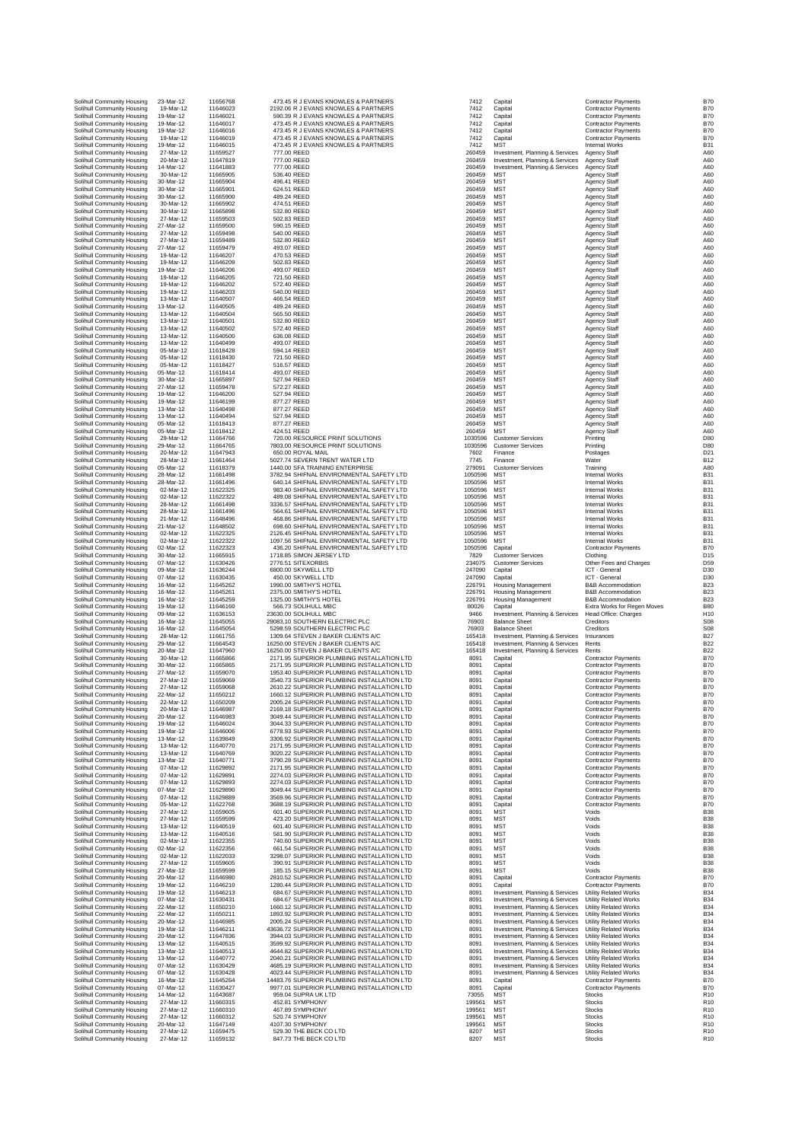| Solihull Community Housing                               | 23-Mar-12              | 116567           |
|----------------------------------------------------------|------------------------|------------------|
| Solihull Community Housing                               | 19-Mar-12              | 116460           |
| Solihull Community Housing                               | 19-Mar-12              | 116460           |
| Solihull Community Housing                               | 19-Mar-12<br>19-Mar-12 | 116460<br>116460 |
| Solihull Community Housing<br>Solihull Community Housing | 19-Mar-12              | 116460           |
| Solihull Community Housing                               | 19-Mar-12              | 116460           |
| Solihull Community Housing                               | 27-Mar-12              | 116595           |
| Solihull Community Housing                               | 20-Mar-12              | 116478           |
| Solihull Community Housing                               | 14-Mar-12              | 116418           |
| Solihull Community Housing<br>Solihull Community Housing | 30-Mar-12<br>30-Mar-12 | 116659<br>116659 |
| Solihull Community Housing                               | 30-Mar-12              | 116659           |
| Solihull Community Housing                               | 30-Mar-12              | 116659           |
| Solihull Community Housing                               | 30-Mar-12              | 116659           |
| Solihull Community Housing                               | 30-Mar-12              | 116658           |
| Solihull Community Housing                               | 27-Mar-12              | 116595           |
| Solihull Community Housing<br>Solihull Community Housing | 27-Mar-12<br>27-Mar-12 | 116595<br>116594 |
| Solihull Community Housing                               | 27-Mar-12              | 116594           |
| Solihull Community Housing                               | 27-Mar-12              | 116594           |
| Solihull Community Housing                               | 19-Mar-12              | 116462           |
| Solihull Community Housing                               | 19-Mar-12              | 116462           |
| Solihull Community Housing                               | 19-Mar-12<br>19-Mar-12 | 116462           |
| Solihull Community Housing<br>Solihull Community Housing | 19-Mar-12              | 116462<br>116462 |
| Solihull Community Housing                               | 19-Mar-12              | 116462           |
| Solihull Community Housing                               | 13-Mar-12              | 116405           |
| Solihull Community Housing                               | 13-Mar-12              | 116405           |
| Solihull Community Housing                               | 13-Mar-12              | 116405           |
| Solihull Community Housing<br>Solihull Community Housing | 13-Mar-12<br>13-Mar-12 | 116405<br>116405 |
| Solihull Community Housing                               | 13-Mar-12              | 116405           |
| Solihull Community Housing                               | 13-Mar-12              | 116404           |
| Solihull Community Housing                               | 05-Mar-12              | 116184           |
| Solihull Community Housing                               | 05-Mar-12              | 116184           |
| Solihull Community Housing                               | 05-Mar-12              | 116184           |
| Solihull Community Housing<br>Solihull Community Housing | 05-Mar-12<br>30-Mar-12 | 116184<br>116658 |
| Solihull Community Housing                               | 27-Mar-12              | 116594           |
| Solihull Community Housing                               | 19-Mar-12              | 116462           |
| Solihull Community Housing                               | 19-Mar-12              | 116461           |
| Solihull Community Housing                               | 13-Mar-12              | 116404           |
| Solihull Community Housing                               | 13-Mar-12              | 116404           |
| Solihull Community Housing<br>Solihull Community Housing | 05-Mar-12<br>05-Mar-12 | 116184<br>116184 |
| Solihull Community Housing                               | 29-Mar-12              | 116647           |
| Solihull Community Housing                               | 29-Mar-12              | 116647           |
| Solihull Community Housing                               | 20-Mar-12              | 116479           |
| Solihull Community Housing                               | 28-Mar-12              | 116614           |
| Solihull Community Housing                               | 05-Mar-12<br>28-Mar-12 | 116183           |
| Solihull Community Housing<br>Solihull Community Housing | 28-Mar-12              | 116614<br>116614 |
| Solihull Community Housing                               | 02-Mar-12              | 116223           |
| Solihull Community Housing                               | 02-Mar-12              | 116223           |
| Solihull Community Housing                               | 28-Mar-12              | 116614           |
| Solihull Community Housing                               | 28-Mar-12              | 116614           |
| Solihull Community Housing<br>Solihull Community Housing | 21-Mar-12<br>21-Mar-12 | 116484<br>116485 |
| Solihull Community Housing                               | 02-Mar-12              | 116223           |
| Solihull Community Housing                               | 02-Mar-12              | 116223           |
| Solihull Community Housing                               | 02-Mar-12              | 116223           |
| Solihull Community Housing                               | 30-Mar-12              | 116659           |
| Solihull Community Housing                               | 07-Mar-12<br>09-Mar-12 | 116304           |
| Solihull Community Housing<br>Solihull Community Housing | 07-Mar-12              | 116362<br>116304 |
| Solihull Community Housing                               | 16-Mar-12              | 116452           |
| Solihull Community Housing                               | 16-Mar-12              | 116452           |
| Solihull Community Housing                               | 16-Mar-12              | 116452           |
| Solihull Community Housing                               | 19-Mar-12              | 116461           |
| Solihull Community Housing                               | 09-Mar-12<br>16-Mar-12 | 116361<br>116450 |
| Solihull Community Housing<br>Solihull Community Housing | 16-Mar-12              | 116450           |
| Solihull Community Housing                               | 28-Mar-12              | 116617           |
| Solihull Community Housing                               | 29-Mar-12              | 116645           |
| Solihull Community Housing                               | 20-Mar-12              | 116479           |
| Solihull Community Housing<br>Solihull Community Housing | 30-Mar-12              | 116658           |
| Solihull Community Housing                               | 30-Mar-12<br>27-Mar-12 | 116658<br>116590 |
| Solihull Community Housing                               | 27-Mar-12              | 116590           |
| Solihull Community Housing                               | 27-Mar-12              | 116590           |
| Solihull Community Housing                               | 22-Mar-12              | 116502           |
| Solihull Community Housing                               | 22-Mar-12              | 116502           |
| Solihull Community Housing                               | 20-Mar-12              | 116469           |
| Solihull Community Housing<br>Solihull Community Housing | 20-Mar-12<br>19-Mar-12 | 116469<br>116460 |
| Solihull Community Housing                               | 19-Mar-12              | 116460           |
| Solihull Community Housing                               | 13-Mar-12              | 116398           |
| Solihull Community Housing                               | 13-Mar-12              | 116407           |
| Solihull Community Housing                               | 13-Mar-12              | 116407           |
| Solihull Community Housing<br>Solihull Community Housing | 13-Mar-12<br>07-Mar-12 | 116407<br>116298 |
| Solihull Community Housing                               | 07-Mar-12              | 116298           |
| Solihull Community Housing                               | 07-Mar-12              | 116298           |
| Solihull Community Housing                               | 07-Mar-12              | 116298           |
| Solihull Community Housing                               | 07-Mar-12              | 116298           |
| Solihull Community Housing<br>Solihull Community Housing | 05-Mar-12<br>27-Mar-12 | 116227<br>116596 |
| Solihull Community Housing                               | 27-Mar-12              | 116595           |
| Solihull Community Housing                               | 13-Mar-12              | 116405           |
| Solihull Community Housing                               | 13-Mar-12              | 116405           |
| Solihull Community Housing                               | 02-Mar-12              | 116223           |
| Solihull Community Housing<br>Solihull Community Housing | 02-Mar-12<br>02-Mar-12 | 116223<br>116220 |
| Solihull Community Housing                               | 27-Mar-12              | 116596           |
| Solihull Community Housing                               | 27-Mar-12              | 116595           |
| Solihull Community Housing                               | 20-Mar-12              | 116469           |
| Solihull Community Housing                               | 19-Mar-12              | 116462           |
| Solihull Community Housing<br>Solihull Community Housing | 19-Mar-12<br>07-Mar-12 | 116462<br>116304 |
| Solihull Community Housing                               | 22-Mar-12              | 116502           |
| Solihull Community Housing                               | 22-Mar-12              | 116502           |
| Solihull Community Housing                               | 20-Mar-12              | 116469           |
| Solihull Community Housing                               | 19-Mar-12              | 116462           |
| Solihull Community Housing                               | 20-Mar-12              | 116478           |
| Solihull Community Housing<br>Solihull Community Housing | 13-Mar-12<br>13-Mar-12 | 116405<br>116405 |
| Solihull Community Housing                               | 13-Mar-12              | 116407           |
| Solihull Community Housing                               | 07-Mar-12              | 116304           |
| Solihull Community Housing                               | 07-Mar-12              | 116304           |
| Solihull Community Housing                               | 16-Mar-12              | 116452           |
| Solihull Community Housing<br>Solihull Community Housing | 07-Mar-12<br>14-Mar-12 | 116304<br>116436 |
| Solihull Community Housing                               | 27-Mar-12              | 116603           |
| Solihull Community Housing                               | 27-Mar-12              | 116603           |
| Solihull Community Housing                               | 27-Mar-12              | 116603           |
| Solihull Community Housing                               | 20-Mar-12              | 116471<br>116594 |
| Solihull Community Housing<br>Solihull Community Housing | 27-Mar-12<br>27-Mar-12 | 116591           |
|                                                          |                        |                  |

|                            | 473.45 R J EVANS KNOWLES & PARTNERS                                                                                                                                                  |
|----------------------------|--------------------------------------------------------------------------------------------------------------------------------------------------------------------------------------|
|                            | 2192.06 R J EVANS KNOWLES & PARTNERS<br>590.39 R J EVANS KNOWLES & PARTNERS                                                                                                          |
|                            | 473.45 R J EVANS KNOWLES & PARTNERS                                                                                                                                                  |
|                            | 473.45 R J EVANS KNOWLES & PARTNERS                                                                                                                                                  |
|                            | 473.45 R J EVANS KNOWLES & PARTNERS<br>473.45 R J EVANS KNOWLES & PARTNERS                                                                                                           |
| 777.00 REED                |                                                                                                                                                                                      |
| 777.00 REED<br>777.00 REED |                                                                                                                                                                                      |
| 536.40 REED                |                                                                                                                                                                                      |
| 496.41 REED                |                                                                                                                                                                                      |
| 624.51 REED<br>489.24 REED |                                                                                                                                                                                      |
| 474.51 REED                |                                                                                                                                                                                      |
| 532.80 REED                |                                                                                                                                                                                      |
| 502.83 REED<br>590.15 REED |                                                                                                                                                                                      |
| 540.00 REED                |                                                                                                                                                                                      |
| 532.80 REED                |                                                                                                                                                                                      |
| 493.07 REED<br>470.53 REED |                                                                                                                                                                                      |
| 502.83 REED                |                                                                                                                                                                                      |
| 493.07 REED<br>721.50 REED |                                                                                                                                                                                      |
| 572.40 REED                |                                                                                                                                                                                      |
| 540.00 REED                |                                                                                                                                                                                      |
| 466.54 REED<br>489.24 REED |                                                                                                                                                                                      |
| 565.50 REED                |                                                                                                                                                                                      |
| 532.80 REED<br>572.40 REED |                                                                                                                                                                                      |
| 636.08 REED                |                                                                                                                                                                                      |
| 493.07 REED                |                                                                                                                                                                                      |
| 594.14 REED<br>721.50 REED |                                                                                                                                                                                      |
| 516.57 REED                |                                                                                                                                                                                      |
| 493.07 REED<br>527.94 REED |                                                                                                                                                                                      |
| 572.27 REED                |                                                                                                                                                                                      |
| 527.94 REED<br>877.27 REED |                                                                                                                                                                                      |
| 877.27 REED                |                                                                                                                                                                                      |
| 527.94 REED                |                                                                                                                                                                                      |
| 877.27 REED<br>424.51 REED |                                                                                                                                                                                      |
|                            | 720.00 RESOURCE PRINT SOLUTIONS                                                                                                                                                      |
|                            | 7803.00 RESOURCE PRINT SOLUTIONS<br>650.00 ROYAL MAIL                                                                                                                                |
|                            | 5027.74 SEVERN TRENT WATER LTD                                                                                                                                                       |
|                            | 1440.00 SFA TRAINING ENTERPRISE                                                                                                                                                      |
|                            | 3782.94 SHIFNAL ENVIRONMENTAL SAFETY LTD<br>640.14 SHIFNAL ENVIRONMENTAL SAFETY LTD                                                                                                  |
|                            | 983.40 SHIFNAL ENVIRONMENTAL SAFETY LTD<br>489.08 SHIFNAL ENVIRONMENTAL SAFETY LTD                                                                                                   |
|                            | 3336.57 SHIFNAL ENVIRONMENTAL SAFETY LTD                                                                                                                                             |
|                            |                                                                                                                                                                                      |
|                            | 564.61 SHIFNAL ENVIRONMENTAL SAFETY LTD<br>468.86 SHIFNAL ENVIRONMENTAL SAFETY LTD<br>698.60 SHIFNAL ENVIRONMENTAL SAFETY LTD                                                        |
|                            | 2126.45 SHIFNAL ENVIRONMENTAL SAFETY LTD                                                                                                                                             |
|                            | 1097.56 SHIFNAL ENVIRONMENTAL SAFETY LTD<br>436.20 SHIFNAL ENVIRONMENTAL SAFETY LTD                                                                                                  |
|                            | 1718.85 SIMON JERSEY LTD                                                                                                                                                             |
|                            | 2776.51 SITEXORBIS<br>6800.00 SKYWELL LTD                                                                                                                                            |
|                            | 450.00 SKYWELL LTD                                                                                                                                                                   |
|                            |                                                                                                                                                                                      |
|                            | 1990.00 SMITHY'S HOTEL                                                                                                                                                               |
|                            | 2375.00 SMITHY'S HOTEL<br>1325.00 SMITHY'S HOTEL                                                                                                                                     |
|                            | 566.73 SOLIHULL MBC                                                                                                                                                                  |
|                            | 3630.00 SOLIHULL MBC<br>9083.10 SOUTHERN ELECTRIC PLC                                                                                                                                |
|                            | 5298.59 SOUTHERN ELECTRIC PLO                                                                                                                                                        |
|                            | 1309.64 STEVEN J BAKER CLIENTS A/C<br>6250.00 STEVEN J BAKER CLIENTS A/C                                                                                                             |
|                            | 6250.00 STEVEN J BAKER CLIENTS A/C                                                                                                                                                   |
|                            | 2171.95 SUPERIOR PLUMBING INSTALLATION LTD<br>2171.95 SUPERIOR PLUMBING INSTALLATION LTD                                                                                             |
|                            | 1953.40 SUPERIOR PLUMBING INSTALLATION LTD                                                                                                                                           |
|                            | 3540.73 SUPERIOR PLUMBING INSTALLATION LTI<br>2610.22 SUPERIOR PLUMBING INSTALLATION LTI                                                                                             |
|                            |                                                                                                                                                                                      |
|                            | 1660.12 SUPERIOR PLUMBING INSTALLATION LTI<br>2005.24 SUPERIOR PLUMBING INSTALLATION LTI<br>2169.18 SUPERIOR PLUMBING INSTALLATION LTD                                               |
|                            | 3049.44 SUPERIOR PLUMBING INSTALLATION LTD                                                                                                                                           |
|                            | 3044.33 SUPERIOR PLUMBING INSTALLATION LTI                                                                                                                                           |
|                            |                                                                                                                                                                                      |
|                            | 6778.93 SUPERIOR PLUMBING INSTALLATION LTI<br>3306.92 SUPERIOR PLUMBING INSTALLATION LTI<br>2171.95 SUPERIOR PLUMBING INSTALLATION LTI<br>3020.22 SUPERIOR PLUMBING INSTALLATION LTI |
|                            | 3790.28 SUPERIOR PLUMBING INSTALLATION LTD                                                                                                                                           |
|                            |                                                                                                                                                                                      |
|                            | 2171.95 SUPERIOR PLUMBING INSTALLATION LTI<br>2274.03 SUPERIOR PLUMBING INSTALLATION LTI<br>2274.03 SUPERIOR PLUMBING INSTALLATION LTI                                               |
|                            | 3049.44 SUPERIOR PLUMBING INSTALLATION LTI                                                                                                                                           |
|                            | 3569.96 SUPERIOR PLUMBING INSTALLATION LTI                                                                                                                                           |
|                            | 3688.19 SUPERIOR PLUMBING INSTALLATION LTI<br>601.40 SUPERIOR PLUMBING INSTALLATION LTI                                                                                              |
|                            | 423.20 SUPERIOR PLUMBING INSTALLATION LTD<br>601.40 SUPERIOR PLUMBING INSTALLATION LTI                                                                                               |
|                            | 581.90 SUPERIOR PLUMBING INSTALLATION LTI                                                                                                                                            |
|                            | 740.60 SUPERIOR PLUMBING INSTALLATION LTI<br>661.54 SUPERIOR PLUMBING INSTALLATION LTI                                                                                               |
|                            | 3298.07 SUPERIOR PLUMBING INSTALLATION LTD                                                                                                                                           |
|                            | 390.91 SUPERIOR PLUMBING INSTALLATION LTI                                                                                                                                            |
|                            | 185.15 SUPERIOR PLUMBING INSTALLATION LTI                                                                                                                                            |
|                            | 2810.52 SUPERIOR PLUMBING INSTALLATION LTI<br>1280.44 SUPERIOR PLUMBING INSTALLATION LTI<br>684.67 SUPERIOR PLUMBING INSTALLATION LTD                                                |
|                            | 684.67 SUPERIOR PLUMBING INSTALLATION LTD                                                                                                                                            |
|                            | 1660.12 SUPERIOR PLUMBING INSTALLATION LTI                                                                                                                                           |
|                            | 1893.92 SUPERIOR PLUMBING INSTALLATION LTD<br>2005.24 SUPERIOR PLUMBING INSTALLATION LTD                                                                                             |
|                            | 3636.72 SUPERIOR PLUMBING INSTALLATION LTD                                                                                                                                           |
|                            | 3944.03 SUPERIOR PLUMBING INSTALLATION LTD<br>3599.92 SUPERIOR PLUMBING INSTALLATION LTI                                                                                             |
|                            |                                                                                                                                                                                      |
|                            | 4644.82 SUPERIOR PLUMBING INSTALLATION LTI<br>2040.21 SUPERIOR PLUMBING INSTALLATION LTI<br>4685.19 SUPERIOR PLUMBING INSTALLATION LTD                                               |
|                            | 4023.44 SUPERIOR PLUMBING INSTALLATION LTD                                                                                                                                           |
|                            | 4483.76 SUPERIOR PLUMBING INSTALLATION LTI                                                                                                                                           |
|                            | 9977.01 SUPERIOR PLUMBING INSTALLATION LTI<br>959.04 SUPRA UK LTD                                                                                                                    |
|                            | 452.81 SYMPHONY<br>467.89 SYMPHONY                                                                                                                                                   |
|                            | 520.74 SYMPHONY                                                                                                                                                                      |
|                            | 4107.30 SYMPHONY<br>529.30 THE BECK CO LTD<br>847.73 THE BECK CO LTD                                                                                                                 |

| Solihull Community Housing                               | 23-Mar-12              | 11656768             | 473.45 R J EVANS KNOWLES & PARTNERS                                                      | 7412               | Capital                                                            | <b>Contractor Payments</b>                                   | <b>B70</b>                        |
|----------------------------------------------------------|------------------------|----------------------|------------------------------------------------------------------------------------------|--------------------|--------------------------------------------------------------------|--------------------------------------------------------------|-----------------------------------|
| Solihull Community Housing                               | 19-Mar-12              | 11646023             | 2192.06 R J EVANS KNOWLES & PARTNERS                                                     | 7412               | Capital                                                            | <b>Contractor Payments</b>                                   | <b>B70</b>                        |
| Solihull Community Housing                               | 19-Mar-12              | 11646021             | 590.39 R J EVANS KNOWLES & PARTNERS                                                      | 7412               | Capital                                                            | <b>Contractor Payments</b>                                   | <b>B70</b>                        |
| Solihull Community Housing                               | 19-Mar-12              | 11646017             | 473.45 R J EVANS KNOWLES & PARTNERS                                                      | 7412               | Capital                                                            | <b>Contractor Payments</b>                                   | <b>B70</b>                        |
| Solihull Community Housing                               | 19-Mar-12<br>19-Mar-12 | 11646016<br>11646019 | 473.45 R J EVANS KNOWLES & PARTNERS                                                      | 7412               | Capital                                                            | <b>Contractor Payments</b>                                   | <b>B70</b>                        |
| Solihull Community Housing<br>Solihull Community Housing | 19-Mar-12              | 11646015             | 473.45 R J EVANS KNOWLES & PARTNERS<br>473.45 R J EVANS KNOWLES & PARTNERS               | 7412<br>7412       | Capital<br><b>MST</b>                                              | Contractor Payments<br><b>Internal Works</b>                 | <b>B70</b><br>B <sub>3</sub>      |
| Solihull Community Housing                               | 27-Mar-12              | 11659527             | 777.00 REED                                                                              | 260459             | Investment, Planning & Services                                    | Agency Staff                                                 | A60                               |
| Solihull Community Housing                               | 20-Mar-12              | 11647819             | 777.00 REED                                                                              | 260459             | Investment, Planning & Services                                    | Agency Staff                                                 | A60                               |
| Solihull Community Housing                               | 14-Mar-12              | 11641883             | 777.00 REED                                                                              | 260459             | Investment, Planning & Services                                    | <b>Agency Staff</b>                                          | A60                               |
| Solihull Community Housing<br>Solihull Community Housing | 30-Mar-12<br>30-Mar-12 | 11665905<br>11665904 | 536.40 REED<br>496.41 REED                                                               | 260459<br>260459   | MST<br><b>MST</b>                                                  | <b>Agency Staff</b><br>Agency Staff                          | A60<br>A60                        |
| Solihull Community Housing                               | 30-Mar-12              | 11665901             | 624.51 REED                                                                              | 260459             | <b>MST</b>                                                         | Agency Staff                                                 | A60                               |
| Solihull Community Housing                               | 30-Mar-12              | 11665900             | 489.24 REED                                                                              | 260459             | <b>MST</b>                                                         | Agency Staff                                                 | A60                               |
| Solihull Community Housing                               | 30-Mar-12              | 11665902             | 474.51 REED                                                                              | 260459             | <b>MST</b>                                                         | <b>Agency Staff</b>                                          | A60                               |
| Solihull Community Housing                               | 30-Mar-12              | 11665898             | 532.80 REED                                                                              | 260459             | <b>MST</b>                                                         | <b>Agency Staff</b>                                          | A60                               |
| Solihull Community Housing                               | 27-Mar-12              | 11659503             | 502.83 REED                                                                              | 260459             | <b>MST</b>                                                         | Agency Staff                                                 | A60                               |
| Solihull Community Housing<br>Solihull Community Housing | 27-Mar-12<br>27-Mar-12 | 11659500<br>11659498 | 590.15 REED<br>540.00 REED                                                               | 260459<br>260459   | <b>MST</b><br><b>MST</b>                                           | <b>Agency Staff</b><br>Agency Staff                          | A60<br>A60                        |
| Solihull Community Housing                               | 27-Mar-12              | 11659489             | 532.80 REED                                                                              | 260459             | <b>MST</b>                                                         | <b>Agency Staff</b>                                          | A60                               |
| Solihull Community Housing                               | 27-Mar-12              | 11659479             | 493.07 REED                                                                              | 260459             | <b>MST</b>                                                         | <b>Agency Staff</b>                                          | A60                               |
| Solihull Community Housing                               | 19-Mar-12              | 11646207             | 470.53 REED                                                                              | 260459             | <b>MST</b>                                                         | <b>Agency Staff</b>                                          | A60                               |
| Solihull Community Housing                               | 19-Mar-12              | 11646209             | 502.83 REED<br>493.07 REED                                                               | 260459             | <b>MST</b>                                                         | Agency Staff                                                 | A60                               |
| Solihull Community Housing<br>Solihull Community Housing | 19-Mar-12<br>19-Mar-12 | 11646206<br>11646205 | 721.50 REED                                                                              | 260459<br>260459   | <b>MST</b><br><b>MST</b>                                           | Agency Staff<br>Agency Staff                                 | A60<br>A60                        |
| Solihull Community Housing                               | 19-Mar-12              | 11646202             | 572.40 REED                                                                              | 260459             | <b>MST</b>                                                         | Agency Staff                                                 | A60                               |
| Solihull Community Housing                               | 19-Mar-12              | 11646203             | 540.00 REED                                                                              | 260459             | <b>MST</b>                                                         | Agency Staff                                                 | A60                               |
| Solihull Community Housing                               | 13-Mar-12              | 11640507             | 466.54 REED                                                                              | 260459             | <b>MST</b>                                                         | Agency Staff                                                 | A60                               |
| Solihull Community Housing                               | 13-Mar-12              | 11640505<br>11640504 | 489.24 REED                                                                              | 260459<br>260459   | <b>MST</b><br><b>MST</b>                                           | Agency Staff                                                 | A60<br>A60                        |
| Solihull Community Housing<br>Solihull Community Housing | 13-Mar-12<br>13-Mar-12 | 11640501             | 565.50 REED<br>532.80 REED                                                               | 260459             | <b>MST</b>                                                         | Agency Staff<br><b>Agency Staff</b>                          | A60                               |
| Solihull Community Housing                               | 13-Mar-12              | 11640502             | 572.40 REED                                                                              | 260459             | <b>MST</b>                                                         | Agency Staff                                                 | A60                               |
| Solihull Community Housing                               | 13-Mar-12              | 11640500             | 636.08 REED                                                                              | 260459             | <b>MST</b>                                                         | Agency Staff                                                 | A60                               |
| Solihull Community Housing                               | 13-Mar-12              | 11640499             | 493.07 REED                                                                              | 260459             | <b>MST</b>                                                         | Agency Staff                                                 | A60                               |
| Solihull Community Housing<br>Solihull Community Housing | 05-Mar-12<br>05-Mar-12 | 11618428<br>11618430 | 594.14 REED<br>721.50 REED                                                               | 260459<br>260459   | <b>MST</b><br><b>MST</b>                                           | Agency Staff<br><b>Agency Staff</b>                          | A60<br>A60                        |
| Solihull Community Housing                               | 05-Mar-12              | 11618427             | 516.57 REED                                                                              | 260459             | <b>MST</b>                                                         | Agency Staff                                                 | A60                               |
| Solihull Community Housing                               | 05-Mar-12              | 11618414             | 493.07 REED                                                                              | 260459             | <b>MST</b>                                                         | <b>Agency Staff</b>                                          | A60                               |
| Solihull Community Housing                               | 30-Mar-12              | 11665897             | 527.94 REED                                                                              | 260459             | <b>MST</b>                                                         | Agency Staff                                                 | A60                               |
| Solihull Community Housing                               | 27-Mar-12<br>19-Mar-12 | 11659478<br>11646200 | 572.27 REED                                                                              | 260459             | <b>MST</b><br><b>MST</b>                                           | Agency Staff                                                 | A60                               |
| Solihull Community Housing<br>Solihull Community Housing | 19-Mar-12              | 11646199             | 527.94 REED<br>877.27 REED                                                               | 260459<br>260459   | <b>MST</b>                                                         | <b>Agency Staff</b><br><b>Agency Staff</b>                   | A60<br>A60                        |
| Solihull Community Housing                               | 13-Mar-12              | 11640498             | 877.27 REED                                                                              | 260459             | <b>MST</b>                                                         | Agency Staff                                                 | A60                               |
| Solihull Community Housing                               | 13-Mar-12              | 11640494             | 527.94 REED                                                                              | 260459             | <b>MST</b>                                                         | Agency Staff                                                 | A60                               |
| Solihull Community Housing                               | 05-Mar-12              | 11618413             | 877.27 REED                                                                              | 260459             | <b>MST</b>                                                         | <b>Agency Staff</b>                                          | A60                               |
| Solihull Community Housing                               | 05-Mar-12<br>29-Mar-12 | 11618412             | 424.51 REED<br>720.00 RESOURCE PRINT SOLUTIONS                                           | 260459             | <b>MST</b>                                                         | <b>Agency Staff</b>                                          | A60<br>D80                        |
| Solihull Community Housing<br>Solihull Community Housing | 29-Mar-12              | 11664766<br>11664765 | 7803.00 RESOURCE PRINT SOLUTIONS                                                         | 1030596<br>1030596 | <b>Customer Services</b><br><b>Customer Services</b>               | Printing<br>Printing                                         | D <sub>80</sub>                   |
| Solihull Community Housing                               | 20-Mar-12              | 11647943             | 650.00 ROYAL MAIL                                                                        | 7602               | Finance                                                            | Postages                                                     | D2                                |
| Solihull Community Housing                               | 28-Mar-12              | 11661464             | 5027.74 SEVERN TRENT WATER LTD                                                           | 7745               | Finance                                                            | Water                                                        | <b>B12</b>                        |
| Solihull Community Housing                               | 05-Mar-12              | 11618379             | 1440.00 SFA TRAINING ENTERPRISE                                                          | 279091             | <b>Customer Services</b>                                           | Training                                                     | A80                               |
| Solihull Community Housing                               | 28-Mar-12              | 11661498             | 3782.94 SHIFNAL ENVIRONMENTAL SAFETY LTD                                                 | 1050596            | <b>MST</b><br><b>MST</b>                                           | <b>Internal Works</b>                                        | B <sub>3</sub><br>B <sub>3</sub>  |
| Solihull Community Housing<br>Solihull Community Housing | 28-Mar-12<br>02-Mar-12 | 11661496<br>11622325 | 640.14 SHIFNAL ENVIRONMENTAL SAFETY LTD<br>983.40 SHIFNAL ENVIRONMENTAL SAFETY LTD       | 1050596<br>1050596 | <b>MST</b>                                                         | <b>Internal Works</b><br><b>Internal Works</b>               | B <sub>3</sub>                    |
| Solihull Community Housing                               | 02-Mar-12              | 11622322             | 489.08 SHIFNAL ENVIRONMENTAL SAFETY LTD                                                  | 1050596            | <b>MST</b>                                                         | Internal Works                                               | B <sub>3</sub>                    |
| Solihull Community Housing                               | 28-Mar-12              | 11661498             | 3336.57 SHIFNAL ENVIRONMENTAL SAFETY LTD                                                 | 1050596            | <b>MST</b>                                                         | Internal Works                                               | B <sub>3</sub>                    |
| Solihull Community Housing                               | 28-Mar-12              | 11661496             | 564.61 SHIFNAL ENVIRONMENTAL SAFETY LTD                                                  | 1050596            | <b>MST</b>                                                         | <b>Internal Works</b>                                        | B <sub>3</sub>                    |
| Solihull Community Housing<br>Solihull Community Housing | 21-Mar-12<br>21-Mar-12 | 11648496<br>11648502 | 468.86 SHIFNAL ENVIRONMENTAL SAFETY LTD<br>698.60 SHIFNAL ENVIRONMENTAL SAFETY LTD       | 1050596<br>1050596 | <b>MST</b><br><b>MST</b>                                           | Internal Works<br><b>Internal Works</b>                      | B <sub>3</sub><br>B <sub>3</sub>  |
| Solihull Community Housing                               | 02-Mar-12              | 11622325             | 2126.45 SHIFNAL ENVIRONMENTAL SAFETY LTD                                                 | 1050596            | <b>MST</b>                                                         | Internal Works                                               | B <sub>3</sub>                    |
| Solihull Community Housing                               | 02-Mar-12              | 11622322             | 1097.56 SHIFNAL ENVIRONMENTAL SAFETY LTD                                                 | 1050596            | <b>MST</b>                                                         | <b>Internal Works</b>                                        | B <sub>3</sub>                    |
| Solihull Community Housing                               | 02-Mar-12              | 11622323             | 436.20 SHIFNAL ENVIRONMENTAL SAFETY LTD                                                  | 1050596            | Capital                                                            | <b>Contractor Payments</b>                                   | <b>B70</b>                        |
| Solihull Community Housing                               | 30-Mar-12              | 11665915             | 1718.85 SIMON JERSEY LTD                                                                 | 7829               | <b>Customer Services</b>                                           | Clothing                                                     | D <sub>15</sub>                   |
| Solihull Community Housing<br>Solihull Community Housing | 07-Mar-12<br>09-Mar-12 | 11630426<br>11636244 | 2776.51 SITEXORBIS<br>6800.00 SKYWELL LTD                                                | 234075<br>247090   | <b>Customer Services</b><br>Capital                                | Other Fees and Charges<br>ICT - General                      | D <sub>5</sub><br>D30             |
| Solihull Community Housing                               |                        |                      |                                                                                          |                    | Capital                                                            | ICT - General                                                | D30                               |
|                                                          |                        |                      |                                                                                          |                    |                                                                    |                                                              |                                   |
| Solihull Community Housing                               | 07-Mar-12<br>16-Mar-12 | 11630435<br>11645262 | 450.00 SKYWELL LTD<br>1990.00 SMITHY'S HOTEL                                             | 247090<br>226791   | <b>Housing Management</b>                                          | <b>B&amp;B Accommodation</b>                                 | <b>B23</b>                        |
| Solihull Community Housing                               | 16-Mar-12              | 11645261             | 2375.00 SMITHY'S HOTEL                                                                   | 226791             | <b>Housing Management</b>                                          | <b>B&amp;B Accommodation</b>                                 | <b>B23</b>                        |
| Solihull Community Housing                               | 16-Mar-12              | 11645259             | 1325.00 SMITHY'S HOTEL                                                                   | 226791             | <b>Housing Management</b>                                          | <b>B&amp;B Accommodation</b>                                 | <b>B23</b>                        |
| Solihull Community Housing                               | 19-Mar-12              | 11646160             | 566.73 SOLIHULL MBC                                                                      | 80026              | Capital                                                            | Extra Works for Regen Moves                                  | <b>B80</b>                        |
| Solihull Community Housing<br>Solihull Community Housing | 09-Mar-12<br>16-Mar-12 | 11636153             | 23630.00 SOLIHULL MBC<br>29083.10 SOUTHERN ELECTRIC PLC                                  | 9466               | Investment, Planning & Services<br><b>Balance Sheet</b>            | Head Office: Charges<br>Creditors                            | H10<br>S08                        |
| Solihull Community Housing                               | 16-Mar-12              | 11645055<br>11645054 | 5298.59 SOUTHERN ELECTRIC PLC                                                            | 76903<br>76903     | <b>Balance Sheet</b>                                               | Creditors                                                    | S08                               |
| Solihull Community Housing                               | 28-Mar-12              | 11661755             | 1309.64 STEVEN J BAKER CLIENTS A/C                                                       | 165418             | Investment, Planning & Services                                    | Insurances                                                   | <b>B27</b>                        |
| Solihull Community Housing                               | 29-Mar-12              | 11664543             | 16250.00 STEVEN J BAKER CLIENTS A/C                                                      | 165418             | Investment, Planning & Services                                    | Rents                                                        | B <sub>2</sub>                    |
| Solihull Community Housing                               | 20-Mar-12              | 11647960             | 16250.00 STEVEN J BAKER CLIENTS A/C                                                      | 165418             | Investment, Planning & Services                                    | Rents                                                        | <b>B22</b>                        |
| Solihull Community Housing<br>Solihull Community Housing | 30-Mar-12<br>30-Mar-12 | 11665866<br>11665865 | 2171.95 SUPERIOR PLUMBING INSTALLATION LTD<br>2171.95 SUPERIOR PLUMBING INSTALLATION LTD | 8091<br>8091       | Capital<br>Capital                                                 | <b>Contractor Payments</b><br><b>Contractor Payments</b>     | <b>B70</b><br>B70                 |
| Solihull Community Housing                               | 27-Mar-12              | 11659070             | 1953.40 SUPERIOR PLUMBING INSTALLATION LTD                                               | 8091               | Capital                                                            | <b>Contractor Payments</b>                                   | <b>B70</b>                        |
| Solihull Community Housing                               | 27-Mar-12              | 11659069             | 3540.73 SUPERIOR PLUMBING INSTALLATION LTD                                               | 8091               | Capital                                                            | <b>Contractor Payments</b>                                   | <b>B70</b>                        |
| Solihull Community Housing                               | 27-Mar-12<br>22-Mar-12 | 11659068<br>11650212 | 2610.22 SUPERIOR PLUMBING INSTALLATION LTD                                               | 8091               | Capital                                                            | <b>Contractor Payments</b>                                   | <b>B70</b>                        |
| Solihull Community Housing<br>Solihull Community Housing | 22-Mar-12              | 11650209             | 1660.12 SUPERIOR PLUMBING INSTALLATION LTD<br>2005.24 SUPERIOR PLUMBING INSTALLATION LTD | 8091<br>8091       | Capital<br>Capital                                                 | <b>Contractor Payments</b><br><b>Contractor Payments</b>     | <b>B70</b><br>B70                 |
| Solihull Community Housing                               | 20-Mar-12              | 11646987             | 2169.18 SUPERIOR PLUMBING INSTALLATION LTD                                               | 8091               | Capital                                                            | <b>Contractor Payments</b>                                   | <b>B70</b>                        |
| Solihull Community Housing                               | 20-Mar-12              | 11646983             | 3049.44 SUPERIOR PLUMBING INSTALLATION LTD                                               | 8091               | Capital                                                            | <b>Contractor Payments</b>                                   | <b>B70</b>                        |
| Solihull Community Housing                               | 19-Mar-12              | 11646024             | 3044.33 SUPERIOR PLUMBING INSTALLATION LTD                                               | 8091               | Capital                                                            | <b>Contractor Payments</b>                                   | B70                               |
| Solihull Community Housing<br>Solihull Community Housing | 19-Mar-12<br>13-Mar-12 | 11646006<br>11639849 | 6778.93 SUPERIOR PLUMBING INSTALLATION LTD<br>3306.92 SUPERIOR PLUMBING INSTALLATION LTD | 8091<br>8091       | Capital<br>Capital                                                 | <b>Contractor Payments</b><br><b>Contractor Payments</b>     | <b>B70</b><br>B70                 |
| Solihull Community Housing                               | 13-Mar-12              | 11640770             | 2171.95 SUPERIOR PLUMBING INSTALLATION LTD                                               | 8091               | Capital                                                            | <b>Contractor Payments</b>                                   | <b>B70</b>                        |
| Solihull Community Housing                               | 13-Mar-12              | 11640769             | 3020.22 SUPERIOR PLUMBING INSTALLATION LTD                                               | 8091               | Capital                                                            | <b>Contractor Payments</b>                                   | <b>B70</b>                        |
| Solihull Community Housing<br>Solihull Community Housing | 13-Mar-12<br>07-Mar-12 | 11640771<br>11629892 | 3790.28 SUPERIOR PLUMBING INSTALLATION LTD<br>2171.95 SUPERIOR PLUMBING INSTALLATION LTD | 8091<br>8091       | Capital<br>Capital                                                 | <b>Contractor Payments</b><br><b>Contractor Payments</b>     | <b>B70</b><br><b>B70</b>          |
| Solihull Community Housing                               | 07-Mar-12              | 11629891             | 2274.03 SUPERIOR PLUMBING INSTALLATION LTD                                               | 8091               | Capital                                                            | <b>Contractor Payments</b>                                   | B70                               |
| Solihull Community Housing                               | 07-Mar-12              | 11629893             | 2274.03 SUPERIOR PLUMBING INSTALLATION LTD                                               | 8091               | Capital                                                            | <b>Contractor Payments</b>                                   | <b>B70</b>                        |
| Solihull Community Housing                               | 07-Mar-12              | 11629890<br>11629889 | 3049.44 SUPERIOR PLUMBING INSTALLATION LTD                                               | 8091               | Capital                                                            | <b>Contractor Payments</b>                                   | <b>B70</b>                        |
| Solihull Community Housing                               | 07-Mar-12              |                      | 3569.96 SUPERIOR PLUMBING INSTALLATION LTD                                               | 8091               | Capital<br>Capital                                                 | <b>Contractor Payments</b>                                   | B70<br><b>B70</b>                 |
| Solihull Community Housing<br>Solihull Community Housing | 05-Mar-12<br>27-Mar-12 | 11622768<br>11659605 | 3688.19 SUPERIOR PLUMBING INSTALLATION LTD<br>601.40 SUPERIOR PLUMBING INSTALLATION LTD  | 8091<br>8091       | MST                                                                | <b>Contractor Payments</b><br>Voids                          | <b>B38</b>                        |
| Solihull Community Housing                               | 27-Mar-12              | 11659599             | 423.20 SUPERIOR PLUMBING INSTALLATION LTD                                                | 8091               | <b>MST</b>                                                         | Voids                                                        | <b>B38</b>                        |
| Solihull Community Housing                               | 13-Mar-12              | 11640519             | 601.40 SUPERIOR PLUMBING INSTALLATION LTD                                                | 8091               | <b>MST</b>                                                         | Voids                                                        | <b>B38</b>                        |
| Solihull Community Housing                               | 13-Mar-12              | 11640516             | 581.90 SUPERIOR PLUMBING INSTALLATION LTD                                                | 8091               | <b>MST</b>                                                         | Voids                                                        | <b>B38</b>                        |
| Solihull Community Housing<br>Solihull Community Housing | 02-Mar-12<br>02-Mar-12 | 11622355<br>11622356 | 740.60 SUPERIOR PLUMBING INSTALLATION LTD<br>661.54 SUPERIOR PLUMBING INSTALLATION LTD   | 8091<br>8091       | <b>MST</b><br><b>MST</b>                                           | Voids<br>Voids                                               | <b>B38</b><br><b>B38</b>          |
| Solihull Community Housing                               | 02-Mar-12              | 11622033             | 3298.07 SUPERIOR PLUMBING INSTALLATION LTD                                               | 8091               | <b>MST</b>                                                         | Voids                                                        | <b>B38</b>                        |
| Solihull Community Housing                               | 27-Mar-12              | 11659605             | 390.91 SUPERIOR PLUMBING INSTALLATION LTD                                                | 8091               | <b>MST</b>                                                         | Voids                                                        | <b>B38</b>                        |
| Solihull Community Housing<br>Solihull Community Housing | 27-Mar-12<br>20-Mar-12 | 11659599<br>11646980 | 185.15 SUPERIOR PLUMBING INSTALLATION LTD<br>2810.52 SUPERIOR PLUMBING INSTALLATION LTD  | 8091<br>8091       | <b>MST</b><br>Capital                                              | Voids<br><b>Contractor Payments</b>                          | <b>B38</b><br><b>B70</b>          |
| Solihull Community Housing                               | 19-Mar-12              | 11646210             | 1280.44 SUPERIOR PLUMBING INSTALLATION LTD                                               | 8091               | Capital                                                            | <b>Contractor Payments</b>                                   | B70                               |
| Solihull Community Housing                               | 19-Mar-12              | 11646213             | 684.67 SUPERIOR PLUMBING INSTALLATION LTD                                                | 8091               | Investment, Planning & Services                                    | <b>Utility Related Works</b>                                 | B <sub>34</sub>                   |
| Solihull Community Housing                               | 07-Mar-12              | 11630431             | 684.67 SUPERIOR PLUMBING INSTALLATION LTD                                                | 8091               | Investment, Planning & Services                                    | <b>Utility Related Works</b>                                 | B <sub>3</sub>                    |
| Solihull Community Housing                               | 22-Mar-12              | 11650210             | 1660.12 SUPERIOR PLUMBING INSTALLATION LTD                                               | 8091               | Investment, Planning & Services                                    | Utility Related Works                                        | B <sub>34</sub>                   |
| Solihull Community Housing<br>Solihull Community Housing | 22-Mar-12<br>20-Mar-12 | 11650211<br>11646985 | 1893.92 SUPERIOR PLUMBING INSTALLATION LTD<br>2005.24 SUPERIOR PLUMBING INSTALLATION LTD | 8091<br>8091       | Investment, Planning & Services                                    | <b>Utility Related Works</b><br><b>Utility Related Works</b> | B <sub>3</sub><br>B <sub>34</sub> |
| Solihull Community Housing                               | 19-Mar-12              | 11646211             | 43636.72 SUPERIOR PLUMBING INSTALLATION LTD                                              | 8091               | Investment, Planning & Services<br>Investment, Planning & Services | <b>Utility Related Works</b>                                 | B <sub>3</sub>                    |
| Solihull Community Housing                               | 20-Mar-12              | 11647836             | 3944.03 SUPERIOR PLUMBING INSTALLATION LTD                                               | 8091               | Investment, Planning & Services                                    | <b>Utility Related Works</b>                                 | B <sub>3</sub>                    |
| Solihull Community Housing                               | 13-Mar-12              | 11640515             | 3599.92 SUPERIOR PLUMBING INSTALLATION LTD                                               | 8091               | Investment, Planning & Services                                    | Utility Related Works                                        | B <sub>3</sub>                    |
| Solihull Community Housing                               | 13-Mar-12              | 11640513             | 4644.82 SUPERIOR PLUMBING INSTALLATION LTD                                               | 8091               | Investment, Planning & Services                                    | <b>Utility Related Works</b>                                 | B <sub>3</sub>                    |
| Solihull Community Housing<br>Solihull Community Housing | 13-Mar-12<br>07-Mar-12 | 11640772<br>11630429 | 2040.21 SUPERIOR PLUMBING INSTALLATION LTD<br>4685.19 SUPERIOR PLUMBING INSTALLATION LTD | 8091<br>8091       | Investment, Planning & Services<br>Investment, Planning & Services | <b>Utility Related Works</b><br><b>Utility Related Works</b> | B <sub>34</sub><br>B <sub>3</sub> |
| Solihull Community Housing                               | 07-Mar-12              | 11630428             | 4023.44 SUPERIOR PLUMBING INSTALLATION LTD                                               | 8091               | Investment, Planning & Services                                    | <b>Utility Related Works</b>                                 | B <sub>3</sub>                    |
| Solihull Community Housing                               | 16-Mar-12              | 11645264             | 14483.76 SUPERIOR PLUMBING INSTALLATION LTD                                              | 8091               | Capital                                                            | <b>Contractor Payments</b>                                   | B70                               |
| Solihull Community Housing                               | 07-Mar-12              | 11630427             | 9977.01 SUPERIOR PLUMBING INSTALLATION LTD                                               | 8091               | Capital                                                            | <b>Contractor Payments</b>                                   | B70                               |
| Solihull Community Housing                               | 14-Mar-12              | 11643687<br>11660315 | 959.04 SUPRA UK LTD<br>452.81 SYMPHONY                                                   | 73055              | MST<br><b>MST</b>                                                  | Stocks<br><b>Stocks</b>                                      | R <sub>1</sub><br>R <sub>1</sub>  |
| Solihull Community Housing<br>Solihull Community Housing | 27-Mar-12<br>27-Mar-12 | 11660310             | 467.89 SYMPHONY                                                                          | 199561<br>199561   | <b>MST</b>                                                         | Stocks                                                       | R <sub>1</sub>                    |
| Solihull Community Housing                               | 27-Mar-12              | 11660312             | 520.74 SYMPHONY                                                                          | 199561             | <b>MST</b>                                                         | <b>Stocks</b>                                                | R <sub>1</sub>                    |
| Solihull Community Housing                               | 20-Mar-12              | 11647149             | 4107.30 SYMPHONY                                                                         | 199561             | <b>MST</b>                                                         | <b>Stocks</b>                                                | R <sub>1</sub>                    |
| Solihull Community Housing<br>Solihull Community Housing | 27-Mar-12<br>27-Mar-12 | 11659475<br>11659132 | 529.30 THE BECK CO LTD<br>847.73 THE BECK CO LTD                                         | 8207<br>8207       | <b>MST</b><br><b>MST</b>                                           | Stocks<br>Stocks                                             | R <sub>1</sub><br>R <sub>1</sub>  |